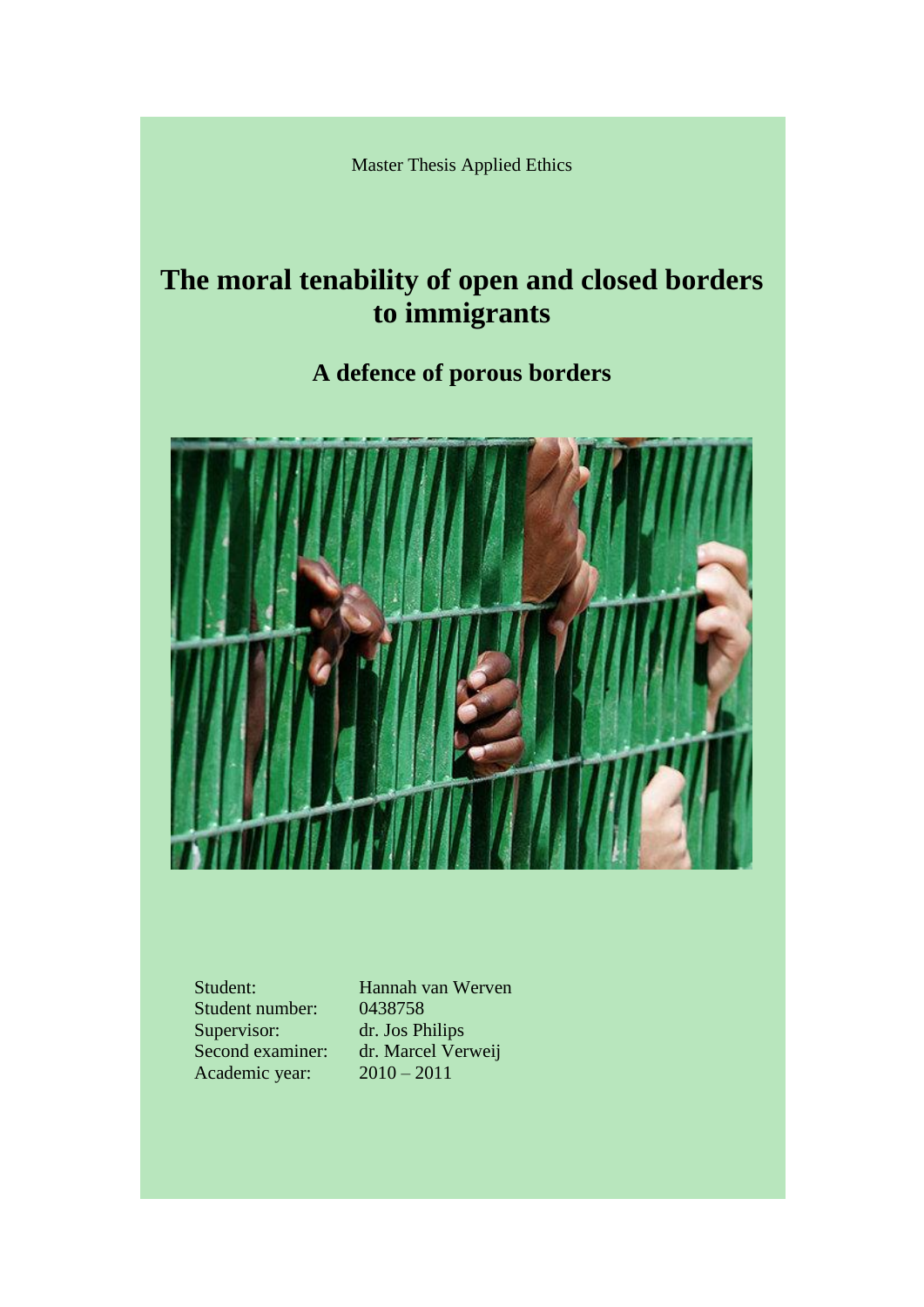Master Thesis Applied Ethics

# **The moral tenability of open and closed borders to immigrants**

**A defence of porous borders**



Student number: 0438758 Supervisor: dr. Jos Philips Academic year: 2010 – 2011

Student: Hannah van Werven Second examiner: dr. Marcel Verweij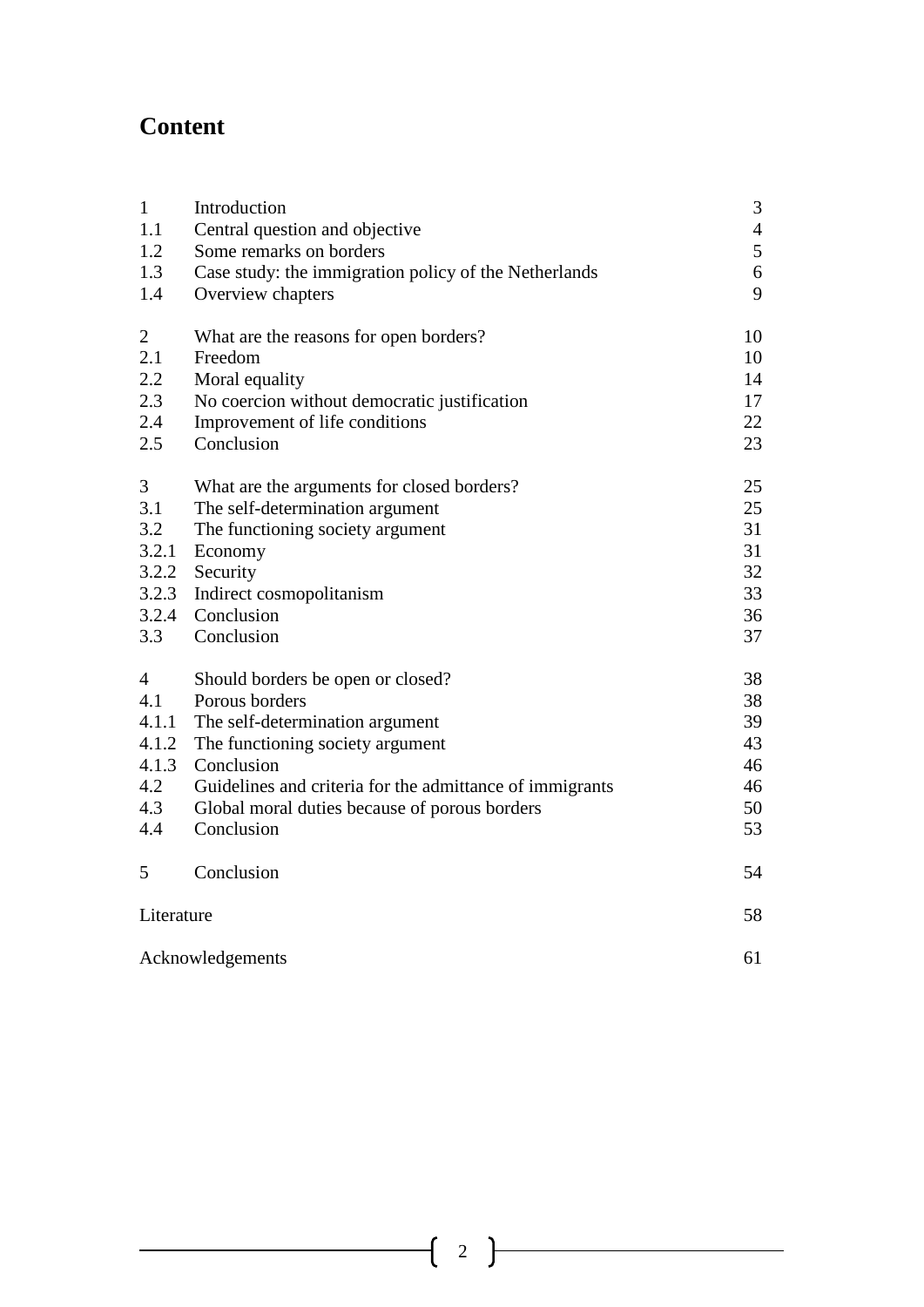# **Content**

| $\mathbf{1}$     | Introduction                                             | 3                |
|------------------|----------------------------------------------------------|------------------|
| 1.1              | Central question and objective                           | $\overline{4}$   |
| 1.2              | Some remarks on borders                                  | 5                |
| 1.3              | Case study: the immigration policy of the Netherlands    | $\boldsymbol{6}$ |
| 1.4              | Overview chapters                                        | 9                |
| $\overline{c}$   | What are the reasons for open borders?                   | 10               |
| 2.1              | Freedom                                                  | 10               |
| 2.2              | Moral equality                                           | 14               |
| 2.3              | No coercion without democratic justification             | 17               |
| 2.4              | Improvement of life conditions                           | 22               |
| 2.5              | Conclusion                                               | 23               |
| $\mathfrak{Z}$   | What are the arguments for closed borders?               | 25               |
| 3.1              | The self-determination argument                          | 25               |
| 3.2              | The functioning society argument                         | 31               |
| 3.2.1            | Economy                                                  | 31               |
|                  | 3.2.2 Security                                           | 32               |
| 3.2.3            | Indirect cosmopolitanism                                 | 33               |
|                  | 3.2.4 Conclusion                                         | 36               |
| 3.3              | Conclusion                                               | 37               |
| $\overline{4}$   | Should borders be open or closed?                        | 38               |
| 4.1              | Porous borders                                           | 38               |
| 4.1.1            | The self-determination argument                          | 39               |
| 4.1.2            | The functioning society argument                         | 43               |
| 4.1.3            | Conclusion                                               | 46               |
| 4.2              | Guidelines and criteria for the admittance of immigrants | 46               |
| 4.3              | Global moral duties because of porous borders            | 50               |
| 4.4              | Conclusion                                               | 53               |
| 5                | Conclusion                                               | 54               |
| Literature       |                                                          | 58               |
| Acknowledgements |                                                          | 61               |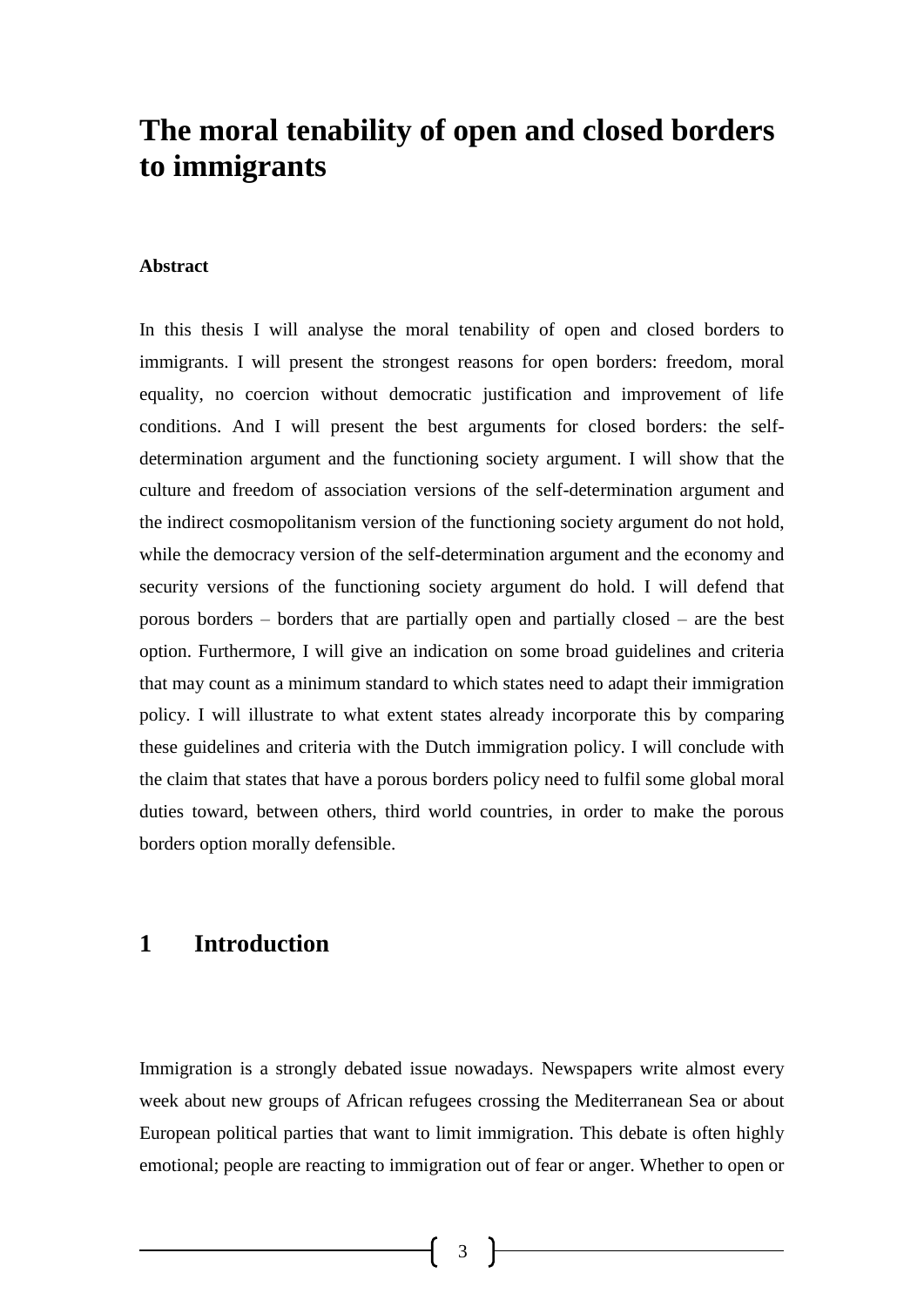# **The moral tenability of open and closed borders to immigrants**

#### **Abstract**

In this thesis I will analyse the moral tenability of open and closed borders to immigrants. I will present the strongest reasons for open borders: freedom, moral equality, no coercion without democratic justification and improvement of life conditions. And I will present the best arguments for closed borders: the selfdetermination argument and the functioning society argument. I will show that the culture and freedom of association versions of the self-determination argument and the indirect cosmopolitanism version of the functioning society argument do not hold, while the democracy version of the self-determination argument and the economy and security versions of the functioning society argument do hold. I will defend that porous borders – borders that are partially open and partially closed – are the best option. Furthermore, I will give an indication on some broad guidelines and criteria that may count as a minimum standard to which states need to adapt their immigration policy. I will illustrate to what extent states already incorporate this by comparing these guidelines and criteria with the Dutch immigration policy. I will conclude with the claim that states that have a porous borders policy need to fulfil some global moral duties toward, between others, third world countries, in order to make the porous borders option morally defensible.

# **1 Introduction**

Immigration is a strongly debated issue nowadays. Newspapers write almost every week about new groups of African refugees crossing the Mediterranean Sea or about European political parties that want to limit immigration. This debate is often highly emotional; people are reacting to immigration out of fear or anger. Whether to open or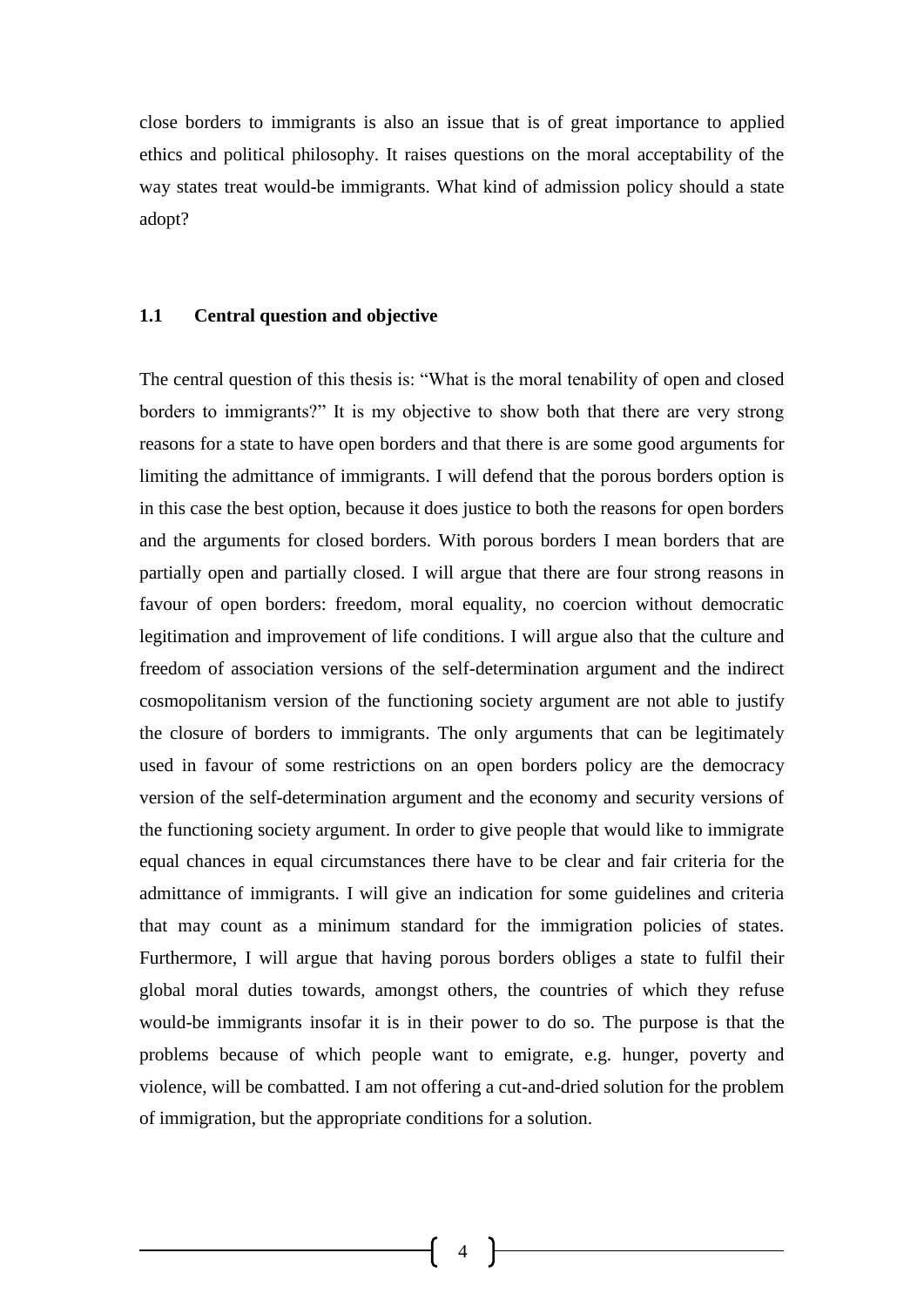close borders to immigrants is also an issue that is of great importance to applied ethics and political philosophy. It raises questions on the moral acceptability of the way states treat would-be immigrants. What kind of admission policy should a state adopt?

#### **1.1 Central question and objective**

The central question of this thesis is: "What is the moral tenability of open and closed borders to immigrants?" It is my objective to show both that there are very strong reasons for a state to have open borders and that there is are some good arguments for limiting the admittance of immigrants. I will defend that the porous borders option is in this case the best option, because it does justice to both the reasons for open borders and the arguments for closed borders. With porous borders I mean borders that are partially open and partially closed. I will argue that there are four strong reasons in favour of open borders: freedom, moral equality, no coercion without democratic legitimation and improvement of life conditions. I will argue also that the culture and freedom of association versions of the self-determination argument and the indirect cosmopolitanism version of the functioning society argument are not able to justify the closure of borders to immigrants. The only arguments that can be legitimately used in favour of some restrictions on an open borders policy are the democracy version of the self-determination argument and the economy and security versions of the functioning society argument. In order to give people that would like to immigrate equal chances in equal circumstances there have to be clear and fair criteria for the admittance of immigrants. I will give an indication for some guidelines and criteria that may count as a minimum standard for the immigration policies of states. Furthermore, I will argue that having porous borders obliges a state to fulfil their global moral duties towards, amongst others, the countries of which they refuse would-be immigrants insofar it is in their power to do so. The purpose is that the problems because of which people want to emigrate, e.g. hunger, poverty and violence, will be combatted. I am not offering a cut-and-dried solution for the problem of immigration, but the appropriate conditions for a solution.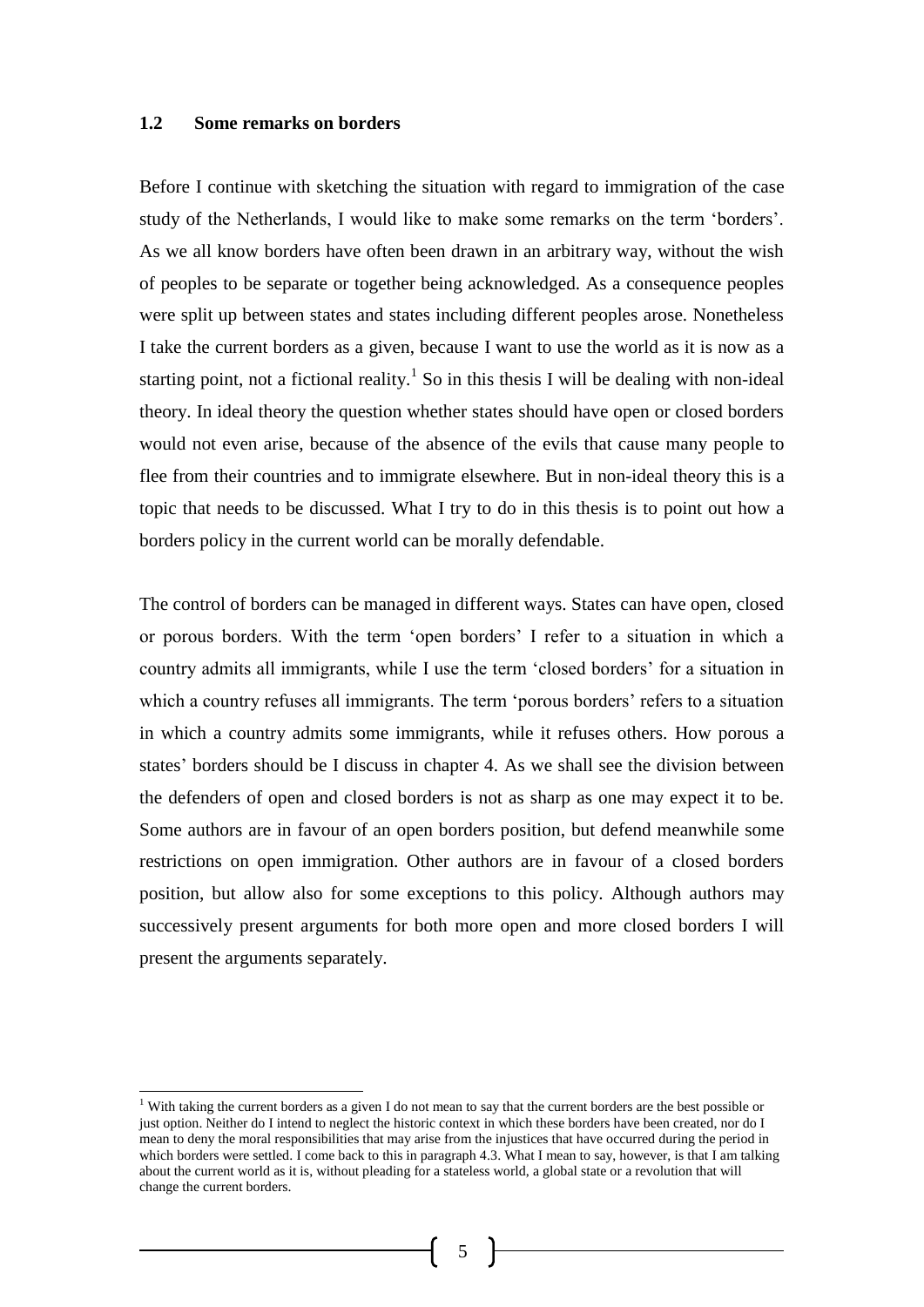#### **1.2 Some remarks on borders**

Before I continue with sketching the situation with regard to immigration of the case study of the Netherlands, I would like to make some remarks on the term 'borders'. As we all know borders have often been drawn in an arbitrary way, without the wish of peoples to be separate or together being acknowledged. As a consequence peoples were split up between states and states including different peoples arose. Nonetheless I take the current borders as a given, because I want to use the world as it is now as a starting point, not a fictional reality.<sup>1</sup> So in this thesis I will be dealing with non-ideal theory. In ideal theory the question whether states should have open or closed borders would not even arise, because of the absence of the evils that cause many people to flee from their countries and to immigrate elsewhere. But in non-ideal theory this is a topic that needs to be discussed. What I try to do in this thesis is to point out how a borders policy in the current world can be morally defendable.

The control of borders can be managed in different ways. States can have open, closed or porous borders. With the term 'open borders' I refer to a situation in which a country admits all immigrants, while I use the term 'closed borders' for a situation in which a country refuses all immigrants. The term 'porous borders' refers to a situation in which a country admits some immigrants, while it refuses others. How porous a states' borders should be I discuss in chapter 4. As we shall see the division between the defenders of open and closed borders is not as sharp as one may expect it to be. Some authors are in favour of an open borders position, but defend meanwhile some restrictions on open immigration. Other authors are in favour of a closed borders position, but allow also for some exceptions to this policy. Although authors may successively present arguments for both more open and more closed borders I will present the arguments separately.

<sup>&</sup>lt;sup>1</sup> With taking the current borders as a given I do not mean to say that the current borders are the best possible or just option. Neither do I intend to neglect the historic context in which these borders have been created, nor do I mean to deny the moral responsibilities that may arise from the injustices that have occurred during the period in which borders were settled. I come back to this in paragraph 4.3. What I mean to say, however, is that I am talking about the current world as it is, without pleading for a stateless world, a global state or a revolution that will change the current borders.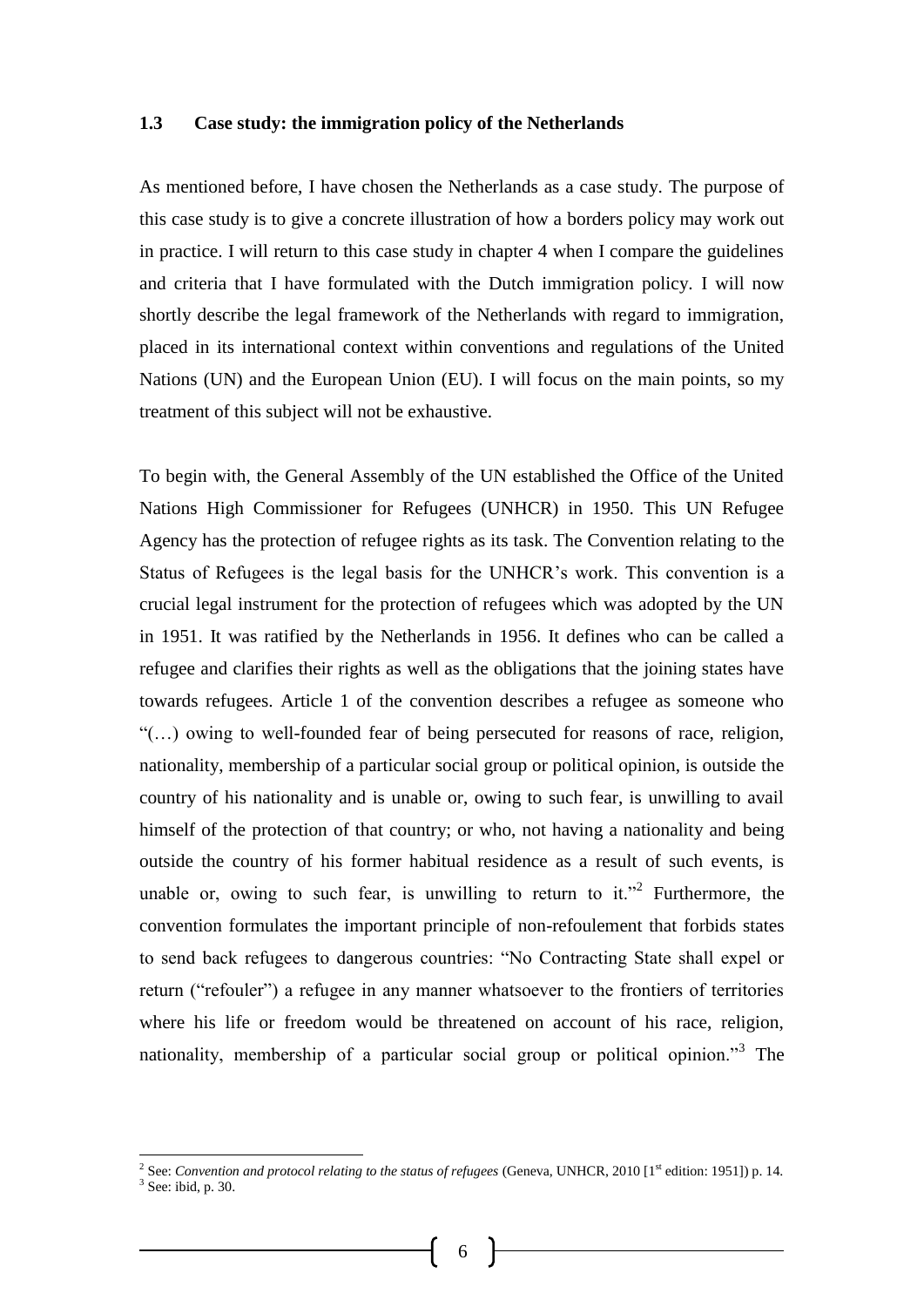#### **1.3 Case study: the immigration policy of the Netherlands**

As mentioned before, I have chosen the Netherlands as a case study. The purpose of this case study is to give a concrete illustration of how a borders policy may work out in practice. I will return to this case study in chapter 4 when I compare the guidelines and criteria that I have formulated with the Dutch immigration policy. I will now shortly describe the legal framework of the Netherlands with regard to immigration, placed in its international context within conventions and regulations of the United Nations (UN) and the European Union (EU). I will focus on the main points, so my treatment of this subject will not be exhaustive.

To begin with, the General Assembly of the UN established the Office of the United Nations High Commissioner for Refugees (UNHCR) in 1950. This UN Refugee Agency has the protection of refugee rights as its task. The Convention relating to the Status of Refugees is the legal basis for the UNHCR's work. This convention is a crucial legal instrument for the protection of refugees which was adopted by the UN in 1951. It was ratified by the Netherlands in 1956. It defines who can be called a refugee and clarifies their rights as well as the obligations that the joining states have towards refugees. Article 1 of the convention describes a refugee as someone who "(…) owing to well-founded fear of being persecuted for reasons of race, religion, nationality, membership of a particular social group or political opinion, is outside the country of his nationality and is unable or, owing to such fear, is unwilling to avail himself of the protection of that country; or who, not having a nationality and being outside the country of his former habitual residence as a result of such events, is unable or, owing to such fear, is unwilling to return to it."<sup>2</sup> Furthermore, the convention formulates the important principle of non-refoulement that forbids states to send back refugees to dangerous countries: "No Contracting State shall expel or return ("refouler") a refugee in any manner whatsoever to the frontiers of territories where his life or freedom would be threatened on account of his race, religion, nationality, membership of a particular social group or political opinion."<sup>3</sup> The

<sup>&</sup>lt;sup>2</sup> See: *Convention and protocol relating to the status of refugees* (Geneva, UNHCR, 2010 [1<sup>st</sup> edition: 1951]) p. 14.

<sup>3</sup> See: ibid, p. 30.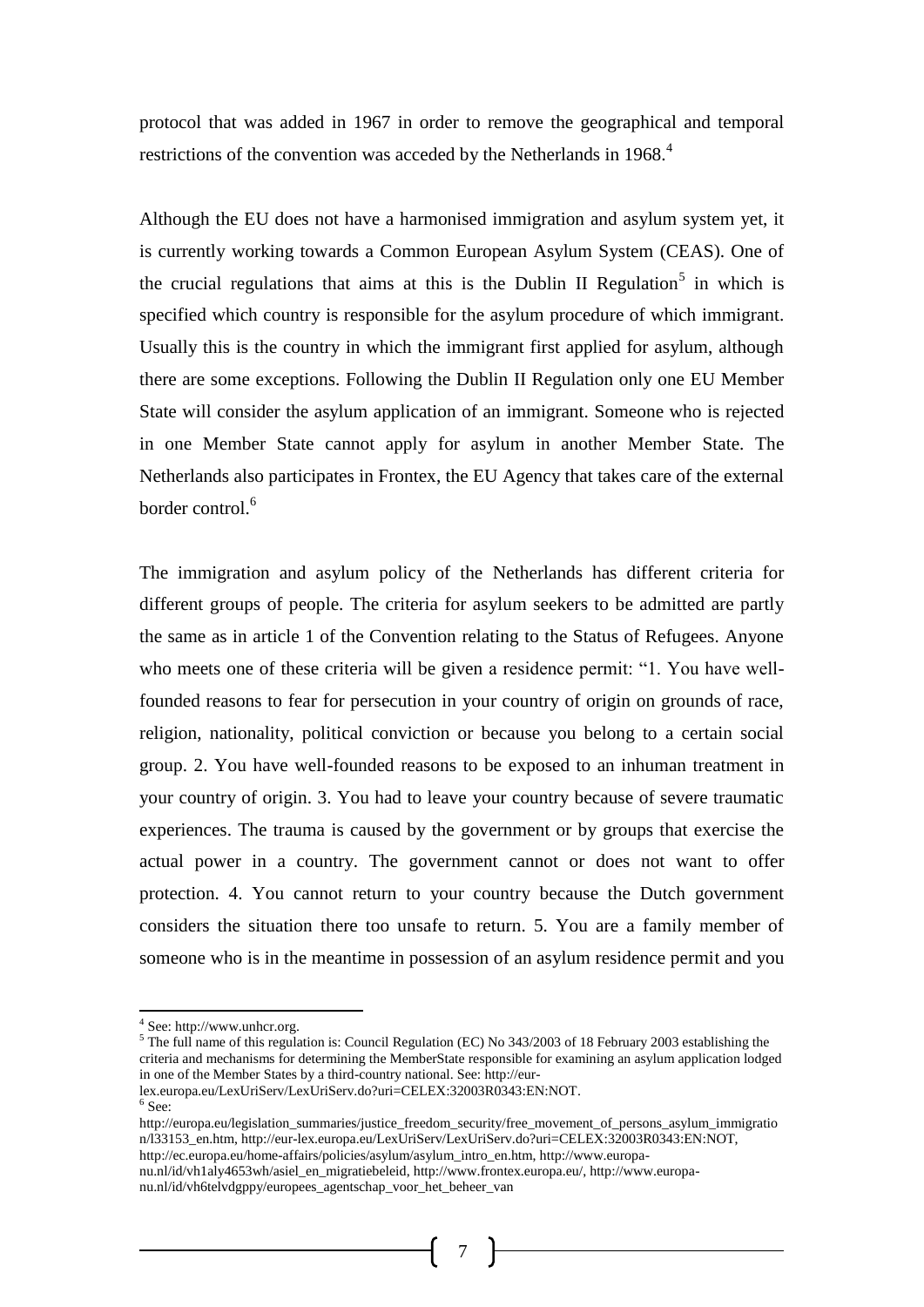protocol that was added in 1967 in order to remove the geographical and temporal restrictions of the convention was acceded by the Netherlands in 1968.<sup>4</sup>

Although the EU does not have a harmonised immigration and asylum system yet, it is currently working towards a Common European Asylum System (CEAS). One of the crucial regulations that aims at this is the Dublin II Regulation<sup>5</sup> in which is specified which country is responsible for the asylum procedure of which immigrant. Usually this is the country in which the immigrant first applied for asylum, although there are some exceptions. Following the Dublin II Regulation only one EU Member State will consider the asylum application of an immigrant. Someone who is rejected in one Member State cannot apply for asylum in another Member State. The Netherlands also participates in Frontex, the EU Agency that takes care of the external border control.<sup>6</sup>

The immigration and asylum policy of the Netherlands has different criteria for different groups of people. The criteria for asylum seekers to be admitted are partly the same as in article 1 of the Convention relating to the Status of Refugees. Anyone who meets one of these criteria will be given a residence permit: "1. You have wellfounded reasons to fear for persecution in your country of origin on grounds of race, religion, nationality, political conviction or because you belong to a certain social group. 2. You have well-founded reasons to be exposed to an inhuman treatment in your country of origin. 3. You had to leave your country because of severe traumatic experiences. The trauma is caused by the government or by groups that exercise the actual power in a country. The government cannot or does not want to offer protection. 4. You cannot return to your country because the Dutch government considers the situation there too unsafe to return. 5. You are a family member of someone who is in the meantime in possession of an asylum residence permit and you

- lex.europa.eu/LexUriServ/LexUriServ.do?uri=CELEX:32003R0343:EN:NOT.<br><sup>6</sup> See:
- 

http://europa.eu/legislation\_summaries/justice\_freedom\_security/free\_movement\_of\_persons\_asylum\_immigratio n/l33153\_en.htm, http://eur-lex.europa.eu/LexUriServ/LexUriServ.do?uri=CELEX:32003R0343:EN:NOT, http://ec.europa.eu/home-affairs/policies/asylum/asylum\_intro\_en.htm, http://www.europa-

nu.nl/id/vh1aly4653wh/asiel\_en\_migratiebeleid, http://www.frontex.europa.eu/, http://www.europanu.nl/id/vh6telvdgppy/europees\_agentschap\_voor\_het\_beheer\_van

 4 See: http://www.unhcr.org.

<sup>5</sup> The full name of this regulation is: Council Regulation (EC) No 343/2003 of 18 February 2003 establishing the criteria and mechanisms for determining the MemberState responsible for examining an asylum application lodged in one of the Member States by a third-country national. See: http://eur-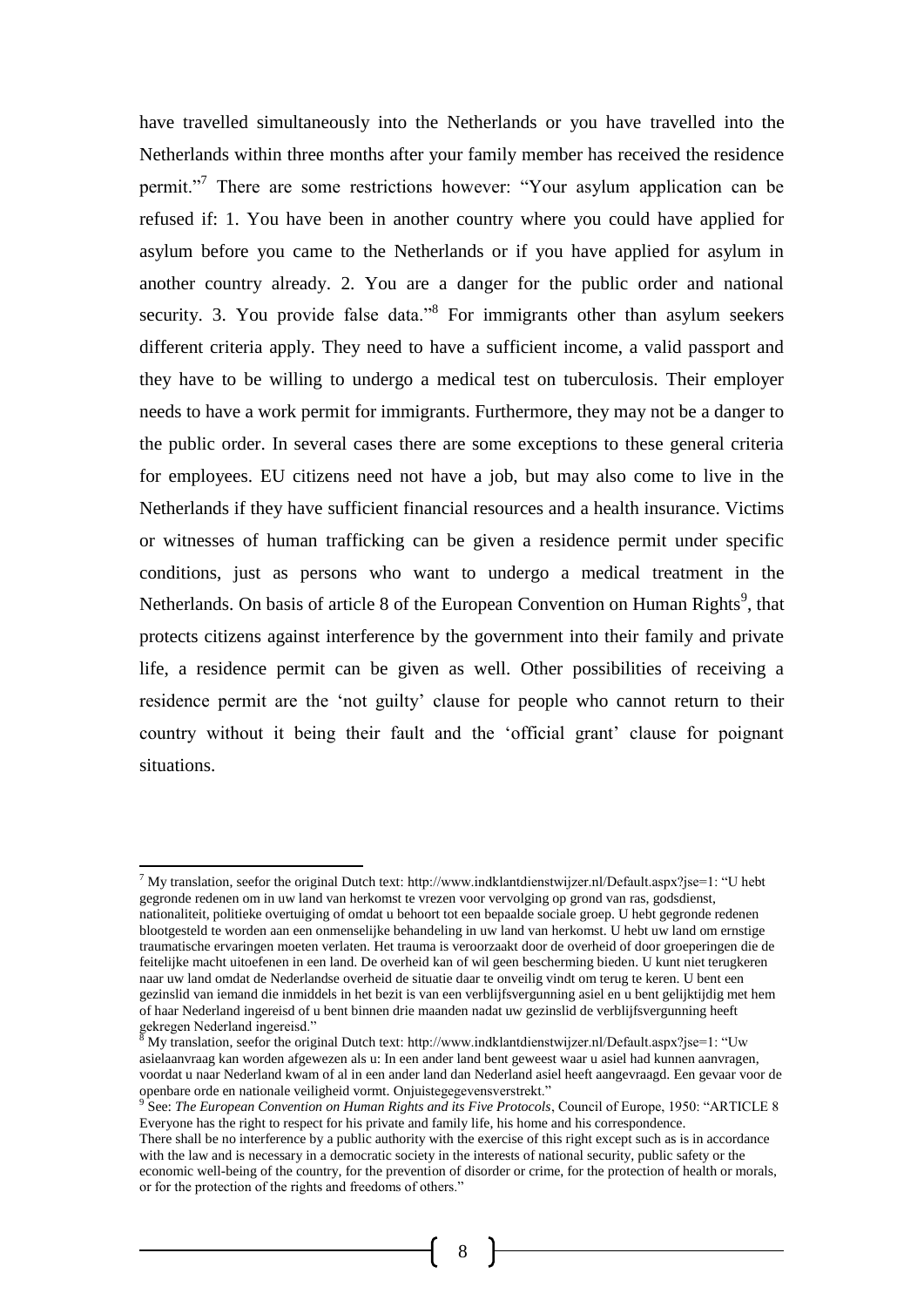have travelled simultaneously into the Netherlands or you have travelled into the Netherlands within three months after your family member has received the residence permit."<sup>7</sup> There are some restrictions however: "Your asylum application can be refused if: 1. You have been in another country where you could have applied for asylum before you came to the Netherlands or if you have applied for asylum in another country already. 2. You are a danger for the public order and national security. 3. You provide false data."<sup>8</sup> For immigrants other than asylum seekers different criteria apply. They need to have a sufficient income, a valid passport and they have to be willing to undergo a medical test on tuberculosis. Their employer needs to have a work permit for immigrants. Furthermore, they may not be a danger to the public order. In several cases there are some exceptions to these general criteria for employees. EU citizens need not have a job, but may also come to live in the Netherlands if they have sufficient financial resources and a health insurance. Victims or witnesses of human trafficking can be given a residence permit under specific conditions, just as persons who want to undergo a medical treatment in the Netherlands. On basis of article 8 of the European Convention on Human Rights<sup>9</sup>, that protects citizens against interference by the government into their family and private life, a residence permit can be given as well. Other possibilities of receiving a residence permit are the 'not guilty' clause for people who cannot return to their country without it being their fault and the 'official grant' clause for poignant situations.

l

<sup>&</sup>lt;sup>7</sup> My translation, seefor the original Dutch text: http://www.indklantdienstwijzer.nl/Default.aspx?jse=1: "U hebt gegronde redenen om in uw land van herkomst te vrezen voor vervolging op grond van ras, godsdienst, nationaliteit, politieke overtuiging of omdat u behoort tot een bepaalde sociale groep. U hebt gegronde redenen blootgesteld te worden aan een onmenselijke behandeling in uw land van herkomst. U hebt uw land om ernstige traumatische ervaringen moeten verlaten. Het trauma is veroorzaakt door de overheid of door groeperingen die de feitelijke macht uitoefenen in een land. De overheid kan of wil geen bescherming bieden. U kunt niet terugkeren naar uw land omdat de Nederlandse overheid de situatie daar te onveilig vindt om terug te keren. U bent een gezinslid van iemand die inmiddels in het bezit is van een verblijfsvergunning asiel en u bent gelijktijdig met hem of haar Nederland ingereisd of u bent binnen drie maanden nadat uw gezinslid de verblijfsvergunning heeft gekregen Nederland ingereisd."

 $8$  My translation, seefor the original Dutch text: http://www.indklantdienstwijzer.nl/Default.aspx?jse=1: "Uw asielaanvraag kan worden afgewezen als u: In een ander land bent geweest waar u asiel had kunnen aanvragen, voordat u naar Nederland kwam of al in een ander land dan Nederland asiel heeft aangevraagd. Een gevaar voor de openbare orde en nationale veiligheid vormt. Onjuistegegevensverstrekt." 9 See: *The European Convention on Human Rights and its Five Protocols*, Council of Europe, 1950: "ARTICLE 8

Everyone has the right to respect for his private and family life, his home and his correspondence.

There shall be no interference by a public authority with the exercise of this right except such as is in accordance with the law and is necessary in a democratic society in the interests of national security, public safety or the economic well-being of the country, for the prevention of disorder or crime, for the protection of health or morals, or for the protection of the rights and freedoms of others."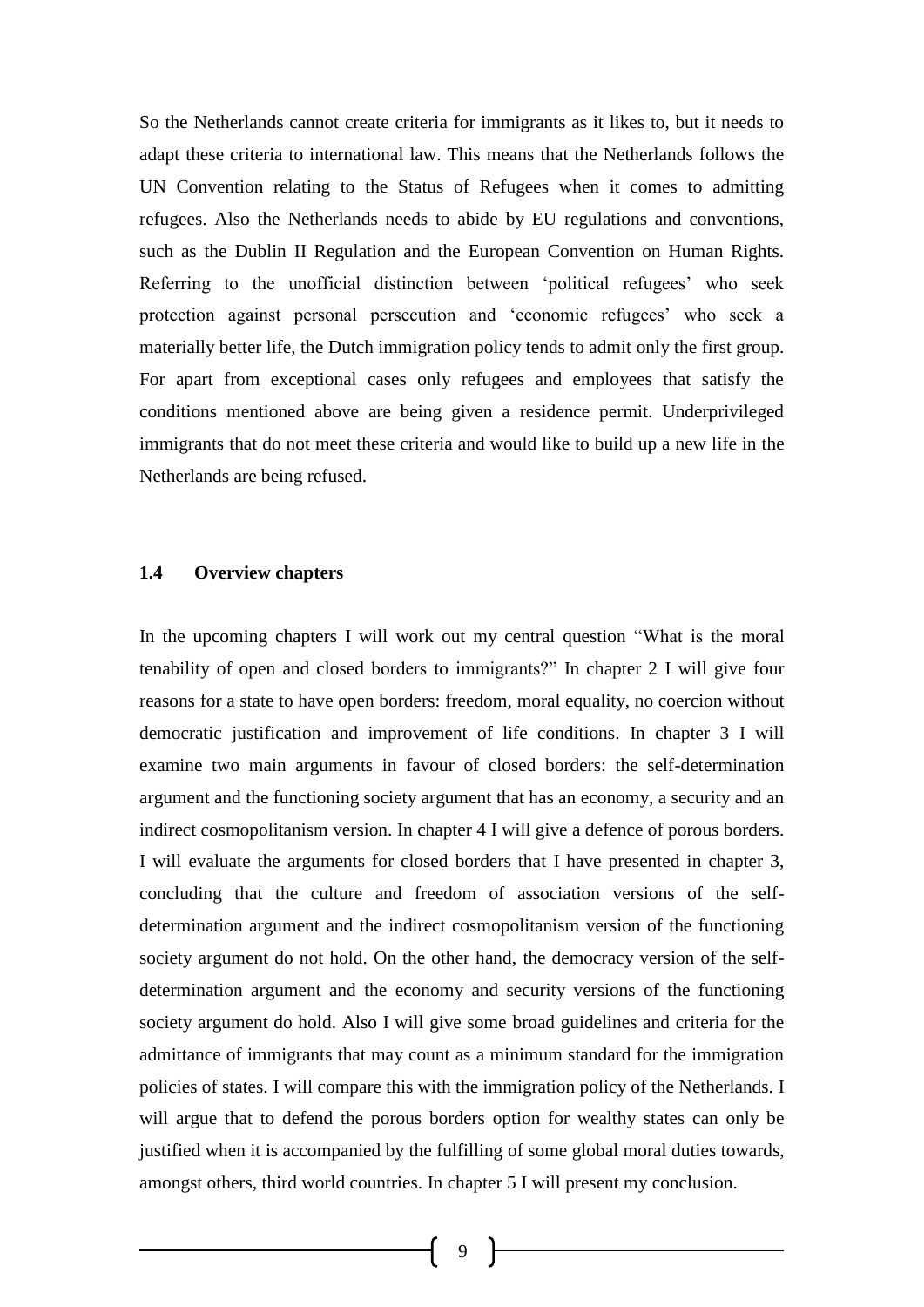So the Netherlands cannot create criteria for immigrants as it likes to, but it needs to adapt these criteria to international law. This means that the Netherlands follows the UN Convention relating to the Status of Refugees when it comes to admitting refugees. Also the Netherlands needs to abide by EU regulations and conventions, such as the Dublin II Regulation and the European Convention on Human Rights. Referring to the unofficial distinction between 'political refugees' who seek protection against personal persecution and 'economic refugees' who seek a materially better life, the Dutch immigration policy tends to admit only the first group. For apart from exceptional cases only refugees and employees that satisfy the conditions mentioned above are being given a residence permit. Underprivileged immigrants that do not meet these criteria and would like to build up a new life in the Netherlands are being refused.

### **1.4 Overview chapters**

In the upcoming chapters I will work out my central question "What is the moral tenability of open and closed borders to immigrants?" In chapter 2 I will give four reasons for a state to have open borders: freedom, moral equality, no coercion without democratic justification and improvement of life conditions. In chapter 3 I will examine two main arguments in favour of closed borders: the self-determination argument and the functioning society argument that has an economy, a security and an indirect cosmopolitanism version. In chapter 4 I will give a defence of porous borders. I will evaluate the arguments for closed borders that I have presented in chapter 3, concluding that the culture and freedom of association versions of the selfdetermination argument and the indirect cosmopolitanism version of the functioning society argument do not hold. On the other hand, the democracy version of the selfdetermination argument and the economy and security versions of the functioning society argument do hold. Also I will give some broad guidelines and criteria for the admittance of immigrants that may count as a minimum standard for the immigration policies of states. I will compare this with the immigration policy of the Netherlands. I will argue that to defend the porous borders option for wealthy states can only be justified when it is accompanied by the fulfilling of some global moral duties towards, amongst others, third world countries. In chapter 5 I will present my conclusion.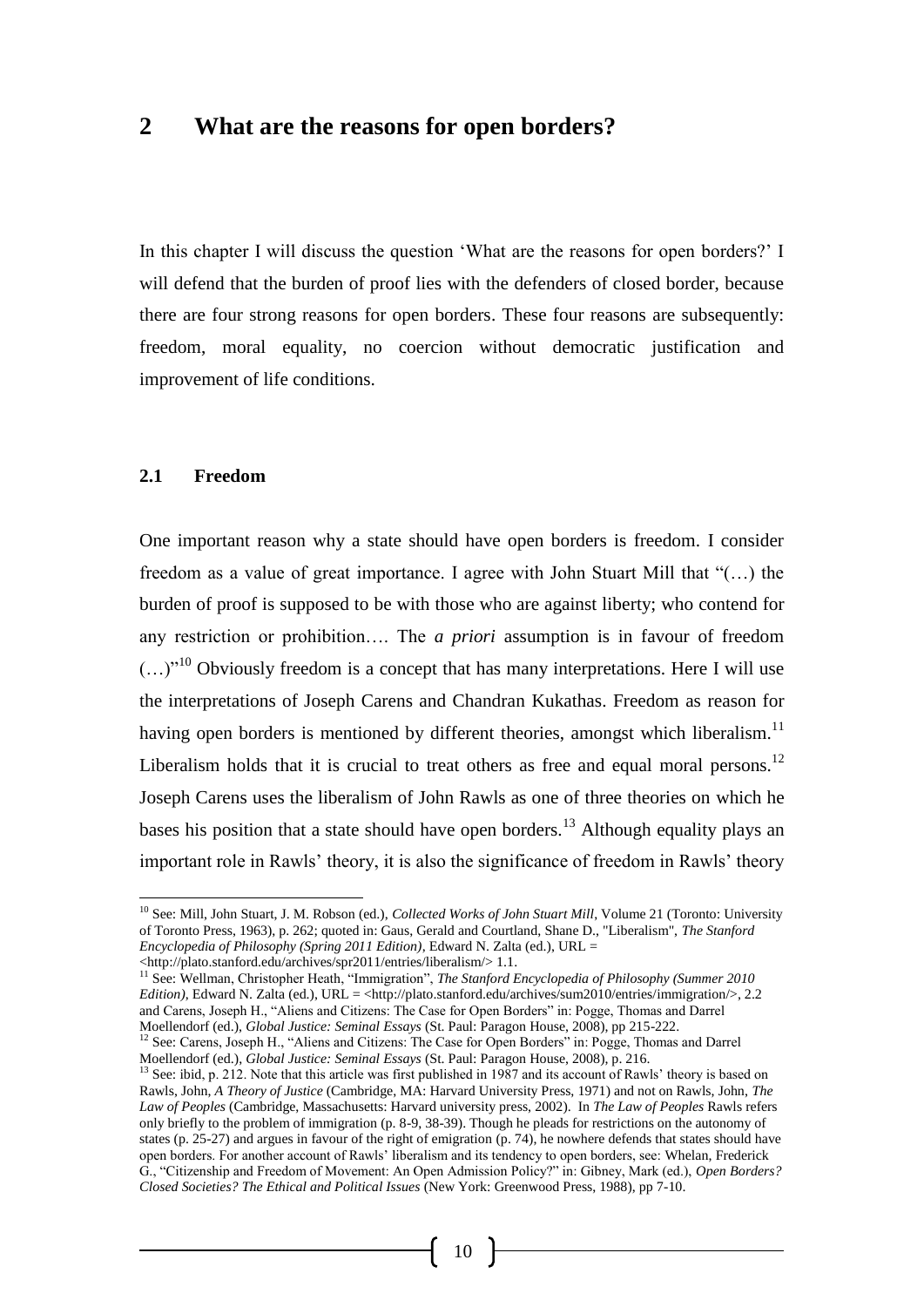## **2 What are the reasons for open borders?**

In this chapter I will discuss the question 'What are the reasons for open borders?' I will defend that the burden of proof lies with the defenders of closed border, because there are four strong reasons for open borders. These four reasons are subsequently: freedom, moral equality, no coercion without democratic justification and improvement of life conditions.

#### **2.1 Freedom**

l

One important reason why a state should have open borders is freedom. I consider freedom as a value of great importance. I agree with John Stuart Mill that "(…) the burden of proof is supposed to be with those who are against liberty; who contend for any restriction or prohibition…. The *a priori* assumption is in favour of freedom  $(...)$ <sup>10</sup> Obviously freedom is a concept that has many interpretations. Here I will use the interpretations of Joseph Carens and Chandran Kukathas. Freedom as reason for having open borders is mentioned by different theories, amongst which liberalism.<sup>11</sup> Liberalism holds that it is crucial to treat others as free and equal moral persons.<sup>12</sup> Joseph Carens uses the liberalism of John Rawls as one of three theories on which he bases his position that a state should have open borders.<sup>13</sup> Although equality plays an important role in Rawls' theory, it is also the significance of freedom in Rawls' theory

<sup>10</sup> See: Mill, John Stuart, J. M. Robson (ed.), *Collected Works of John Stuart Mill*, Volume 21 (Toronto: University of Toronto Press, 1963), p. 262; quoted in: Gaus, Gerald and Courtland, Shane D., "Liberalism", *The Stanford Encyclopedia of Philosophy (Spring 2011 Edition)*, Edward N. Zalta (ed.), URL =

<sup>&</sup>lt;http://plato.stanford.edu/archives/spr2011/entries/liberalism/> 1.1.

<sup>&</sup>lt;sup>11</sup> See: Wellman, Christopher Heath, "Immigration", *The Stanford Encyclopedia of Philosophy (Summer 2010 Edition*), Edward N. Zalta (ed.), URL = <http://plato.stanford.edu/archives/sum2010/entries/immigration/>, 2.2 and Carens, Joseph H., "Aliens and Citizens: The Case for Open Borders" in: Pogge, Thomas and Darrel Moellendorf (ed.), *Global Justice: Seminal Essays* (St. Paul: Paragon House, 2008), pp 215-222.

<sup>&</sup>lt;sup>12</sup> See: Carens, Joseph H., "Aliens and Citizens: The Case for Open Borders" in: Pogge, Thomas and Darrel Moellendorf (ed.), *Global Justice: Seminal Essays* (St. Paul: Paragon House, 2008), p. 216.<br><sup>13</sup> See: ibid. p. 212. Mata duality is a control of the control of the control of the control of the control of the control of t

See: ibid, p. 212. Note that this article was first published in 1987 and its account of Rawls' theory is based on Rawls, John, *A Theory of Justice* (Cambridge, MA: Harvard University Press, 1971) and not on Rawls, John, *The Law of Peoples* (Cambridge, Massachusetts: Harvard university press, 2002). In *The Law of Peoples* Rawls refers only briefly to the problem of immigration (p. 8-9, 38-39). Though he pleads for restrictions on the autonomy of states (p. 25-27) and argues in favour of the right of emigration (p. 74), he nowhere defends that states should have open borders. For another account of Rawls' liberalism and its tendency to open borders, see: Whelan, Frederick G., "Citizenship and Freedom of Movement: An Open Admission Policy?" in: Gibney, Mark (ed.), *Open Borders? Closed Societies? The Ethical and Political Issues* (New York: Greenwood Press, 1988), pp 7-10.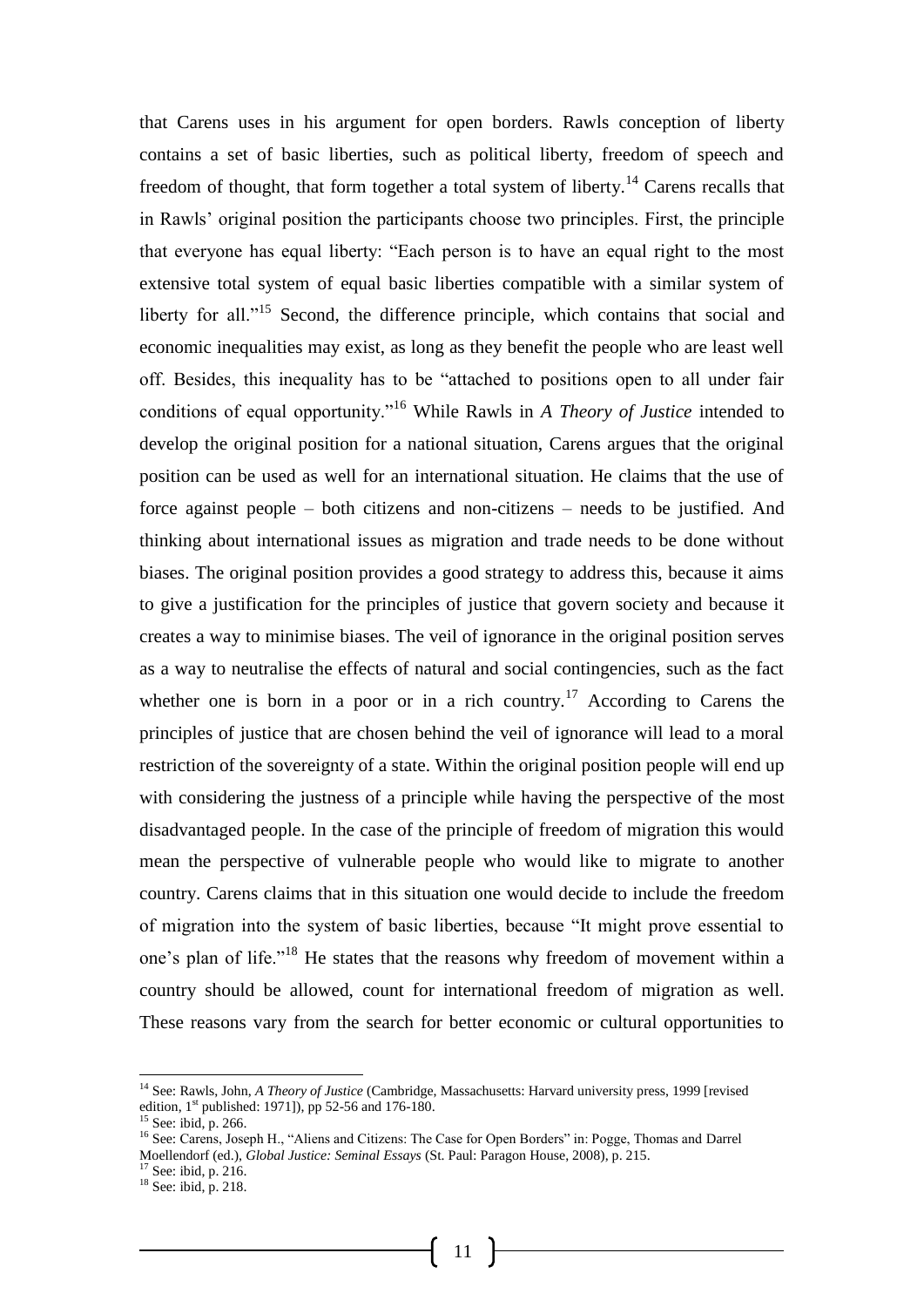that Carens uses in his argument for open borders. Rawls conception of liberty contains a set of basic liberties, such as political liberty, freedom of speech and freedom of thought, that form together a total system of liberty.<sup>14</sup> Carens recalls that in Rawls' original position the participants choose two principles. First, the principle that everyone has equal liberty: "Each person is to have an equal right to the most extensive total system of equal basic liberties compatible with a similar system of liberty for all."<sup>15</sup> Second, the difference principle, which contains that social and economic inequalities may exist, as long as they benefit the people who are least well off. Besides, this inequality has to be "attached to positions open to all under fair conditions of equal opportunity."<sup>16</sup> While Rawls in *A Theory of Justice* intended to develop the original position for a national situation, Carens argues that the original position can be used as well for an international situation. He claims that the use of force against people – both citizens and non-citizens – needs to be justified. And thinking about international issues as migration and trade needs to be done without biases. The original position provides a good strategy to address this, because it aims to give a justification for the principles of justice that govern society and because it creates a way to minimise biases. The veil of ignorance in the original position serves as a way to neutralise the effects of natural and social contingencies, such as the fact whether one is born in a poor or in a rich country.<sup>17</sup> According to Carens the principles of justice that are chosen behind the veil of ignorance will lead to a moral restriction of the sovereignty of a state. Within the original position people will end up with considering the justness of a principle while having the perspective of the most disadvantaged people. In the case of the principle of freedom of migration this would mean the perspective of vulnerable people who would like to migrate to another country. Carens claims that in this situation one would decide to include the freedom of migration into the system of basic liberties, because "It might prove essential to one's plan of life."<sup>18</sup> He states that the reasons why freedom of movement within a country should be allowed, count for international freedom of migration as well. These reasons vary from the search for better economic or cultural opportunities to

-

<sup>14</sup> See: Rawls, John, *A Theory of Justice* (Cambridge, Massachusetts: Harvard university press, 1999 [revised edition,  $1^{st}$  published: 1971]), pp 52-56 and 176-180.

 $15$  See: ibid, p. 266.

<sup>&</sup>lt;sup>16</sup> See: Carens, Joseph H., "Aliens and Citizens: The Case for Open Borders" in: Pogge, Thomas and Darrel Moellendorf (ed.), *Global Justice: Seminal Essays* (St. Paul: Paragon House, 2008), p. 215. <sup>17</sup> See: ibid, p. 216.

<sup>18</sup> See: ibid, p. 218.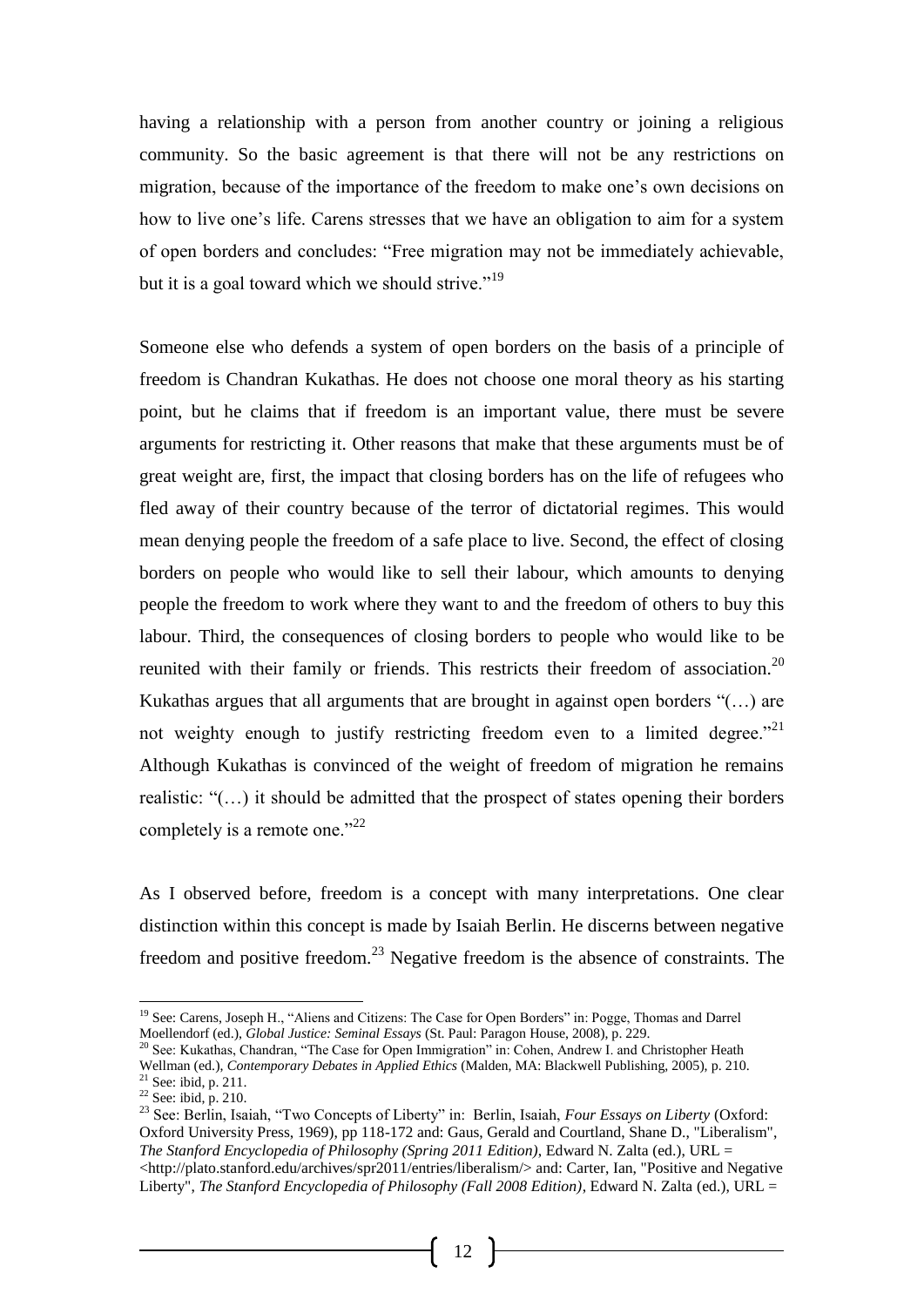having a relationship with a person from another country or joining a religious community. So the basic agreement is that there will not be any restrictions on migration, because of the importance of the freedom to make one's own decisions on how to live one's life. Carens stresses that we have an obligation to aim for a system of open borders and concludes: "Free migration may not be immediately achievable, but it is a goal toward which we should strive."<sup>19</sup>

Someone else who defends a system of open borders on the basis of a principle of freedom is Chandran Kukathas. He does not choose one moral theory as his starting point, but he claims that if freedom is an important value, there must be severe arguments for restricting it. Other reasons that make that these arguments must be of great weight are, first, the impact that closing borders has on the life of refugees who fled away of their country because of the terror of dictatorial regimes. This would mean denying people the freedom of a safe place to live. Second, the effect of closing borders on people who would like to sell their labour, which amounts to denying people the freedom to work where they want to and the freedom of others to buy this labour. Third, the consequences of closing borders to people who would like to be reunited with their family or friends. This restricts their freedom of association.<sup>20</sup> Kukathas argues that all arguments that are brought in against open borders "(…) are not weighty enough to justify restricting freedom even to a limited degree."<sup>21</sup> Although Kukathas is convinced of the weight of freedom of migration he remains realistic: "(…) it should be admitted that the prospect of states opening their borders completely is a remote one."<sup>22</sup>

As I observed before, freedom is a concept with many interpretations. One clear distinction within this concept is made by Isaiah Berlin. He discerns between negative freedom and positive freedom.<sup>23</sup> Negative freedom is the absence of constraints. The

l

<sup>&</sup>lt;sup>19</sup> See: Carens, Joseph H., "Aliens and Citizens: The Case for Open Borders" in: Pogge, Thomas and Darrel Moellendorf (ed.), *Global Justice: Seminal Essays* (St. Paul: Paragon House, 2008), p. 229.

<sup>20</sup> See: Kukathas, Chandran, "The Case for Open Immigration" in: Cohen, Andrew I. and Christopher Heath Wellman (ed.), *Contemporary Debates in Applied Ethics* (Malden, MA: Blackwell Publishing, 2005), p. 210.  $21$  See: ibid, p. 211.

 $22$  See: ibid, p. 210.

<sup>23</sup> See: Berlin, Isaiah, "Two Concepts of Liberty" in: Berlin, Isaiah, *Four Essays on Liberty* (Oxford: Oxford University Press, 1969), pp 118-172 and: Gaus, Gerald and Courtland, Shane D., "Liberalism", *The Stanford Encyclopedia of Philosophy (Spring 2011 Edition)*, Edward N. Zalta (ed.), URL = <http://plato.stanford.edu/archives/spr2011/entries/liberalism/> and: Carter, Ian, "Positive and Negative Liberty", *The Stanford Encyclopedia of Philosophy (Fall 2008 Edition)*, Edward N. Zalta (ed.), URL =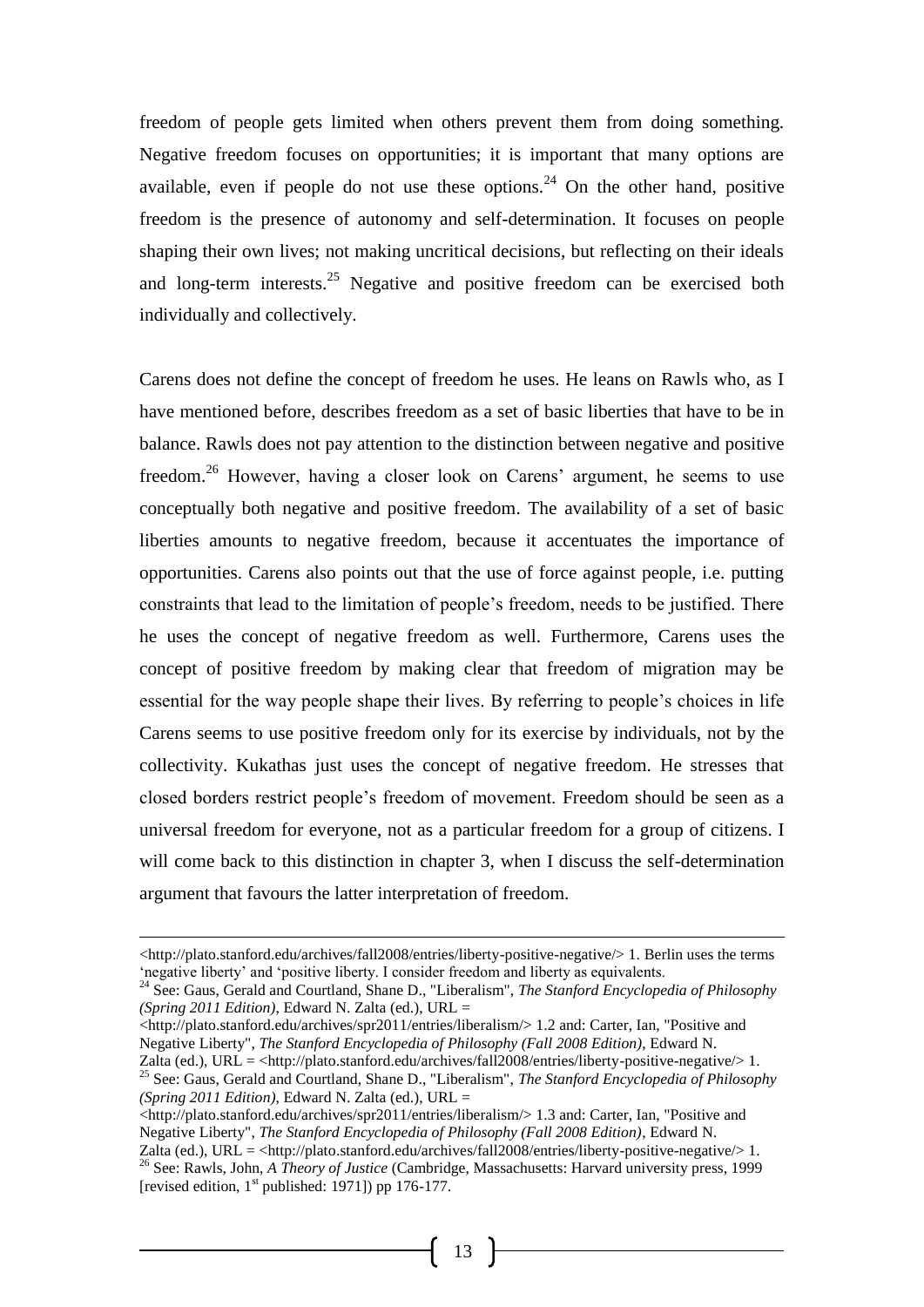freedom of people gets limited when others prevent them from doing something. Negative freedom focuses on opportunities; it is important that many options are available, even if people do not use these options.<sup>24</sup> On the other hand, positive freedom is the presence of autonomy and self-determination. It focuses on people shaping their own lives; not making uncritical decisions, but reflecting on their ideals and long-term interests.<sup>25</sup> Negative and positive freedom can be exercised both individually and collectively.

Carens does not define the concept of freedom he uses. He leans on Rawls who, as I have mentioned before, describes freedom as a set of basic liberties that have to be in balance. Rawls does not pay attention to the distinction between negative and positive freedom.<sup>26</sup> However, having a closer look on Carens' argument, he seems to use conceptually both negative and positive freedom. The availability of a set of basic liberties amounts to negative freedom, because it accentuates the importance of opportunities. Carens also points out that the use of force against people, i.e. putting constraints that lead to the limitation of people's freedom, needs to be justified. There he uses the concept of negative freedom as well. Furthermore, Carens uses the concept of positive freedom by making clear that freedom of migration may be essential for the way people shape their lives. By referring to people's choices in life Carens seems to use positive freedom only for its exercise by individuals, not by the collectivity. Kukathas just uses the concept of negative freedom. He stresses that closed borders restrict people's freedom of movement. Freedom should be seen as a universal freedom for everyone, not as a particular freedom for a group of citizens. I will come back to this distinction in chapter 3, when I discuss the self-determination argument that favours the latter interpretation of freedom.

-

<http://plato.stanford.edu/archives/spr2011/entries/liberalism/> 1.3 and: Carter, Ian, "Positive and Negative Liberty", *The Stanford Encyclopedia of Philosophy (Fall 2008 Edition)*, Edward N. Zalta (ed.), URL = <http://plato.stanford.edu/archives/fall2008/entries/liberty-positive-negative/> 1.

<sup>&</sup>lt;http://plato.stanford.edu/archives/fall2008/entries/liberty-positive-negative/> 1. Berlin uses the terms 'negative liberty' and 'positive liberty. I consider freedom and liberty as equivalents.

<sup>24</sup> See: Gaus, Gerald and Courtland, Shane D., "Liberalism", *The Stanford Encyclopedia of Philosophy (Spring 2011 Edition)*, Edward N. Zalta (ed.), URL =

<sup>&</sup>lt;http://plato.stanford.edu/archives/spr2011/entries/liberalism/> 1.2 and: Carter, Ian, "Positive and Negative Liberty", *The Stanford Encyclopedia of Philosophy (Fall 2008 Edition)*, Edward N. Zalta (ed.), URL = <http://plato.stanford.edu/archives/fall2008/entries/liberty-positive-negative/>1.

<sup>25</sup> See: Gaus, Gerald and Courtland, Shane D., "Liberalism", *The Stanford Encyclopedia of Philosophy (Spring 2011 Edition)*, Edward N. Zalta (ed.), URL =

<sup>26</sup> See: Rawls, John, *A Theory of Justice* (Cambridge, Massachusetts: Harvard university press, 1999 [revised edition,  $1<sup>st</sup>$  published: 1971]) pp 176-177.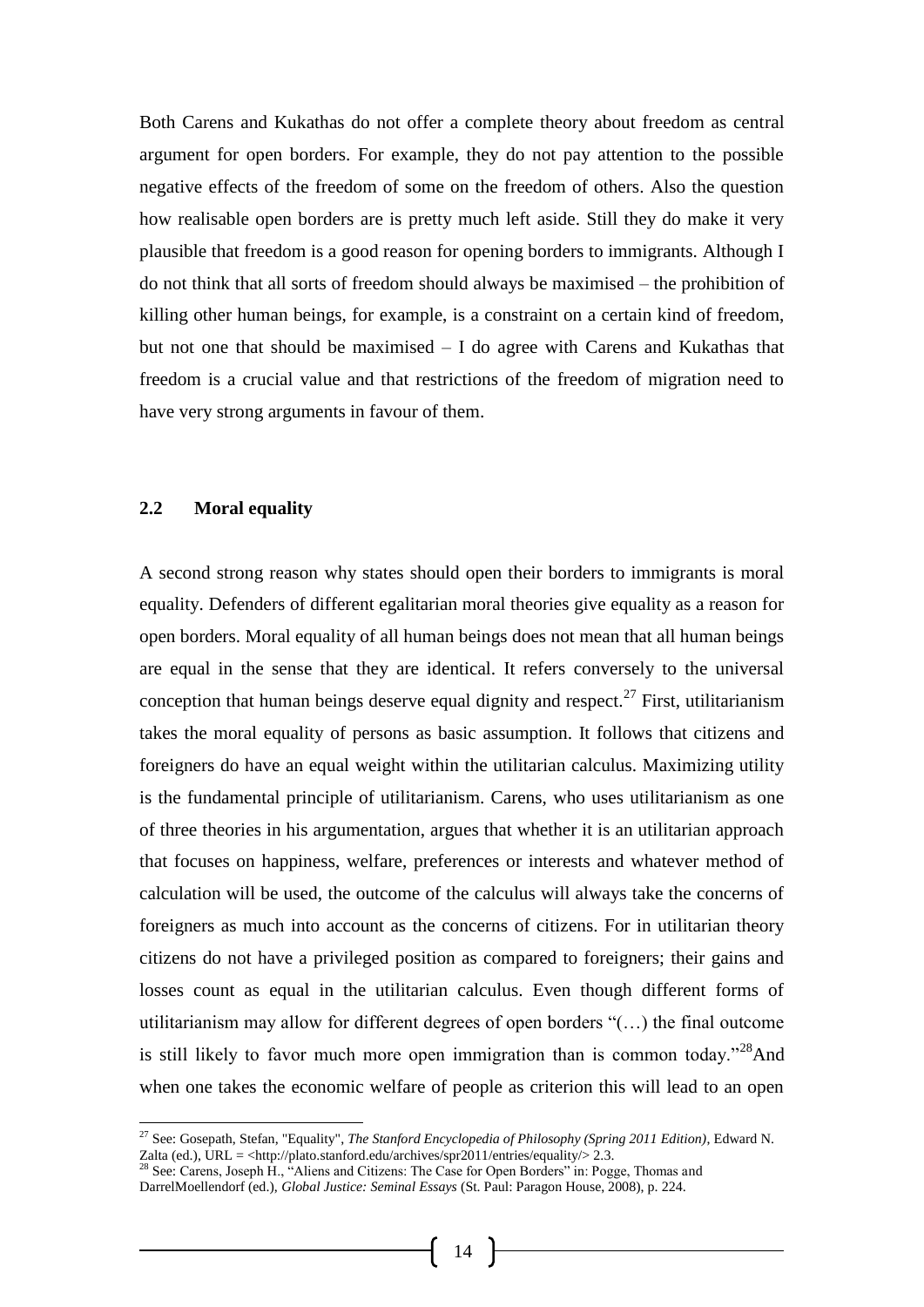Both Carens and Kukathas do not offer a complete theory about freedom as central argument for open borders. For example, they do not pay attention to the possible negative effects of the freedom of some on the freedom of others. Also the question how realisable open borders are is pretty much left aside. Still they do make it very plausible that freedom is a good reason for opening borders to immigrants. Although I do not think that all sorts of freedom should always be maximised – the prohibition of killing other human beings, for example, is a constraint on a certain kind of freedom, but not one that should be maximised – I do agree with Carens and Kukathas that freedom is a crucial value and that restrictions of the freedom of migration need to have very strong arguments in favour of them.

#### **2.2 Moral equality**

A second strong reason why states should open their borders to immigrants is moral equality. Defenders of different egalitarian moral theories give equality as a reason for open borders. Moral equality of all human beings does not mean that all human beings are equal in the sense that they are identical. It refers conversely to the universal conception that human beings deserve equal dignity and respect.<sup>27</sup> First, utilitarianism takes the moral equality of persons as basic assumption. It follows that citizens and foreigners do have an equal weight within the utilitarian calculus. Maximizing utility is the fundamental principle of utilitarianism. Carens, who uses utilitarianism as one of three theories in his argumentation, argues that whether it is an utilitarian approach that focuses on happiness, welfare, preferences or interests and whatever method of calculation will be used, the outcome of the calculus will always take the concerns of foreigners as much into account as the concerns of citizens. For in utilitarian theory citizens do not have a privileged position as compared to foreigners; their gains and losses count as equal in the utilitarian calculus. Even though different forms of utilitarianism may allow for different degrees of open borders "(…) the final outcome is still likely to favor much more open immigration than is common today.<sup> $28$ </sup>And when one takes the economic welfare of people as criterion this will lead to an open

<sup>27</sup> See: Gosepath, Stefan, "Equality", *The Stanford Encyclopedia of Philosophy (Spring 2011 Edition)*, Edward N. Zalta (ed.), URL = <http://plato.stanford.edu/archives/spr2011/entries/equality/> 2.3.

<sup>&</sup>lt;sup>28</sup> See: Carens, Joseph H., "Aliens and Citizens: The Case for Open Borders" in: Pogge, Thomas and DarrelMoellendorf (ed.), *Global Justice: Seminal Essays* (St. Paul: Paragon House, 2008), p. 224.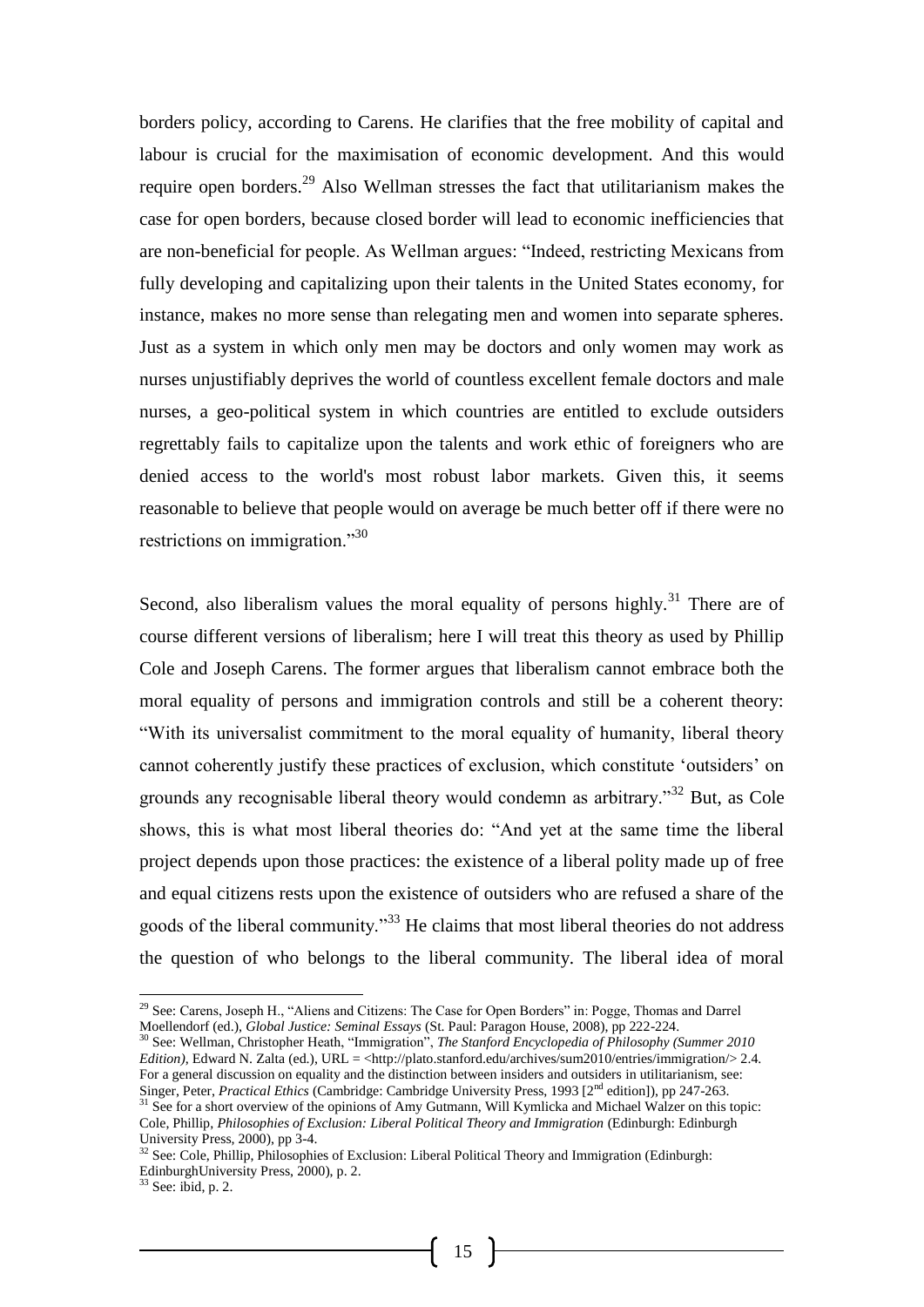borders policy, according to Carens. He clarifies that the free mobility of capital and labour is crucial for the maximisation of economic development. And this would require open borders.<sup>29</sup> Also Wellman stresses the fact that utilitarianism makes the case for open borders, because closed border will lead to economic inefficiencies that are non-beneficial for people. As Wellman argues: "Indeed, restricting Mexicans from fully developing and capitalizing upon their talents in the United States economy, for instance, makes no more sense than relegating men and women into separate spheres. Just as a system in which only men may be doctors and only women may work as nurses unjustifiably deprives the world of countless excellent female doctors and male nurses, a geo-political system in which countries are entitled to exclude outsiders regrettably fails to capitalize upon the talents and work ethic of foreigners who are denied access to the world's most robust labor markets. Given this, it seems reasonable to believe that people would on average be much better off if there were no restrictions on immigration."<sup>30</sup>

Second, also liberalism values the moral equality of persons highly.<sup>31</sup> There are of course different versions of liberalism; here I will treat this theory as used by Phillip Cole and Joseph Carens. The former argues that liberalism cannot embrace both the moral equality of persons and immigration controls and still be a coherent theory: "With its universalist commitment to the moral equality of humanity, liberal theory cannot coherently justify these practices of exclusion, which constitute 'outsiders' on grounds any recognisable liberal theory would condemn as arbitrary."<sup>32</sup> But, as Cole shows, this is what most liberal theories do: "And yet at the same time the liberal project depends upon those practices: the existence of a liberal polity made up of free and equal citizens rests upon the existence of outsiders who are refused a share of the goods of the liberal community."<sup>33</sup> He claims that most liberal theories do not address the question of who belongs to the liberal community. The liberal idea of moral

-

<sup>&</sup>lt;sup>29</sup> See: Carens, Joseph H., "Aliens and Citizens: The Case for Open Borders" in: Pogge, Thomas and Darrel Moellendorf (ed.), *Global Justice: Seminal Essays* (St. Paul: Paragon House, 2008), pp 222-224.

<sup>30</sup> See: Wellman, Christopher Heath, "Immigration", *The Stanford Encyclopedia of Philosophy (Summer 2010 Edition*), Edward N. Zalta (ed.), URL = <http://plato.stanford.edu/archives/sum2010/entries/immigration/> 2.4. For a general discussion on equality and the distinction between insiders and outsiders in utilitarianism, see: Singer, Peter, *Practical Ethics* (Cambridge: Cambridge University Press, 1993 [2<sup>nd</sup> edition]), pp 247-263.  $31$  See for a short overview of the opinions of Amy Gutmann, Will Kymlicka and Michael Walzer on this topic:

Cole, Phillip, *Philosophies of Exclusion: Liberal Political Theory and Immigration* (Edinburgh: Edinburgh University Press, 2000), pp 3-4.

 $32$  See: Cole, Phillip, Philosophies of Exclusion: Liberal Political Theory and Immigration (Edinburgh: EdinburghUniversity Press, 2000), p. 2.

 $33$  See: ibid, p. 2.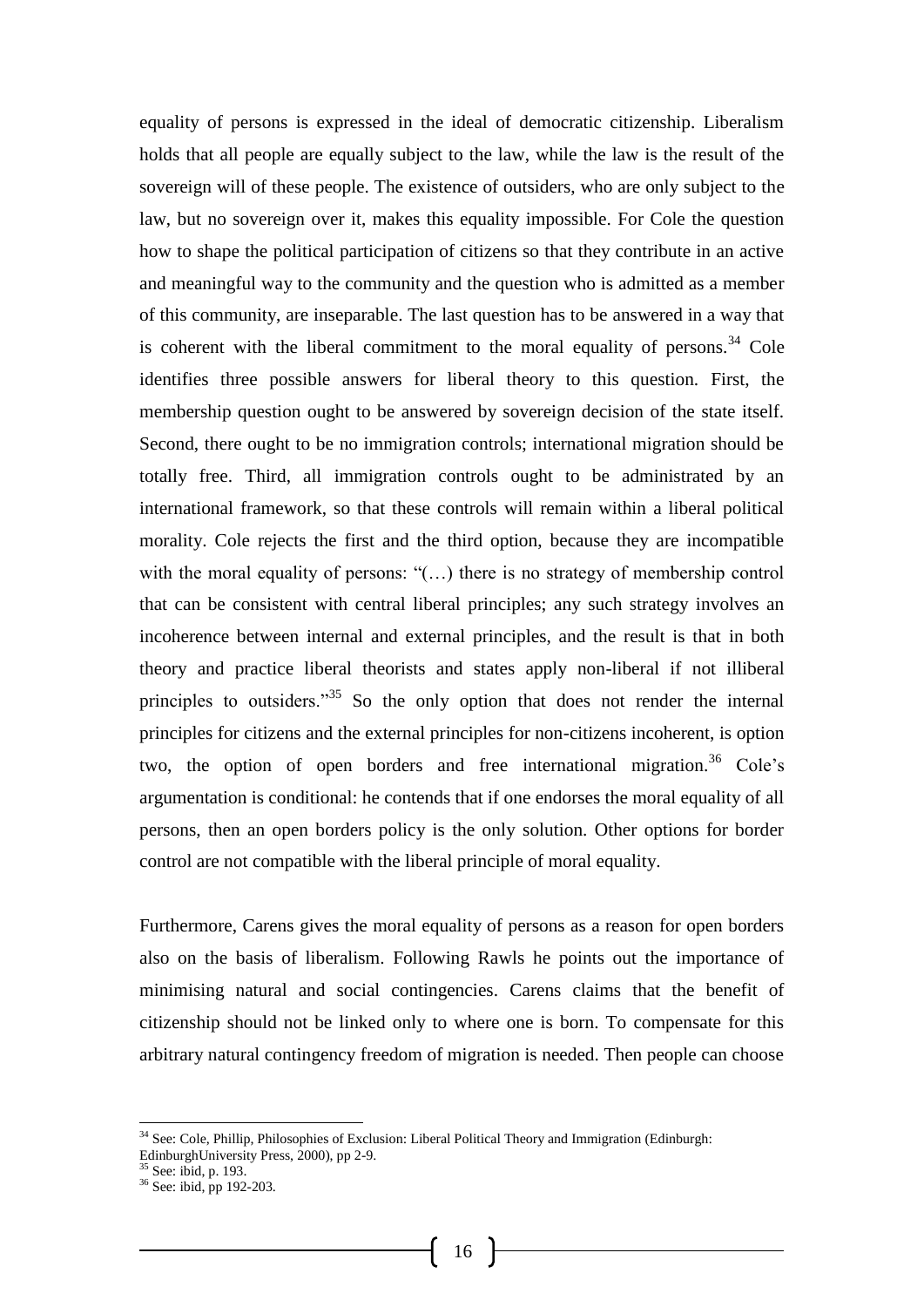equality of persons is expressed in the ideal of democratic citizenship. Liberalism holds that all people are equally subject to the law, while the law is the result of the sovereign will of these people. The existence of outsiders, who are only subject to the law, but no sovereign over it, makes this equality impossible. For Cole the question how to shape the political participation of citizens so that they contribute in an active and meaningful way to the community and the question who is admitted as a member of this community, are inseparable. The last question has to be answered in a way that is coherent with the liberal commitment to the moral equality of persons.<sup>34</sup> Cole identifies three possible answers for liberal theory to this question. First, the membership question ought to be answered by sovereign decision of the state itself. Second, there ought to be no immigration controls; international migration should be totally free. Third, all immigration controls ought to be administrated by an international framework, so that these controls will remain within a liberal political morality. Cole rejects the first and the third option, because they are incompatible with the moral equality of persons: "(...) there is no strategy of membership control that can be consistent with central liberal principles; any such strategy involves an incoherence between internal and external principles, and the result is that in both theory and practice liberal theorists and states apply non-liberal if not illiberal principles to outsiders."<sup>35</sup> So the only option that does not render the internal principles for citizens and the external principles for non-citizens incoherent, is option two, the option of open borders and free international migration.<sup>36</sup> Cole's argumentation is conditional: he contends that if one endorses the moral equality of all persons, then an open borders policy is the only solution. Other options for border control are not compatible with the liberal principle of moral equality.

Furthermore, Carens gives the moral equality of persons as a reason for open borders also on the basis of liberalism. Following Rawls he points out the importance of minimising natural and social contingencies. Carens claims that the benefit of citizenship should not be linked only to where one is born. To compensate for this arbitrary natural contingency freedom of migration is needed. Then people can choose

<sup>&</sup>lt;sup>34</sup> See: Cole, Phillip, Philosophies of Exclusion: Liberal Political Theory and Immigration (Edinburgh: EdinburghUniversity Press, 2000), pp 2-9.

<sup>&</sup>lt;sup>35</sup> See: ibid, p. 193.

<sup>36</sup> See: ibid, pp 192-203.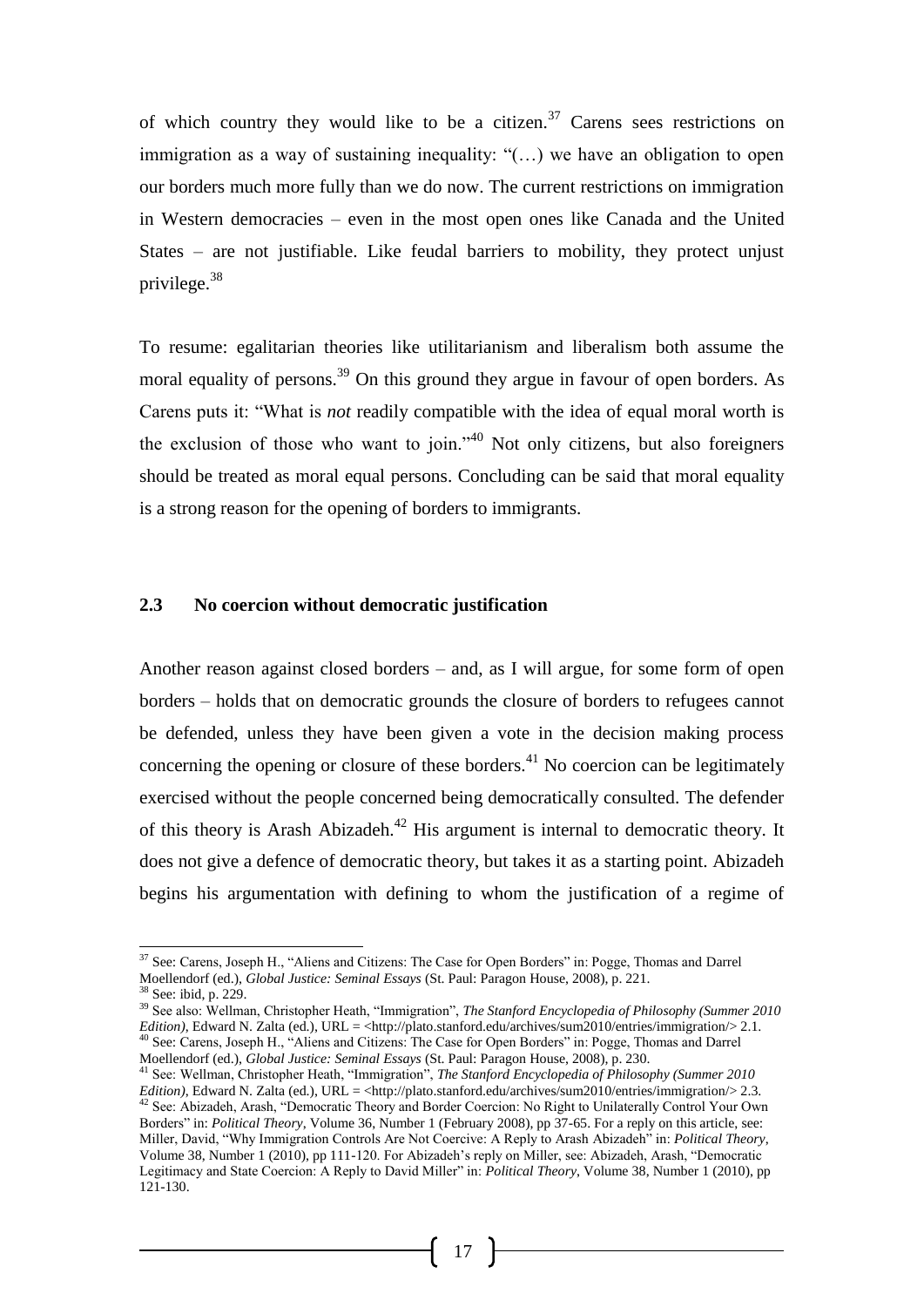of which country they would like to be a citizen.<sup>37</sup> Carens sees restrictions on immigration as a way of sustaining inequality: "(…) we have an obligation to open our borders much more fully than we do now. The current restrictions on immigration in Western democracies – even in the most open ones like Canada and the United States – are not justifiable. Like feudal barriers to mobility, they protect unjust privilege.<sup>38</sup>

To resume: egalitarian theories like utilitarianism and liberalism both assume the moral equality of persons.<sup>39</sup> On this ground they argue in favour of open borders. As Carens puts it: "What is *not* readily compatible with the idea of equal moral worth is the exclusion of those who want to join."<sup>40</sup> Not only citizens, but also foreigners should be treated as moral equal persons. Concluding can be said that moral equality is a strong reason for the opening of borders to immigrants.

#### **2.3 No coercion without democratic justification**

Another reason against closed borders – and, as I will argue, for some form of open borders – holds that on democratic grounds the closure of borders to refugees cannot be defended, unless they have been given a vote in the decision making process concerning the opening or closure of these borders.<sup>41</sup> No coercion can be legitimately exercised without the people concerned being democratically consulted. The defender of this theory is Arash Abizadeh.<sup>42</sup> His argument is internal to democratic theory. It does not give a defence of democratic theory, but takes it as a starting point. Abizadeh begins his argumentation with defining to whom the justification of a regime of

l

<sup>&</sup>lt;sup>37</sup> See: Carens, Joseph H., "Aliens and Citizens: The Case for Open Borders" in: Pogge, Thomas and Darrel Moellendorf (ed.), *Global Justice: Seminal Essays* (St. Paul: Paragon House, 2008), p. 221.

See: ibid, p. 229.

<sup>39</sup> See also: Wellman, Christopher Heath, "Immigration", *The Stanford Encyclopedia of Philosophy (Summer 2010 Edition*), Edward N. Zalta (ed.), URL = <http://plato.stanford.edu/archives/sum2010/entries/immigration/> 2.1. <sup>40</sup> See: Carens, Joseph H., "Aliens and Citizens: The Case for Open Borders" in: Pogge, Thomas and Darrel Moellendorf (ed.), *Global Justice: Seminal Essays* (St. Paul: Paragon House, 2008), p. 230.

<sup>41</sup> See: Wellman, Christopher Heath, "Immigration", *The Stanford Encyclopedia of Philosophy (Summer 2010 Edition*), Edward N. Zalta (ed.), URL = <http://plato.stanford.edu/archives/sum2010/entries/immigration/> 2.3.  $42$  See: Abizadeh, Arash, "Democratic Theory and Border Coercion: No Right to Unilaterally Control Your Own Borders" in: *Political Theory*, Volume 36, Number 1 (February 2008), pp 37-65. For a reply on this article, see: Miller, David, "Why Immigration Controls Are Not Coercive: A Reply to Arash Abizadeh" in: *Political Theory*, Volume 38, Number 1 (2010), pp 111-120. For Abizadeh's reply on Miller, see: Abizadeh, Arash, "Democratic Legitimacy and State Coercion: A Reply to David Miller" in: *Political Theory*, Volume 38, Number 1 (2010), pp  $121 - 130$ .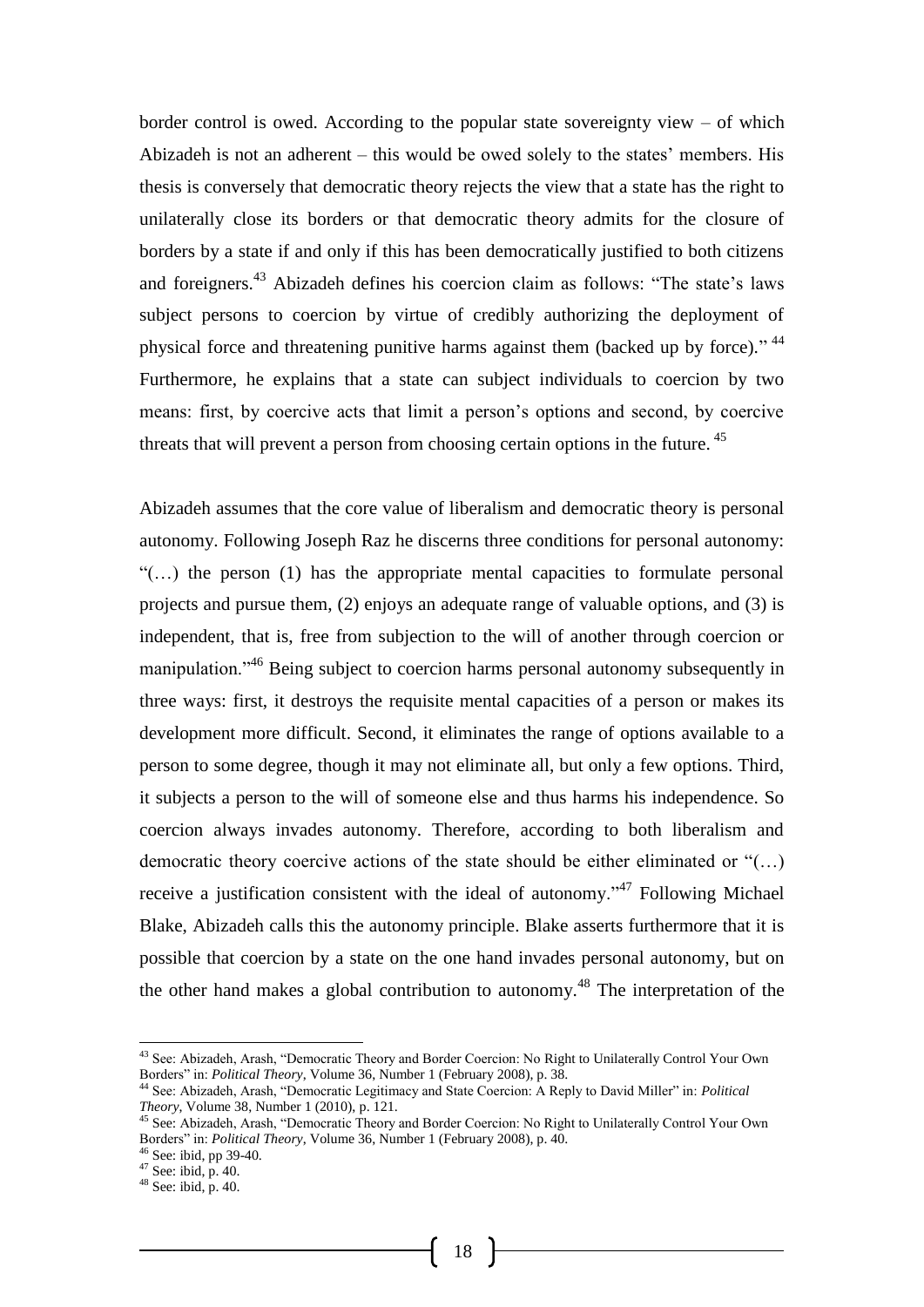border control is owed. According to the popular state sovereignty view – of which Abizadeh is not an adherent – this would be owed solely to the states' members. His thesis is conversely that democratic theory rejects the view that a state has the right to unilaterally close its borders or that democratic theory admits for the closure of borders by a state if and only if this has been democratically justified to both citizens and foreigners.<sup>43</sup> Abizadeh defines his coercion claim as follows: "The state's laws subject persons to coercion by virtue of credibly authorizing the deployment of physical force and threatening punitive harms against them (backed up by force)." <sup>44</sup> Furthermore, he explains that a state can subject individuals to coercion by two means: first, by coercive acts that limit a person's options and second, by coercive threats that will prevent a person from choosing certain options in the future. <sup>45</sup>

Abizadeh assumes that the core value of liberalism and democratic theory is personal autonomy. Following Joseph Raz he discerns three conditions for personal autonomy: "(…) the person (1) has the appropriate mental capacities to formulate personal projects and pursue them, (2) enjoys an adequate range of valuable options, and (3) is independent, that is, free from subjection to the will of another through coercion or manipulation."<sup>46</sup> Being subject to coercion harms personal autonomy subsequently in three ways: first, it destroys the requisite mental capacities of a person or makes its development more difficult. Second, it eliminates the range of options available to a person to some degree, though it may not eliminate all, but only a few options. Third, it subjects a person to the will of someone else and thus harms his independence. So coercion always invades autonomy. Therefore, according to both liberalism and democratic theory coercive actions of the state should be either eliminated or "(…) receive a justification consistent with the ideal of autonomy."<sup>47</sup> Following Michael Blake, Abizadeh calls this the autonomy principle. Blake asserts furthermore that it is possible that coercion by a state on the one hand invades personal autonomy, but on the other hand makes a global contribution to autonomy.<sup>48</sup> The interpretation of the

-

<sup>&</sup>lt;sup>43</sup> See: Abizadeh, Arash, "Democratic Theory and Border Coercion: No Right to Unilaterally Control Your Own Borders" in: *Political Theory*, Volume 36, Number 1 (February 2008), p. 38.

<sup>44</sup> See: Abizadeh, Arash, "Democratic Legitimacy and State Coercion: A Reply to David Miller" in: *Political Theory*, Volume 38, Number 1 (2010), p. 121.

<sup>&</sup>lt;sup>45</sup> See: Abizadeh, Arash, "Democratic Theory and Border Coercion: No Right to Unilaterally Control Your Own Borders" in: *Political Theory*, Volume 36, Number 1 (February 2008), p. 40.

<sup>46</sup> See: ibid, pp 39-40.

<sup>47</sup> See: ibid, p. 40.

 $48$  See: ibid, p. 40.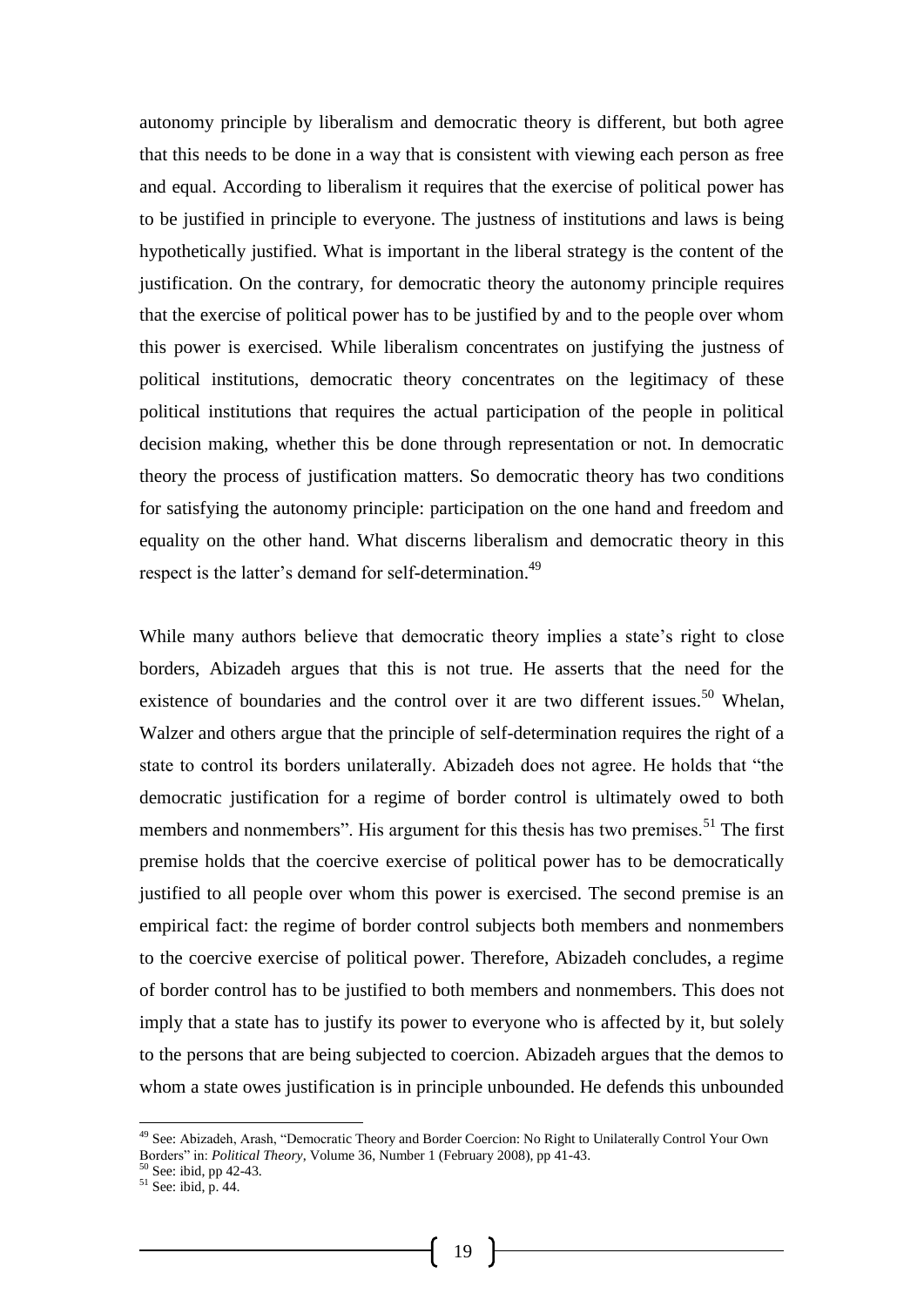autonomy principle by liberalism and democratic theory is different, but both agree that this needs to be done in a way that is consistent with viewing each person as free and equal. According to liberalism it requires that the exercise of political power has to be justified in principle to everyone. The justness of institutions and laws is being hypothetically justified. What is important in the liberal strategy is the content of the justification. On the contrary, for democratic theory the autonomy principle requires that the exercise of political power has to be justified by and to the people over whom this power is exercised. While liberalism concentrates on justifying the justness of political institutions, democratic theory concentrates on the legitimacy of these political institutions that requires the actual participation of the people in political decision making, whether this be done through representation or not. In democratic theory the process of justification matters. So democratic theory has two conditions for satisfying the autonomy principle: participation on the one hand and freedom and equality on the other hand. What discerns liberalism and democratic theory in this respect is the latter's demand for self-determination.<sup>49</sup>

While many authors believe that democratic theory implies a state's right to close borders, Abizadeh argues that this is not true. He asserts that the need for the existence of boundaries and the control over it are two different issues.<sup>50</sup> Whelan, Walzer and others argue that the principle of self-determination requires the right of a state to control its borders unilaterally. Abizadeh does not agree. He holds that "the democratic justification for a regime of border control is ultimately owed to both members and nonmembers". His argument for this thesis has two premises.<sup>51</sup> The first premise holds that the coercive exercise of political power has to be democratically justified to all people over whom this power is exercised. The second premise is an empirical fact: the regime of border control subjects both members and nonmembers to the coercive exercise of political power. Therefore, Abizadeh concludes, a regime of border control has to be justified to both members and nonmembers. This does not imply that a state has to justify its power to everyone who is affected by it, but solely to the persons that are being subjected to coercion. Abizadeh argues that the demos to whom a state owes justification is in principle unbounded. He defends this unbounded

<sup>&</sup>lt;sup>49</sup> See: Abizadeh, Arash, "Democratic Theory and Border Coercion: No Right to Unilaterally Control Your Own Borders" in: *Political Theory*, Volume 36, Number 1 (February 2008), pp 41-43.

<sup>50</sup> See: ibid, pp 42-43.

 $51$  See: ibid, p. 44.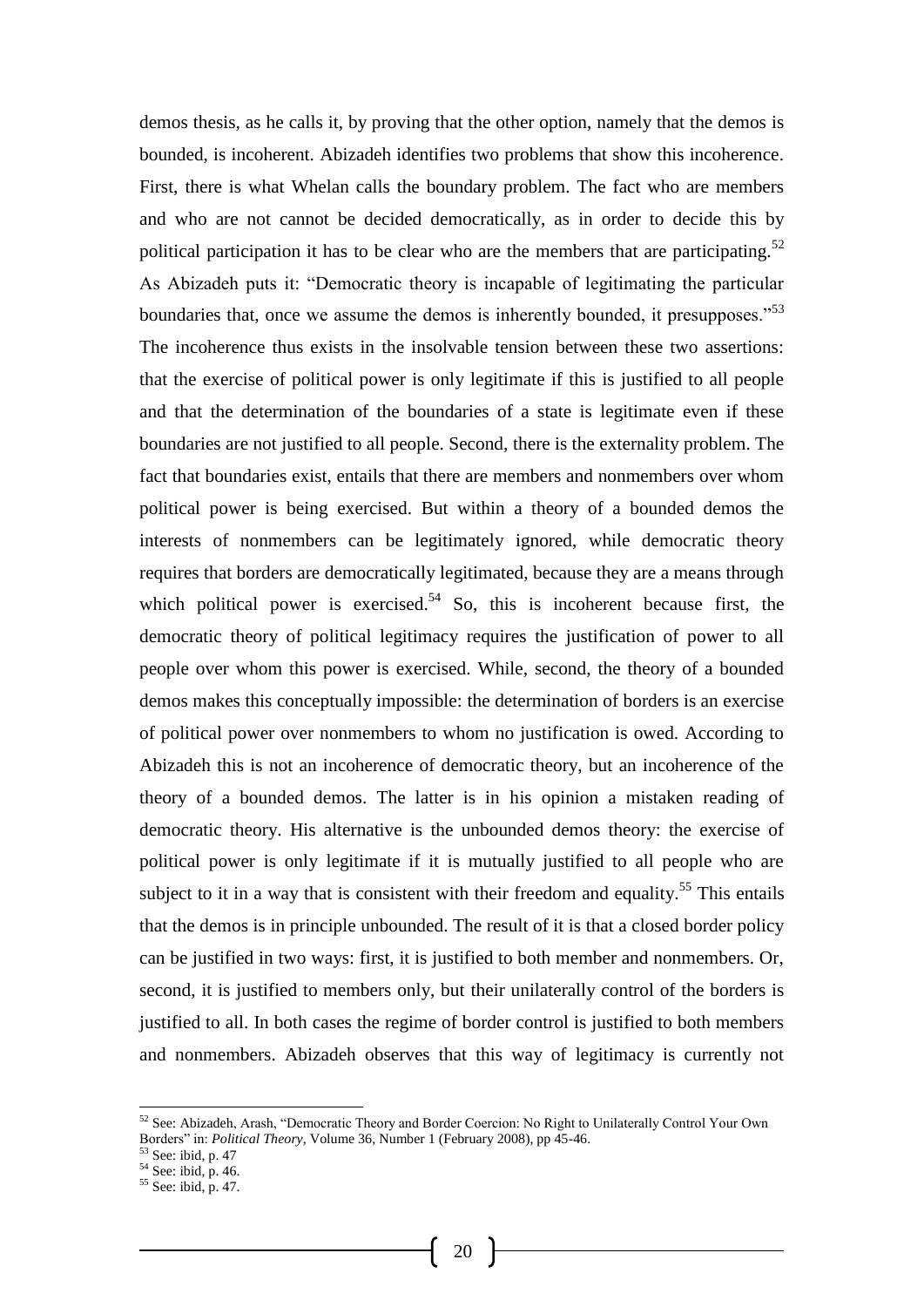demos thesis, as he calls it, by proving that the other option, namely that the demos is bounded, is incoherent. Abizadeh identifies two problems that show this incoherence. First, there is what Whelan calls the boundary problem. The fact who are members and who are not cannot be decided democratically, as in order to decide this by political participation it has to be clear who are the members that are participating.<sup>52</sup> As Abizadeh puts it: "Democratic theory is incapable of legitimating the particular boundaries that, once we assume the demos is inherently bounded, it presupposes."<sup>53</sup> The incoherence thus exists in the insolvable tension between these two assertions: that the exercise of political power is only legitimate if this is justified to all people and that the determination of the boundaries of a state is legitimate even if these boundaries are not justified to all people. Second, there is the externality problem. The fact that boundaries exist, entails that there are members and nonmembers over whom political power is being exercised. But within a theory of a bounded demos the interests of nonmembers can be legitimately ignored, while democratic theory requires that borders are democratically legitimated, because they are a means through which political power is exercised.<sup>54</sup> So, this is incoherent because first, the democratic theory of political legitimacy requires the justification of power to all people over whom this power is exercised. While, second, the theory of a bounded demos makes this conceptually impossible: the determination of borders is an exercise of political power over nonmembers to whom no justification is owed. According to Abizadeh this is not an incoherence of democratic theory, but an incoherence of the theory of a bounded demos. The latter is in his opinion a mistaken reading of democratic theory. His alternative is the unbounded demos theory: the exercise of political power is only legitimate if it is mutually justified to all people who are subject to it in a way that is consistent with their freedom and equality.<sup>55</sup> This entails that the demos is in principle unbounded. The result of it is that a closed border policy can be justified in two ways: first, it is justified to both member and nonmembers. Or, second, it is justified to members only, but their unilaterally control of the borders is justified to all. In both cases the regime of border control is justified to both members and nonmembers. Abizadeh observes that this way of legitimacy is currently not

-

 $52$  See: Abizadeh, Arash, "Democratic Theory and Border Coercion: No Right to Unilaterally Control Your Own Borders" in: *Political Theory*, Volume 36, Number 1 (February 2008), pp 45-46.

<sup>53</sup> See: ibid, p. 47

 $54$  See: ibid, p. 46.

<sup>55</sup> See: ibid, p. 47.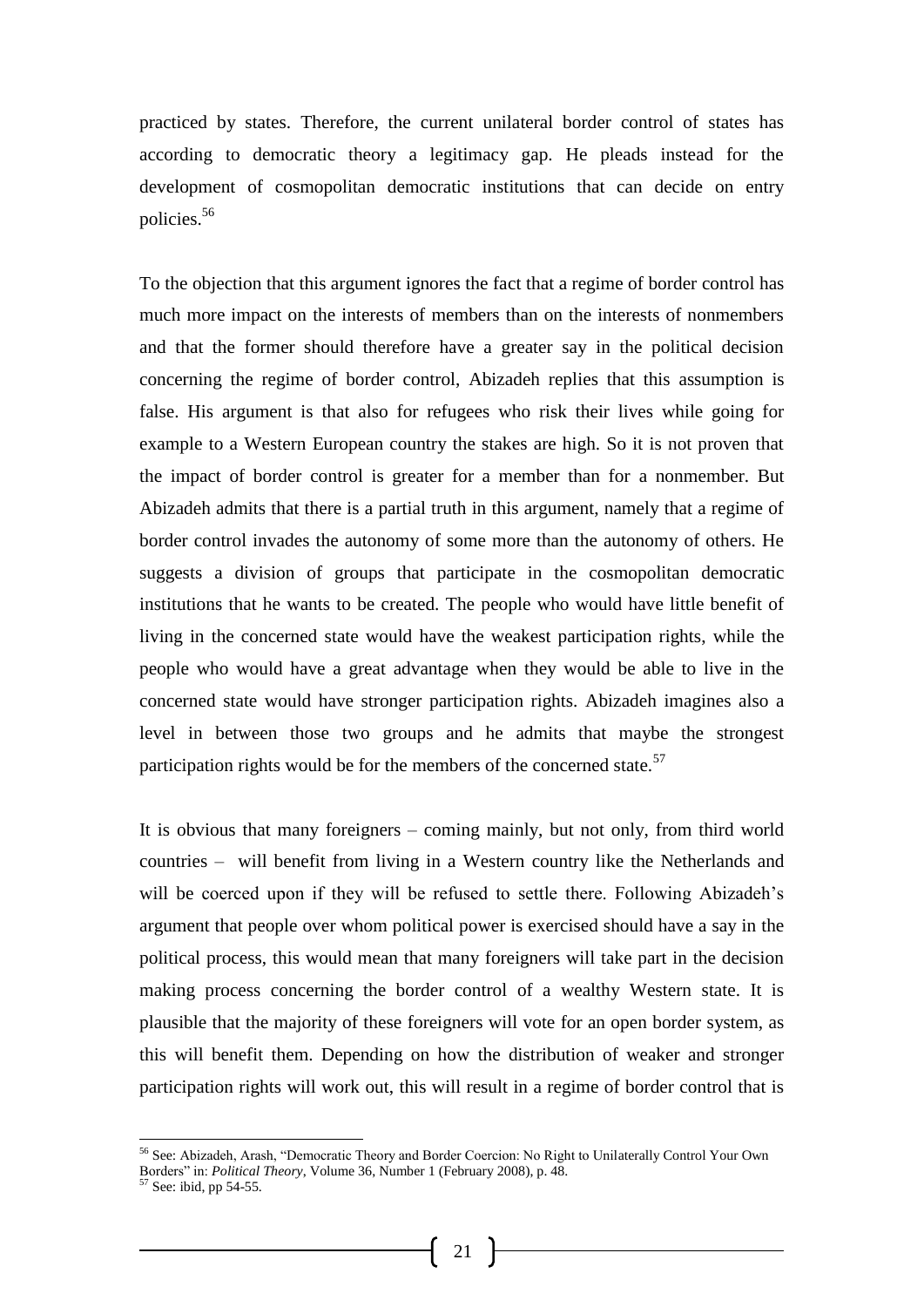practiced by states. Therefore, the current unilateral border control of states has according to democratic theory a legitimacy gap. He pleads instead for the development of cosmopolitan democratic institutions that can decide on entry policies.<sup>56</sup>

To the objection that this argument ignores the fact that a regime of border control has much more impact on the interests of members than on the interests of nonmembers and that the former should therefore have a greater say in the political decision concerning the regime of border control, Abizadeh replies that this assumption is false. His argument is that also for refugees who risk their lives while going for example to a Western European country the stakes are high. So it is not proven that the impact of border control is greater for a member than for a nonmember. But Abizadeh admits that there is a partial truth in this argument, namely that a regime of border control invades the autonomy of some more than the autonomy of others. He suggests a division of groups that participate in the cosmopolitan democratic institutions that he wants to be created. The people who would have little benefit of living in the concerned state would have the weakest participation rights, while the people who would have a great advantage when they would be able to live in the concerned state would have stronger participation rights. Abizadeh imagines also a level in between those two groups and he admits that maybe the strongest participation rights would be for the members of the concerned state. $57$ 

It is obvious that many foreigners – coming mainly, but not only, from third world countries – will benefit from living in a Western country like the Netherlands and will be coerced upon if they will be refused to settle there. Following Abizadeh's argument that people over whom political power is exercised should have a say in the political process, this would mean that many foreigners will take part in the decision making process concerning the border control of a wealthy Western state. It is plausible that the majority of these foreigners will vote for an open border system, as this will benefit them. Depending on how the distribution of weaker and stronger participation rights will work out, this will result in a regime of border control that is

<sup>&</sup>lt;sup>56</sup> See: Abizadeh, Arash, "Democratic Theory and Border Coercion: No Right to Unilaterally Control Your Own Borders" in: *Political Theory*, Volume 36, Number 1 (February 2008), p. 48.

<sup>57</sup> See: ibid, pp 54-55.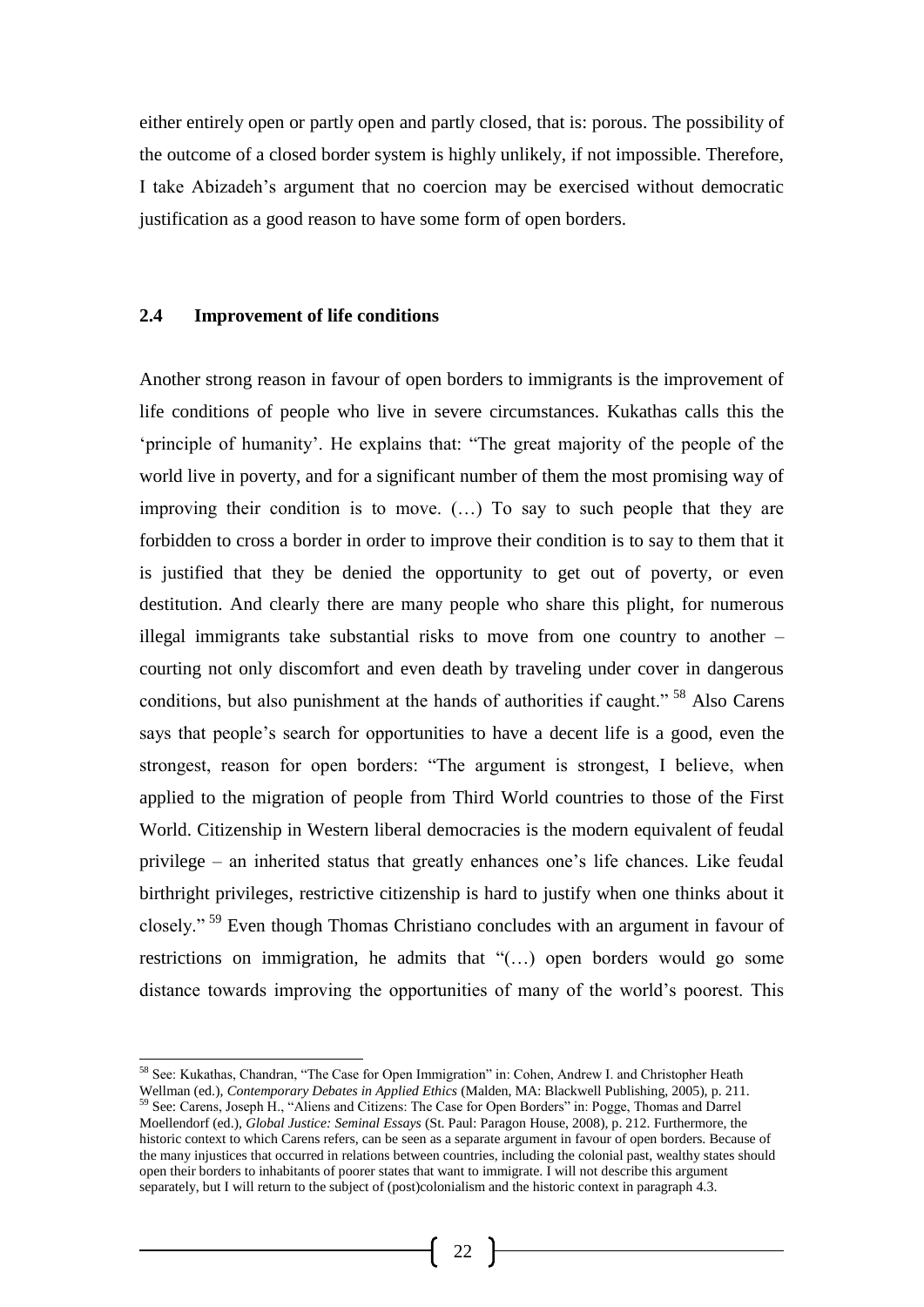either entirely open or partly open and partly closed, that is: porous. The possibility of the outcome of a closed border system is highly unlikely, if not impossible. Therefore, I take Abizadeh's argument that no coercion may be exercised without democratic justification as a good reason to have some form of open borders.

### **2.4 Improvement of life conditions**

Another strong reason in favour of open borders to immigrants is the improvement of life conditions of people who live in severe circumstances. Kukathas calls this the 'principle of humanity'. He explains that: "The great majority of the people of the world live in poverty, and for a significant number of them the most promising way of improving their condition is to move. (…) To say to such people that they are forbidden to cross a border in order to improve their condition is to say to them that it is justified that they be denied the opportunity to get out of poverty, or even destitution. And clearly there are many people who share this plight, for numerous illegal immigrants take substantial risks to move from one country to another – courting not only discomfort and even death by traveling under cover in dangerous conditions, but also punishment at the hands of authorities if caught." <sup>58</sup> Also Carens says that people's search for opportunities to have a decent life is a good, even the strongest, reason for open borders: "The argument is strongest, I believe, when applied to the migration of people from Third World countries to those of the First World. Citizenship in Western liberal democracies is the modern equivalent of feudal privilege – an inherited status that greatly enhances one's life chances. Like feudal birthright privileges, restrictive citizenship is hard to justify when one thinks about it closely." <sup>59</sup> Even though Thomas Christiano concludes with an argument in favour of restrictions on immigration, he admits that "(…) open borders would go some distance towards improving the opportunities of many of the world's poorest. This

l <sup>58</sup> See: Kukathas, Chandran, "The Case for Open Immigration" in: Cohen, Andrew I. and Christopher Heath Wellman (ed.), *Contemporary Debates in Applied Ethics* (Malden, MA: Blackwell Publishing, 2005), p. 211. <sup>59</sup> See: Carens, Joseph H., "Aliens and Citizens: The Case for Open Borders" in: Pogge, Thomas and Darrel Moellendorf (ed.), *Global Justice: Seminal Essays* (St. Paul: Paragon House, 2008), p. 212. Furthermore, the historic context to which Carens refers, can be seen as a separate argument in favour of open borders. Because of the many injustices that occurred in relations between countries, including the colonial past, wealthy states should open their borders to inhabitants of poorer states that want to immigrate. I will not describe this argument separately, but I will return to the subject of (post)colonialism and the historic context in paragraph 4.3.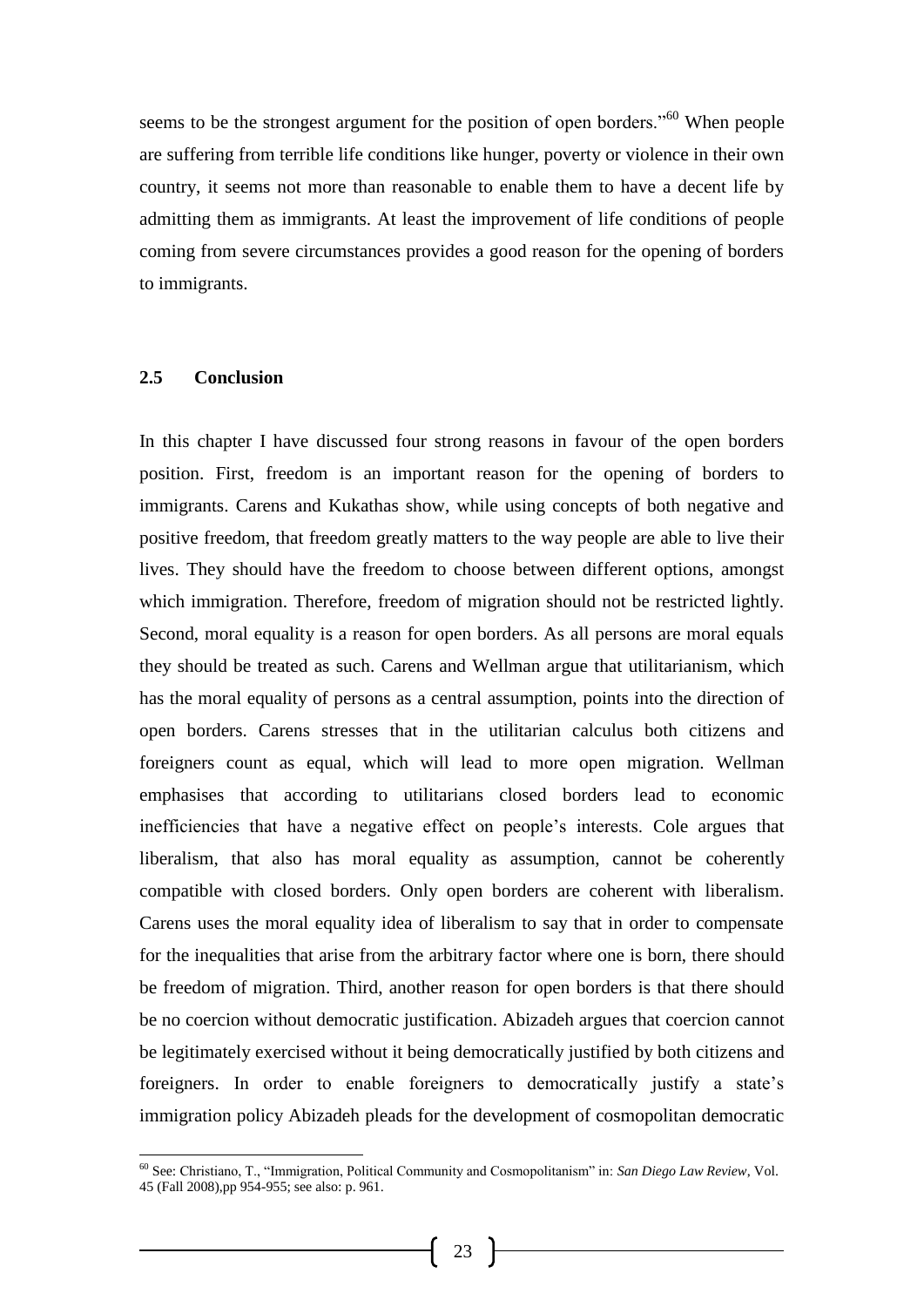seems to be the strongest argument for the position of open borders."<sup>60</sup> When people are suffering from terrible life conditions like hunger, poverty or violence in their own country, it seems not more than reasonable to enable them to have a decent life by admitting them as immigrants. At least the improvement of life conditions of people coming from severe circumstances provides a good reason for the opening of borders to immigrants.

#### **2.5 Conclusion**

-

In this chapter I have discussed four strong reasons in favour of the open borders position. First, freedom is an important reason for the opening of borders to immigrants. Carens and Kukathas show, while using concepts of both negative and positive freedom, that freedom greatly matters to the way people are able to live their lives. They should have the freedom to choose between different options, amongst which immigration. Therefore, freedom of migration should not be restricted lightly. Second, moral equality is a reason for open borders. As all persons are moral equals they should be treated as such. Carens and Wellman argue that utilitarianism, which has the moral equality of persons as a central assumption, points into the direction of open borders. Carens stresses that in the utilitarian calculus both citizens and foreigners count as equal, which will lead to more open migration. Wellman emphasises that according to utilitarians closed borders lead to economic inefficiencies that have a negative effect on people's interests. Cole argues that liberalism, that also has moral equality as assumption, cannot be coherently compatible with closed borders. Only open borders are coherent with liberalism. Carens uses the moral equality idea of liberalism to say that in order to compensate for the inequalities that arise from the arbitrary factor where one is born, there should be freedom of migration. Third, another reason for open borders is that there should be no coercion without democratic justification. Abizadeh argues that coercion cannot be legitimately exercised without it being democratically justified by both citizens and foreigners. In order to enable foreigners to democratically justify a state's immigration policy Abizadeh pleads for the development of cosmopolitan democratic

<sup>60</sup> See: Christiano, T., "Immigration, Political Community and Cosmopolitanism" in: *San Diego Law Review*, Vol. 45 (Fall 2008),pp 954-955; see also: p. 961.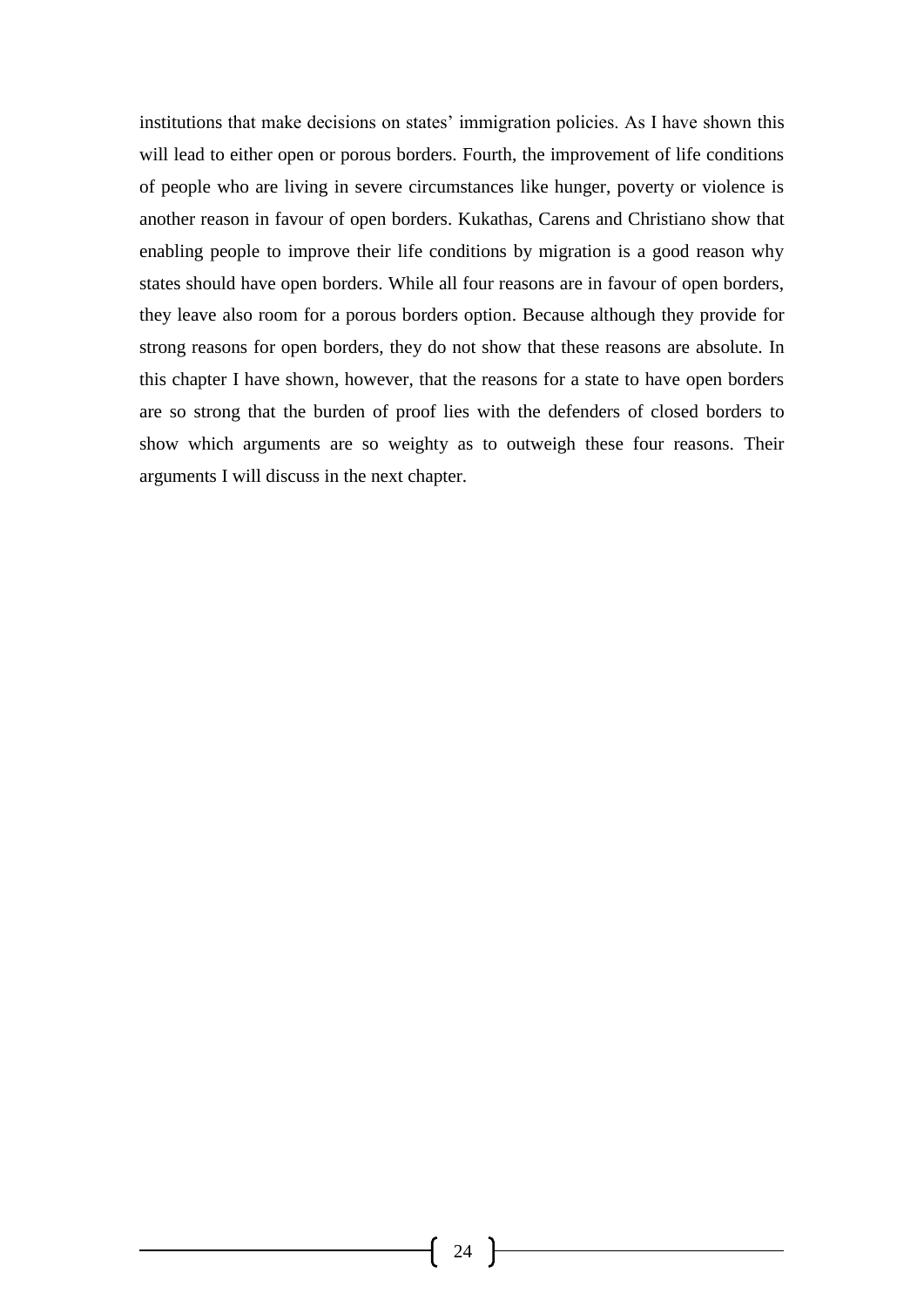institutions that make decisions on states' immigration policies. As I have shown this will lead to either open or porous borders. Fourth, the improvement of life conditions of people who are living in severe circumstances like hunger, poverty or violence is another reason in favour of open borders. Kukathas, Carens and Christiano show that enabling people to improve their life conditions by migration is a good reason why states should have open borders. While all four reasons are in favour of open borders, they leave also room for a porous borders option. Because although they provide for strong reasons for open borders, they do not show that these reasons are absolute. In this chapter I have shown, however, that the reasons for a state to have open borders are so strong that the burden of proof lies with the defenders of closed borders to show which arguments are so weighty as to outweigh these four reasons. Their arguments I will discuss in the next chapter.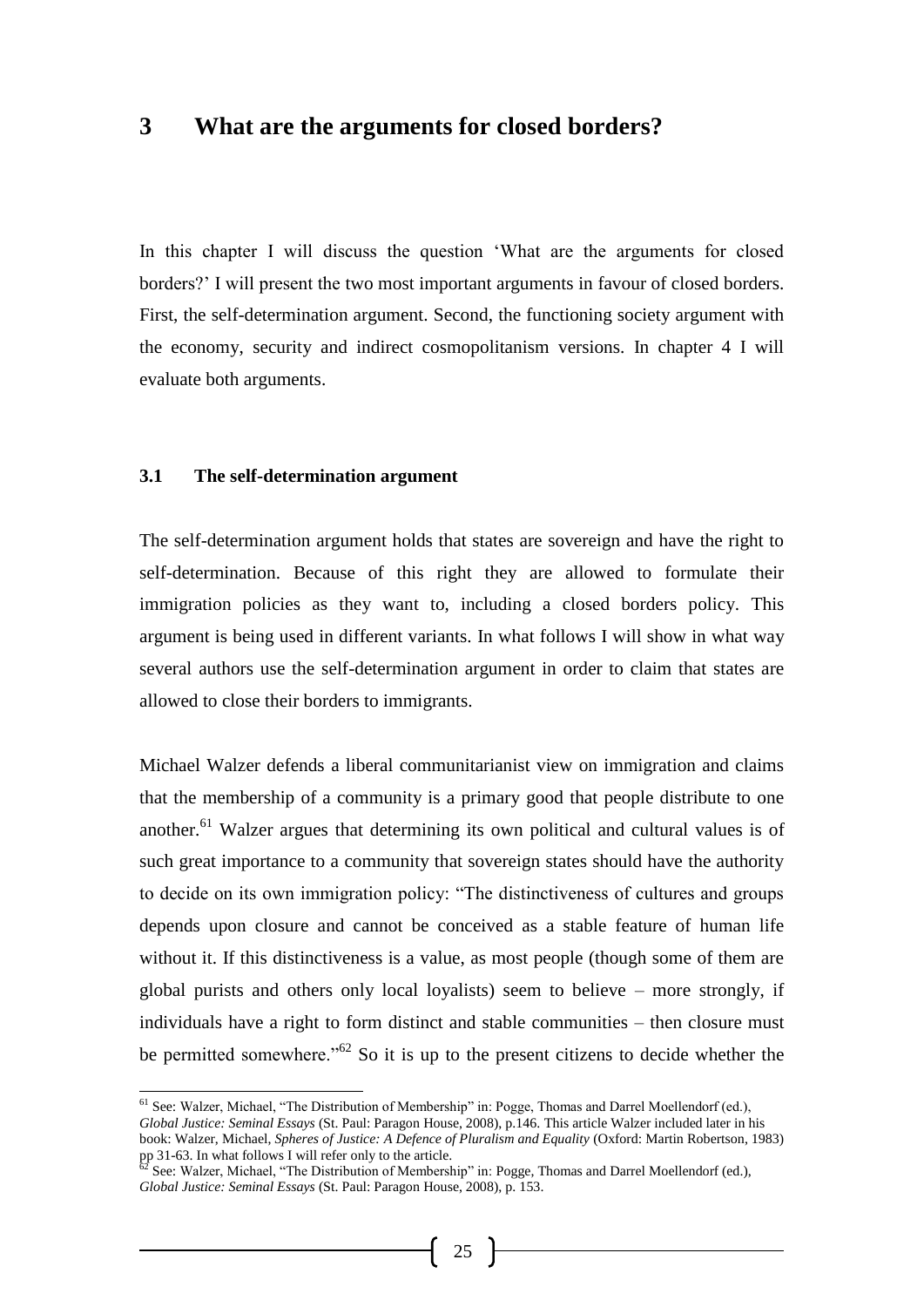## **3 What are the arguments for closed borders?**

In this chapter I will discuss the question 'What are the arguments for closed borders?' I will present the two most important arguments in favour of closed borders. First, the self-determination argument. Second, the functioning society argument with the economy, security and indirect cosmopolitanism versions. In chapter 4 I will evaluate both arguments.

#### **3.1 The self-determination argument**

The self-determination argument holds that states are sovereign and have the right to self-determination. Because of this right they are allowed to formulate their immigration policies as they want to, including a closed borders policy. This argument is being used in different variants. In what follows I will show in what way several authors use the self-determination argument in order to claim that states are allowed to close their borders to immigrants.

Michael Walzer defends a liberal communitarianist view on immigration and claims that the membership of a community is a primary good that people distribute to one another.<sup>61</sup> Walzer argues that determining its own political and cultural values is of such great importance to a community that sovereign states should have the authority to decide on its own immigration policy: "The distinctiveness of cultures and groups depends upon closure and cannot be conceived as a stable feature of human life without it. If this distinctiveness is a value, as most people (though some of them are global purists and others only local loyalists) seem to believe – more strongly, if individuals have a right to form distinct and stable communities – then closure must be permitted somewhere."<sup>62</sup> So it is up to the present citizens to decide whether the

<sup>&</sup>lt;sup>61</sup> See: Walzer, Michael, "The Distribution of Membership" in: Pogge, Thomas and Darrel Moellendorf (ed.), *Global Justice: Seminal Essays* (St. Paul: Paragon House, 2008), p.146. This article Walzer included later in his book: Walzer, Michael, *Spheres of Justice: A Defence of Pluralism and Equality* (Oxford: Martin Robertson, 1983) pp 31-63. In what follows I will refer only to the article.

 $^{62}$  See: Walzer, Michael, "The Distribution of Membership" in: Pogge, Thomas and Darrel Moellendorf (ed.), *Global Justice: Seminal Essays* (St. Paul: Paragon House, 2008), p. 153.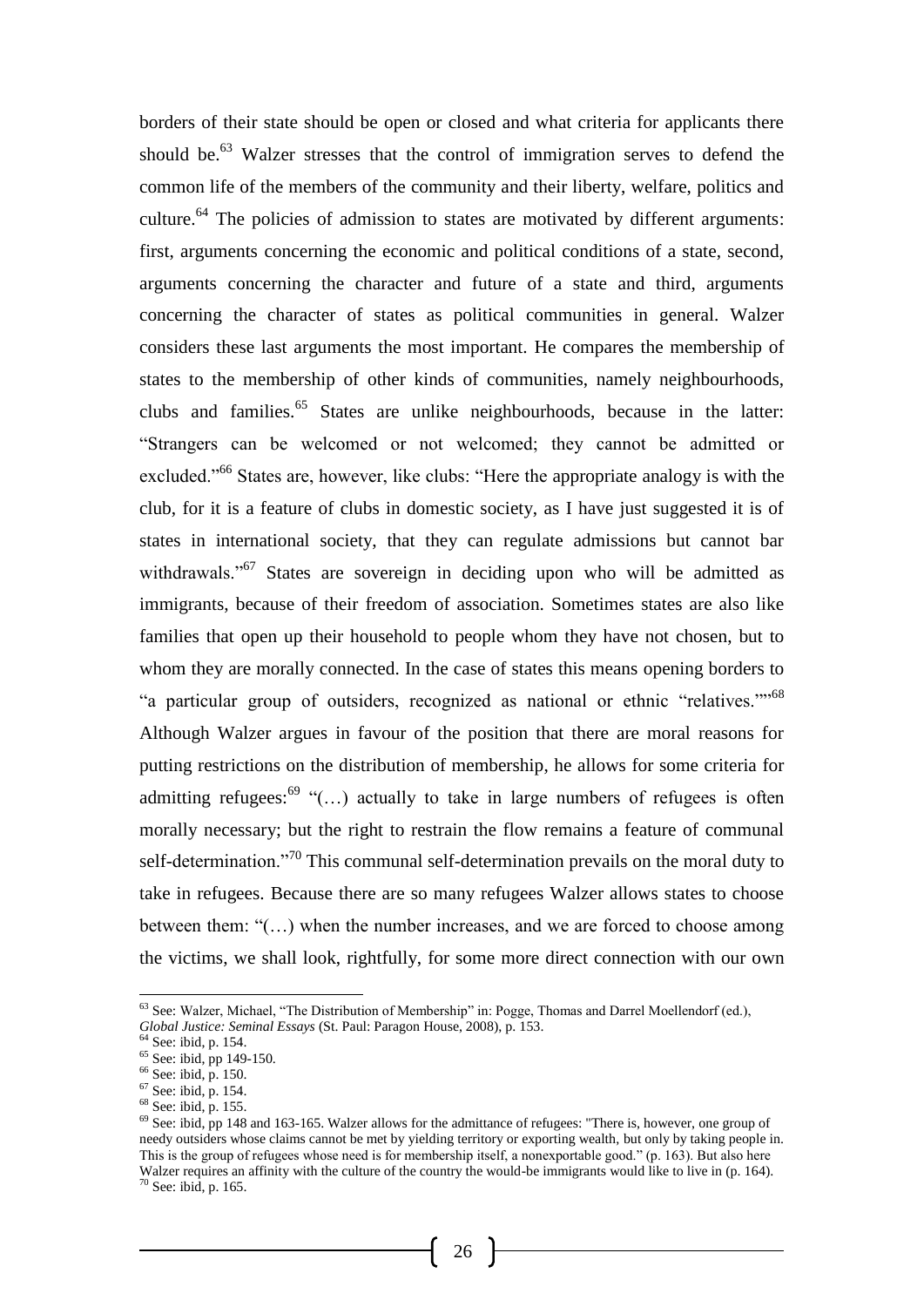borders of their state should be open or closed and what criteria for applicants there should be.<sup>63</sup> Walzer stresses that the control of immigration serves to defend the common life of the members of the community and their liberty, welfare, politics and culture.<sup>64</sup> The policies of admission to states are motivated by different arguments: first, arguments concerning the economic and political conditions of a state, second, arguments concerning the character and future of a state and third, arguments concerning the character of states as political communities in general. Walzer considers these last arguments the most important. He compares the membership of states to the membership of other kinds of communities, namely neighbourhoods, clubs and families. $65$  States are unlike neighbourhoods, because in the latter: "Strangers can be welcomed or not welcomed; they cannot be admitted or excluded."<sup>66</sup> States are, however, like clubs: "Here the appropriate analogy is with the club, for it is a feature of clubs in domestic society, as I have just suggested it is of states in international society, that they can regulate admissions but cannot bar withdrawals."<sup>67</sup> States are sovereign in deciding upon who will be admitted as immigrants, because of their freedom of association. Sometimes states are also like families that open up their household to people whom they have not chosen, but to whom they are morally connected. In the case of states this means opening borders to "a particular group of outsiders, recognized as national or ethnic "relatives.""<sup>68</sup> Although Walzer argues in favour of the position that there are moral reasons for putting restrictions on the distribution of membership, he allows for some criteria for admitting refugees:<sup>69</sup> "(...) actually to take in large numbers of refugees is often morally necessary; but the right to restrain the flow remains a feature of communal self-determination."<sup>70</sup> This communal self-determination prevails on the moral duty to take in refugees. Because there are so many refugees Walzer allows states to choose between them: "(…) when the number increases, and we are forced to choose among the victims, we shall look, rightfully, for some more direct connection with our own

<sup>-</sup> $63$  See: Walzer, Michael, "The Distribution of Membership" in: Pogge, Thomas and Darrel Moellendorf (ed.), *Global Justice: Seminal Essays* (St. Paul: Paragon House, 2008), p. 153.

<sup>64</sup> See: ibid, p. 154.

<sup>65</sup> See: ibid, pp 149-150.

<sup>66</sup> See: ibid, p. 150.

 $67$  See: ibid, p. 154.

<sup>68</sup> See: ibid, p. 155.

<sup>&</sup>lt;sup>69</sup> See: ibid, pp 148 and 163-165. Walzer allows for the admittance of refugees: "There is, however, one group of needy outsiders whose claims cannot be met by yielding territory or exporting wealth, but only by taking people in. This is the group of refugees whose need is for membership itself, a nonexportable good." (p. 163). But also here Walzer requires an affinity with the culture of the country the would-be immigrants would like to live in (p. 164). <sup>70</sup> See: ibid, p. 165.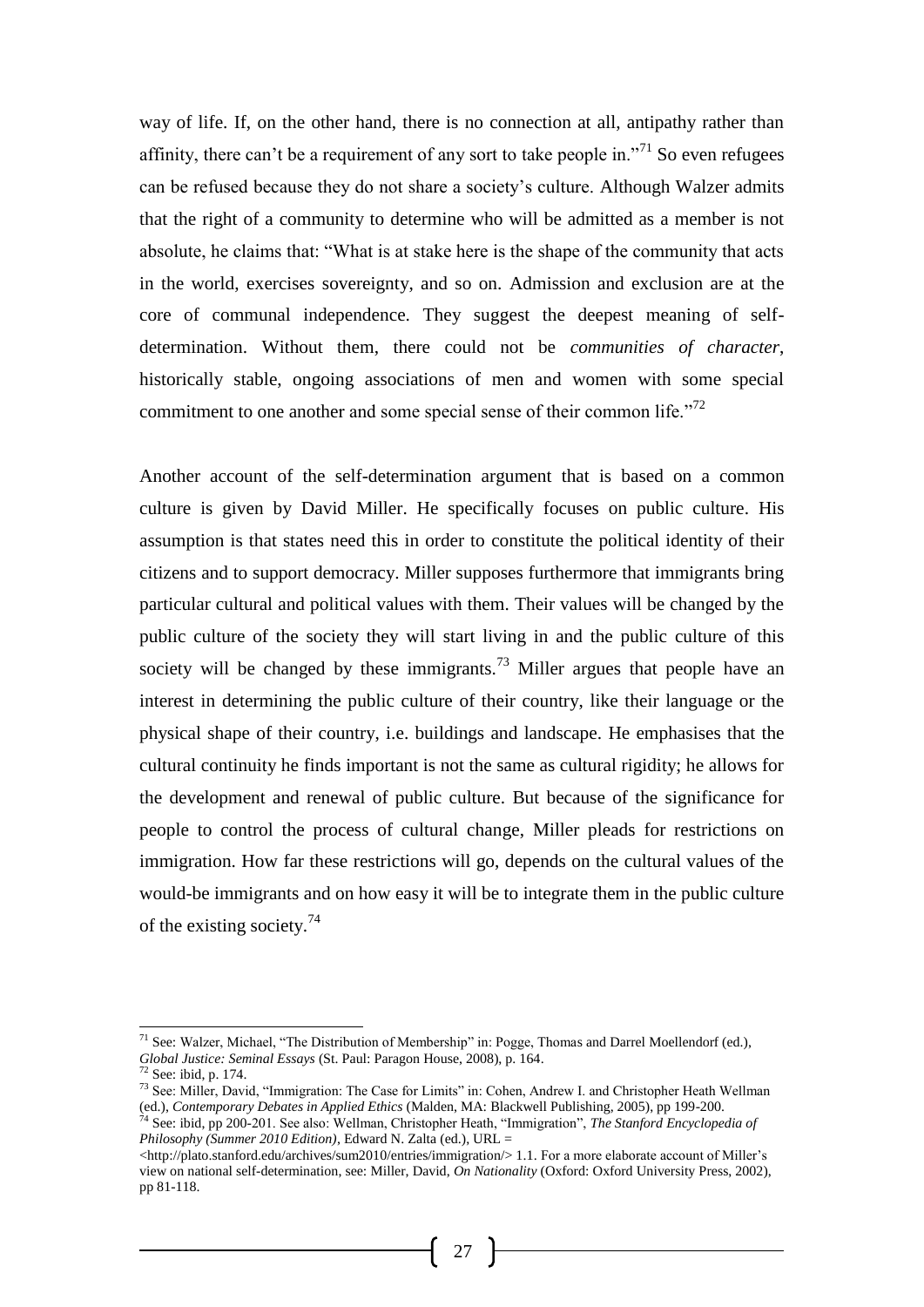way of life. If, on the other hand, there is no connection at all, antipathy rather than affinity, there can't be a requirement of any sort to take people in."<sup>71</sup> So even refugees can be refused because they do not share a society's culture. Although Walzer admits that the right of a community to determine who will be admitted as a member is not absolute, he claims that: "What is at stake here is the shape of the community that acts in the world, exercises sovereignty, and so on. Admission and exclusion are at the core of communal independence. They suggest the deepest meaning of selfdetermination. Without them, there could not be *communities of character*, historically stable, ongoing associations of men and women with some special commitment to one another and some special sense of their common life."<sup>72</sup>

Another account of the self-determination argument that is based on a common culture is given by David Miller. He specifically focuses on public culture. His assumption is that states need this in order to constitute the political identity of their citizens and to support democracy. Miller supposes furthermore that immigrants bring particular cultural and political values with them. Their values will be changed by the public culture of the society they will start living in and the public culture of this society will be changed by these immigrants.<sup>73</sup> Miller argues that people have an interest in determining the public culture of their country, like their language or the physical shape of their country, i.e. buildings and landscape. He emphasises that the cultural continuity he finds important is not the same as cultural rigidity; he allows for the development and renewal of public culture. But because of the significance for people to control the process of cultural change, Miller pleads for restrictions on immigration. How far these restrictions will go, depends on the cultural values of the would-be immigrants and on how easy it will be to integrate them in the public culture of the existing society.<sup>74</sup>

l

<sup>&</sup>lt;sup>71</sup> See: Walzer, Michael, "The Distribution of Membership" in: Pogge, Thomas and Darrel Moellendorf (ed.), *Global Justice: Seminal Essays* (St. Paul: Paragon House, 2008), p. 164.

See: ibid, p. 174.

<sup>73</sup> See: Miller, David, "Immigration: The Case for Limits" in: Cohen, Andrew I. and Christopher Heath Wellman (ed.), *Contemporary Debates in Applied Ethics* (Malden, MA: Blackwell Publishing, 2005), pp 199-200.

<sup>74</sup> See: ibid, pp 200-201. See also: Wellman, Christopher Heath, "Immigration", *The Stanford Encyclopedia of Philosophy (Summer 2010 Edition)*, Edward N. Zalta (ed.), URL =

<sup>&</sup>lt;http://plato.stanford.edu/archives/sum2010/entries/immigration/> 1.1. For a more elaborate account of Miller's view on national self-determination, see: Miller, David, *On Nationality* (Oxford: Oxford University Press, 2002), pp 81-118.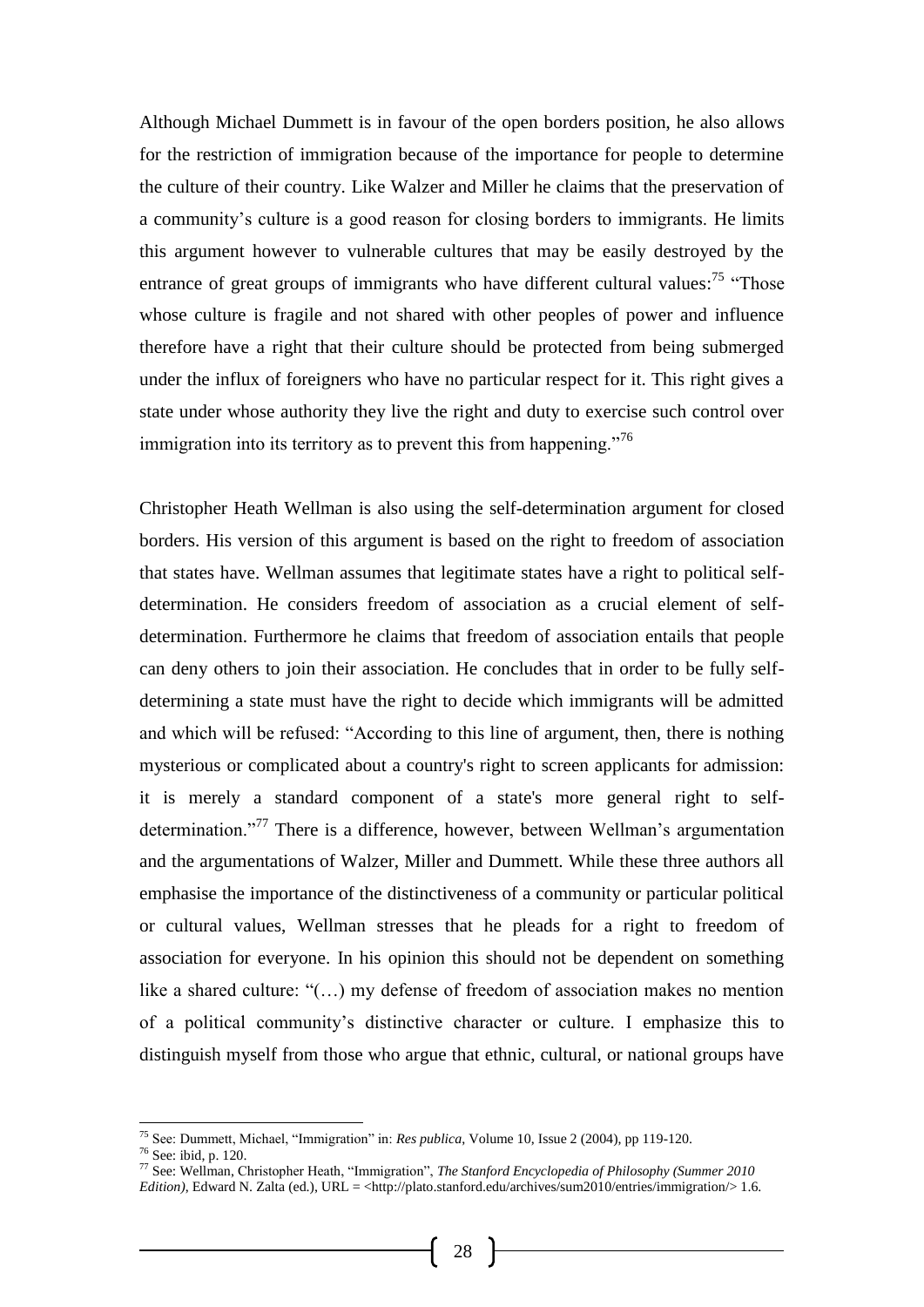Although Michael Dummett is in favour of the open borders position, he also allows for the restriction of immigration because of the importance for people to determine the culture of their country. Like Walzer and Miller he claims that the preservation of a community's culture is a good reason for closing borders to immigrants. He limits this argument however to vulnerable cultures that may be easily destroyed by the entrance of great groups of immigrants who have different cultural values:<sup>75</sup> "Those whose culture is fragile and not shared with other peoples of power and influence therefore have a right that their culture should be protected from being submerged under the influx of foreigners who have no particular respect for it. This right gives a state under whose authority they live the right and duty to exercise such control over immigration into its territory as to prevent this from happening."<sup>76</sup>

Christopher Heath Wellman is also using the self-determination argument for closed borders. His version of this argument is based on the right to freedom of association that states have. Wellman assumes that legitimate states have a right to political selfdetermination. He considers freedom of association as a crucial element of selfdetermination. Furthermore he claims that freedom of association entails that people can deny others to join their association. He concludes that in order to be fully selfdetermining a state must have the right to decide which immigrants will be admitted and which will be refused: "According to this line of argument, then, there is nothing mysterious or complicated about a country's right to screen applicants for admission: it is merely a standard component of a state's more general right to selfdetermination."<sup>77</sup> There is a difference, however, between Wellman's argumentation and the argumentations of Walzer, Miller and Dummett. While these three authors all emphasise the importance of the distinctiveness of a community or particular political or cultural values, Wellman stresses that he pleads for a right to freedom of association for everyone. In his opinion this should not be dependent on something like a shared culture: "(…) my defense of freedom of association makes no mention of a political community's distinctive character or culture. I emphasize this to distinguish myself from those who argue that ethnic, cultural, or national groups have

<sup>75</sup> See: Dummett, Michael, "Immigration" in: *Res publica*, Volume 10, Issue 2 (2004), pp 119-120.

<sup>76</sup> See: ibid, p. 120.

<sup>77</sup> See: Wellman, Christopher Heath, "Immigration", *The Stanford Encyclopedia of Philosophy (Summer 2010 Edition*), Edward N. Zalta (ed.), URL = <http://plato.stanford.edu/archives/sum2010/entries/immigration/> 1.6.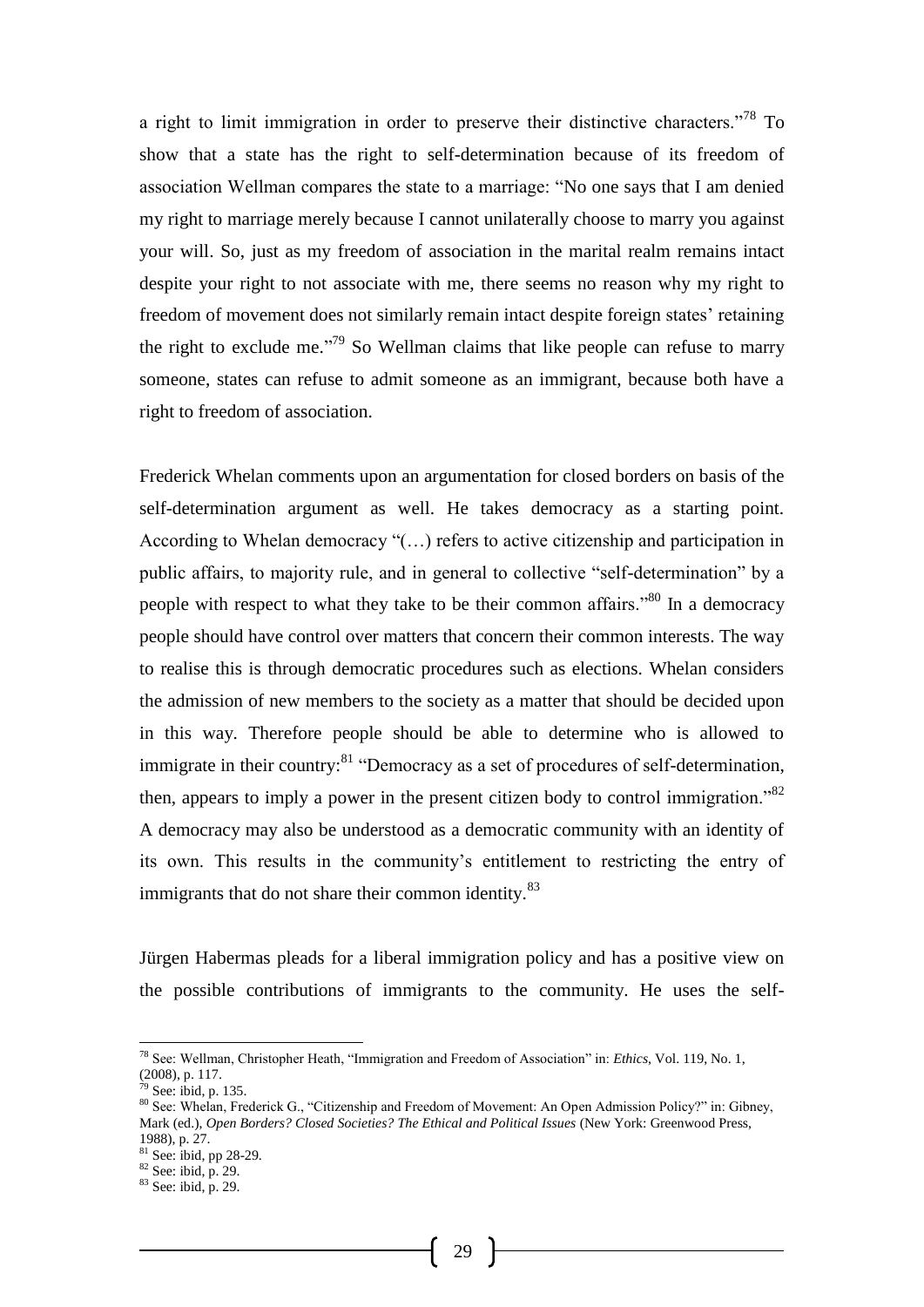a right to limit immigration in order to preserve their distinctive characters."<sup>78</sup> To show that a state has the right to self-determination because of its freedom of association Wellman compares the state to a marriage: "No one says that I am denied my right to marriage merely because I cannot unilaterally choose to marry you against your will. So, just as my freedom of association in the marital realm remains intact despite your right to not associate with me, there seems no reason why my right to freedom of movement does not similarly remain intact despite foreign states' retaining the right to exclude me.<sup> $,79}$ </sup> So Wellman claims that like people can refuse to marry someone, states can refuse to admit someone as an immigrant, because both have a right to freedom of association.

Frederick Whelan comments upon an argumentation for closed borders on basis of the self-determination argument as well. He takes democracy as a starting point. According to Whelan democracy "(…) refers to active citizenship and participation in public affairs, to majority rule, and in general to collective "self-determination" by a people with respect to what they take to be their common affairs."<sup>80</sup> In a democracy people should have control over matters that concern their common interests. The way to realise this is through democratic procedures such as elections. Whelan considers the admission of new members to the society as a matter that should be decided upon in this way. Therefore people should be able to determine who is allowed to immigrate in their country:<sup>81</sup> "Democracy as a set of procedures of self-determination, then, appears to imply a power in the present citizen body to control immigration.<sup>82</sup> A democracy may also be understood as a democratic community with an identity of its own. This results in the community's entitlement to restricting the entry of immigrants that do not share their common identity.<sup>83</sup>

Jürgen Habermas pleads for a liberal immigration policy and has a positive view on the possible contributions of immigrants to the community. He uses the self-

-

<sup>78</sup> See: Wellman, Christopher Heath, "Immigration and Freedom of Association" in: *Ethics*, Vol. 119, No. 1, (2008), p. 117.

 $79$  See: ibid, p. 135.

<sup>80</sup> See: Whelan, Frederick G., "Citizenship and Freedom of Movement: An Open Admission Policy?" in: Gibney, Mark (ed.), *Open Borders? Closed Societies? The Ethical and Political Issues* (New York: Greenwood Press, 1988), p. 27.

<sup>81</sup> See: ibid, pp 28-29.

 $82$  See: ibid, p. 29.

<sup>83</sup> See: ibid, p. 29.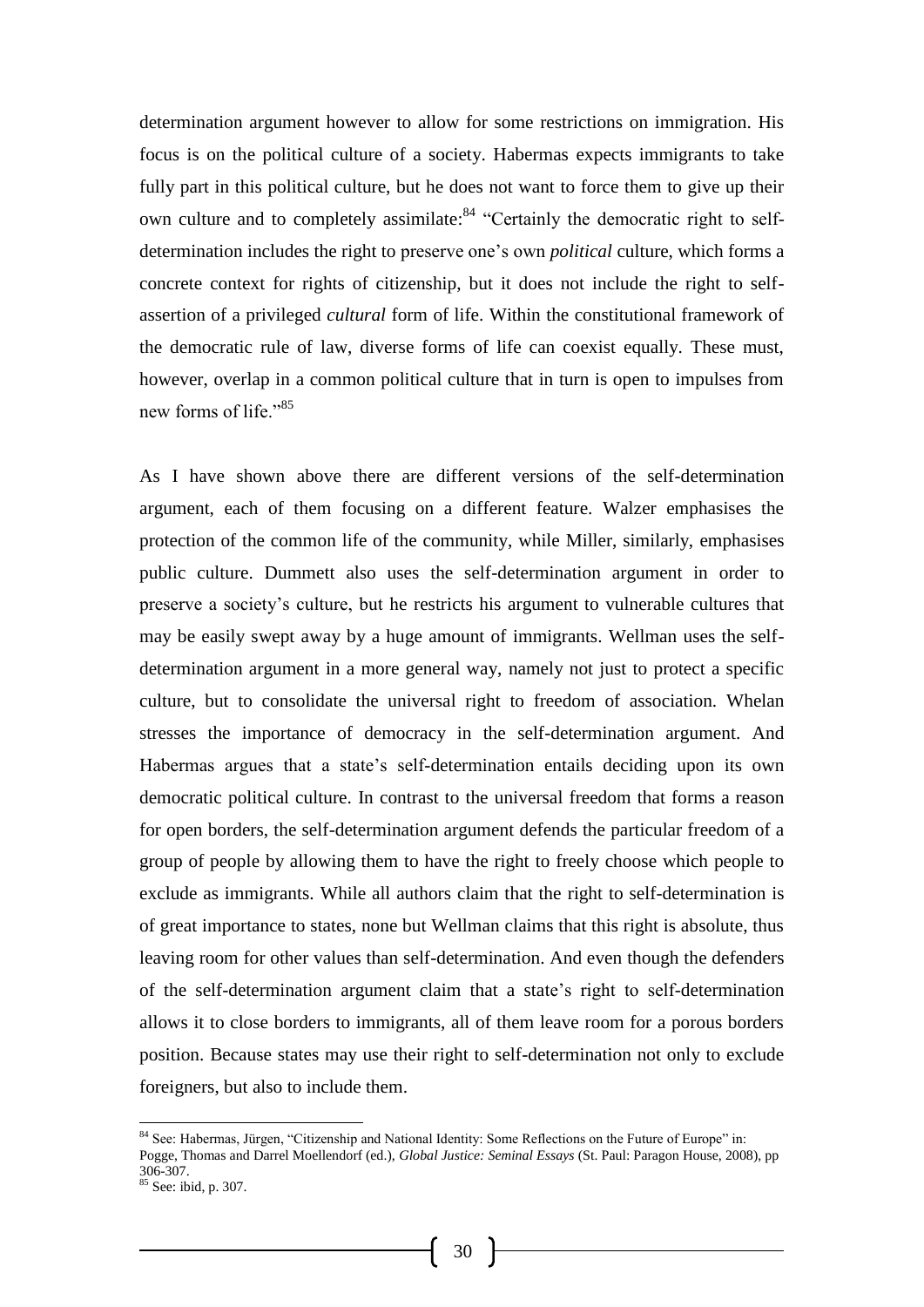determination argument however to allow for some restrictions on immigration. His focus is on the political culture of a society. Habermas expects immigrants to take fully part in this political culture, but he does not want to force them to give up their own culture and to completely assimilate:<sup>84</sup> "Certainly the democratic right to selfdetermination includes the right to preserve one's own *political* culture, which forms a concrete context for rights of citizenship, but it does not include the right to selfassertion of a privileged *cultural* form of life. Within the constitutional framework of the democratic rule of law, diverse forms of life can coexist equally. These must, however, overlap in a common political culture that in turn is open to impulses from new forms of life."<sup>85</sup>

As I have shown above there are different versions of the self-determination argument, each of them focusing on a different feature. Walzer emphasises the protection of the common life of the community, while Miller, similarly, emphasises public culture. Dummett also uses the self-determination argument in order to preserve a society's culture, but he restricts his argument to vulnerable cultures that may be easily swept away by a huge amount of immigrants. Wellman uses the selfdetermination argument in a more general way, namely not just to protect a specific culture, but to consolidate the universal right to freedom of association. Whelan stresses the importance of democracy in the self-determination argument. And Habermas argues that a state's self-determination entails deciding upon its own democratic political culture. In contrast to the universal freedom that forms a reason for open borders, the self-determination argument defends the particular freedom of a group of people by allowing them to have the right to freely choose which people to exclude as immigrants. While all authors claim that the right to self-determination is of great importance to states, none but Wellman claims that this right is absolute, thus leaving room for other values than self-determination. And even though the defenders of the self-determination argument claim that a state's right to self-determination allows it to close borders to immigrants, all of them leave room for a porous borders position. Because states may use their right to self-determination not only to exclude foreigners, but also to include them.

<sup>&</sup>lt;sup>84</sup> See: Habermas, Jürgen, "Citizenship and National Identity: Some Reflections on the Future of Europe" in: Pogge, Thomas and Darrel Moellendorf (ed.), *Global Justice: Seminal Essays* (St. Paul: Paragon House, 2008), pp 306-307.

<sup>85</sup> See: ibid, p. 307.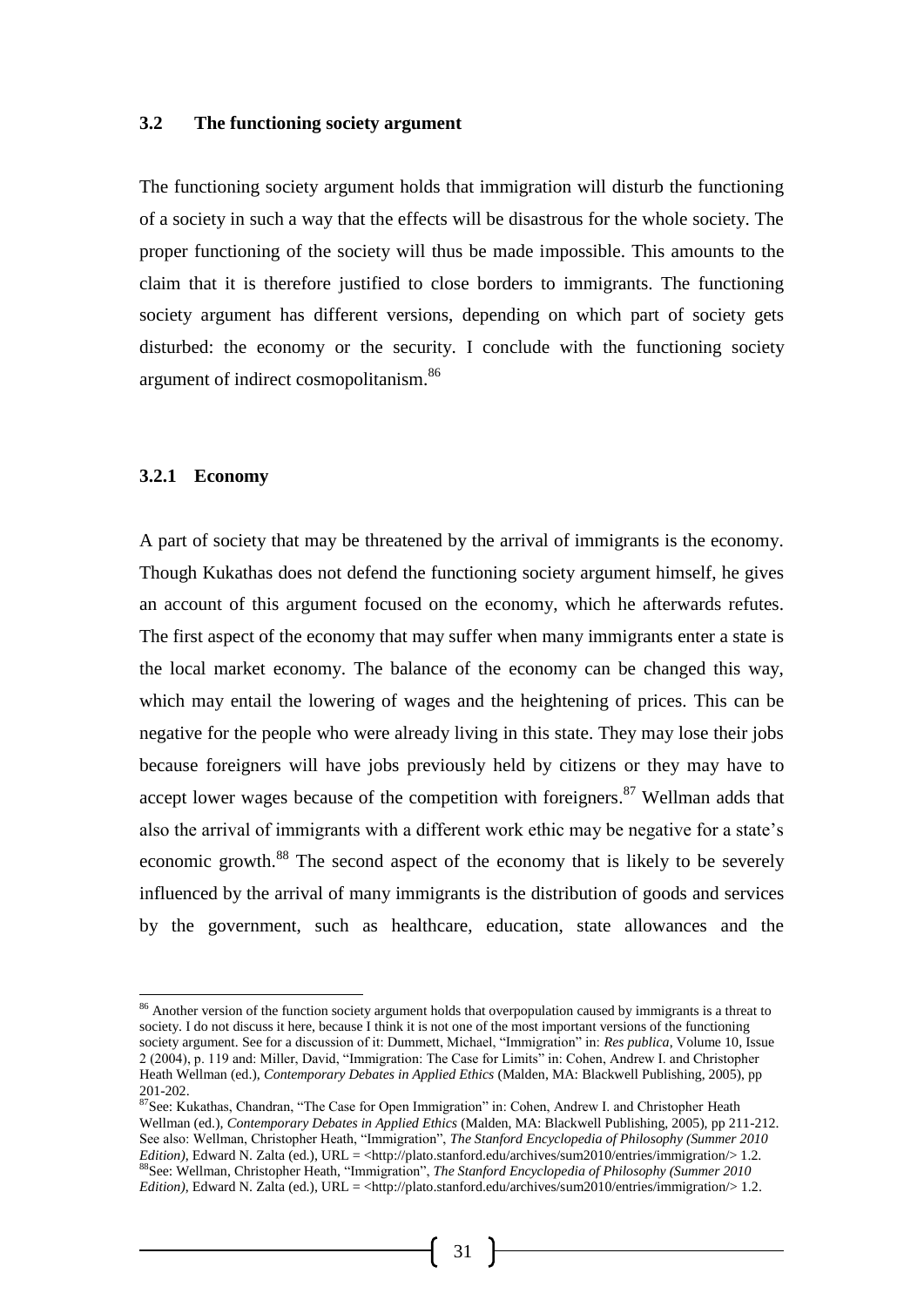#### **3.2 The functioning society argument**

The functioning society argument holds that immigration will disturb the functioning of a society in such a way that the effects will be disastrous for the whole society. The proper functioning of the society will thus be made impossible. This amounts to the claim that it is therefore justified to close borders to immigrants. The functioning society argument has different versions, depending on which part of society gets disturbed: the economy or the security. I conclude with the functioning society argument of indirect cosmopolitanism.<sup>86</sup>

#### **3.2.1 Economy**

-

A part of society that may be threatened by the arrival of immigrants is the economy. Though Kukathas does not defend the functioning society argument himself, he gives an account of this argument focused on the economy, which he afterwards refutes. The first aspect of the economy that may suffer when many immigrants enter a state is the local market economy. The balance of the economy can be changed this way, which may entail the lowering of wages and the heightening of prices. This can be negative for the people who were already living in this state. They may lose their jobs because foreigners will have jobs previously held by citizens or they may have to accept lower wages because of the competition with foreigners.<sup>87</sup> Wellman adds that also the arrival of immigrants with a different work ethic may be negative for a state's economic growth.<sup>88</sup> The second aspect of the economy that is likely to be severely influenced by the arrival of many immigrants is the distribution of goods and services by the government, such as healthcare, education, state allowances and the

<sup>&</sup>lt;sup>86</sup> Another version of the function society argument holds that overpopulation caused by immigrants is a threat to society. I do not discuss it here, because I think it is not one of the most important versions of the functioning society argument. See for a discussion of it: Dummett, Michael, "Immigration" in: *Res publica*, Volume 10, Issue 2 (2004), p. 119 and: Miller, David, "Immigration: The Case for Limits" in: Cohen, Andrew I. and Christopher Heath Wellman (ed.), *Contemporary Debates in Applied Ethics* (Malden, MA: Blackwell Publishing, 2005), pp 201-202.

<sup>&</sup>lt;sup>87</sup>See: Kukathas, Chandran, "The Case for Open Immigration" in: Cohen, Andrew I. and Christopher Heath Wellman (ed.), *Contemporary Debates in Applied Ethics* (Malden, MA: Blackwell Publishing, 2005), pp 211-212. See also: Wellman, Christopher Heath, "Immigration", *The Stanford Encyclopedia of Philosophy (Summer 2010 Edition*), Edward N. Zalta (ed.), URL = <http://plato.stanford.edu/archives/sum2010/entries/immigration/> 1.2. 88See: Wellman, Christopher Heath, "Immigration", *The Stanford Encyclopedia of Philosophy (Summer 2010 Edition*), Edward N. Zalta (ed.), URL = <http://plato.stanford.edu/archives/sum2010/entries/immigration/> 1.2.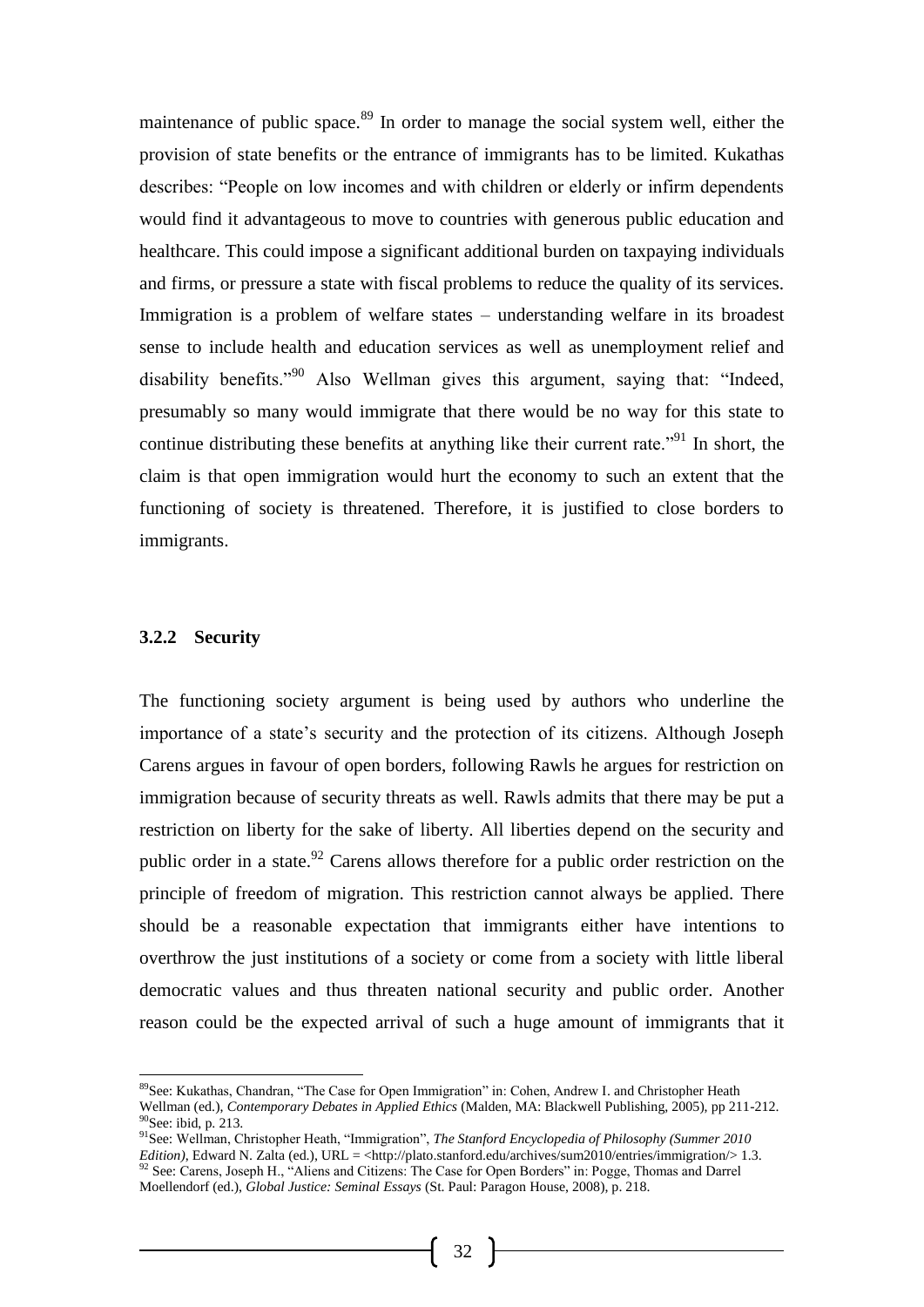maintenance of public space.<sup>89</sup> In order to manage the social system well, either the provision of state benefits or the entrance of immigrants has to be limited. Kukathas describes: "People on low incomes and with children or elderly or infirm dependents would find it advantageous to move to countries with generous public education and healthcare. This could impose a significant additional burden on taxpaying individuals and firms, or pressure a state with fiscal problems to reduce the quality of its services. Immigration is a problem of welfare states – understanding welfare in its broadest sense to include health and education services as well as unemployment relief and disability benefits."<sup>90</sup> Also Wellman gives this argument, saying that: "Indeed, presumably so many would immigrate that there would be no way for this state to continue distributing these benefits at anything like their current rate.<sup>"91</sup> In short, the claim is that open immigration would hurt the economy to such an extent that the functioning of society is threatened. Therefore, it is justified to close borders to immigrants.

#### **3.2.2 Security**

-

The functioning society argument is being used by authors who underline the importance of a state's security and the protection of its citizens. Although Joseph Carens argues in favour of open borders, following Rawls he argues for restriction on immigration because of security threats as well. Rawls admits that there may be put a restriction on liberty for the sake of liberty. All liberties depend on the security and public order in a state.<sup>92</sup> Carens allows therefore for a public order restriction on the principle of freedom of migration. This restriction cannot always be applied. There should be a reasonable expectation that immigrants either have intentions to overthrow the just institutions of a society or come from a society with little liberal democratic values and thus threaten national security and public order. Another reason could be the expected arrival of such a huge amount of immigrants that it

<sup>&</sup>lt;sup>89</sup>See: Kukathas, Chandran, "The Case for Open Immigration" in: Cohen, Andrew I. and Christopher Heath Wellman (ed.), *Contemporary Debates in Applied Ethics* (Malden, MA: Blackwell Publishing, 2005), pp 211-212. <sup>90</sup>See: ibid, p. 213.

<sup>91</sup>See: Wellman, Christopher Heath, "Immigration", *The Stanford Encyclopedia of Philosophy (Summer 2010 Edition*), Edward N. Zalta (ed.), URL = <http://plato.stanford.edu/archives/sum2010/entries/immigration/> 1.3.  $92$  See: Carens, Joseph H., "Aliens and Citizens: The Case for Open Borders" in: Pogge, Thomas and Darrel Moellendorf (ed.), *Global Justice: Seminal Essays* (St. Paul: Paragon House, 2008), p. 218.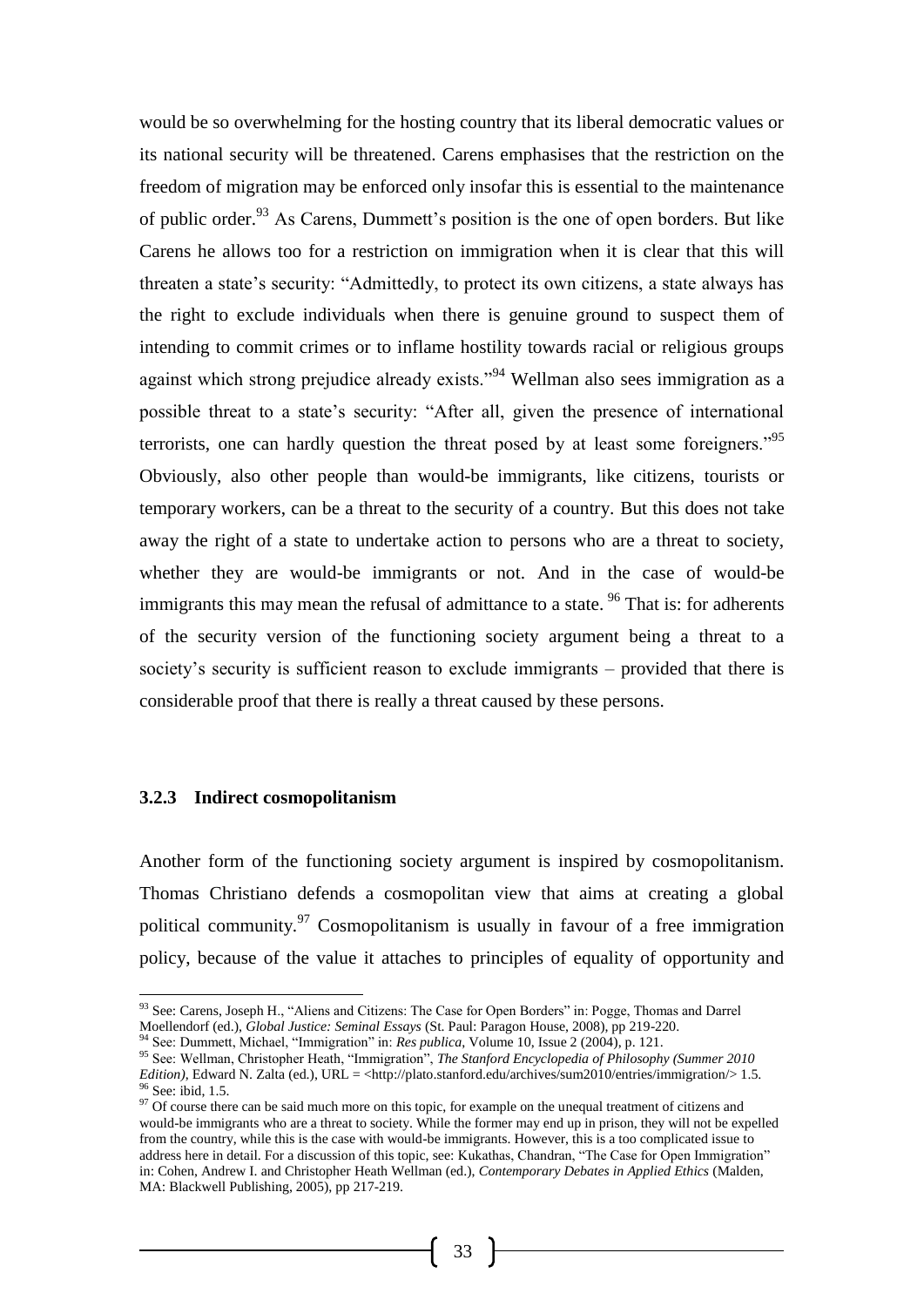would be so overwhelming for the hosting country that its liberal democratic values or its national security will be threatened. Carens emphasises that the restriction on the freedom of migration may be enforced only insofar this is essential to the maintenance of public order.<sup>93</sup> As Carens, Dummett's position is the one of open borders. But like Carens he allows too for a restriction on immigration when it is clear that this will threaten a state's security: "Admittedly, to protect its own citizens, a state always has the right to exclude individuals when there is genuine ground to suspect them of intending to commit crimes or to inflame hostility towards racial or religious groups against which strong prejudice already exists."<sup>94</sup> Wellman also sees immigration as a possible threat to a state's security: "After all, given the presence of international terrorists, one can hardly question the threat posed by at least some foreigners."<sup>95</sup> Obviously, also other people than would-be immigrants, like citizens, tourists or temporary workers, can be a threat to the security of a country. But this does not take away the right of a state to undertake action to persons who are a threat to society, whether they are would-be immigrants or not. And in the case of would-be immigrants this may mean the refusal of admittance to a state.  $96$  That is: for adherents of the security version of the functioning society argument being a threat to a society's security is sufficient reason to exclude immigrants – provided that there is considerable proof that there is really a threat caused by these persons.

#### **3.2.3 Indirect cosmopolitanism**

-

Another form of the functioning society argument is inspired by cosmopolitanism. Thomas Christiano defends a cosmopolitan view that aims at creating a global political community.<sup>97</sup> Cosmopolitanism is usually in favour of a free immigration policy, because of the value it attaches to principles of equality of opportunity and

<sup>&</sup>lt;sup>93</sup> See: Carens, Joseph H., "Aliens and Citizens: The Case for Open Borders" in: Pogge, Thomas and Darrel Moellendorf (ed.), *Global Justice: Seminal Essays* (St. Paul: Paragon House, 2008), pp 219-220.

<sup>94</sup> See: Dummett, Michael, "Immigration" in: *Res publica*, Volume 10, Issue 2 (2004), p. 121.

<sup>95</sup> See: Wellman, Christopher Heath, "Immigration", *The Stanford Encyclopedia of Philosophy (Summer 2010 Edition*), Edward N. Zalta (ed.), URL = <http://plato.stanford.edu/archives/sum2010/entries/immigration/> 1.5. <sup>96</sup> See: ibid, 1.5.

<sup>&</sup>lt;sup>97</sup> Of course there can be said much more on this topic, for example on the unequal treatment of citizens and would-be immigrants who are a threat to society. While the former may end up in prison, they will not be expelled from the country, while this is the case with would-be immigrants. However, this is a too complicated issue to address here in detail. For a discussion of this topic, see: Kukathas, Chandran, "The Case for Open Immigration" in: Cohen, Andrew I. and Christopher Heath Wellman (ed.), *Contemporary Debates in Applied Ethics* (Malden, MA: Blackwell Publishing, 2005), pp 217-219.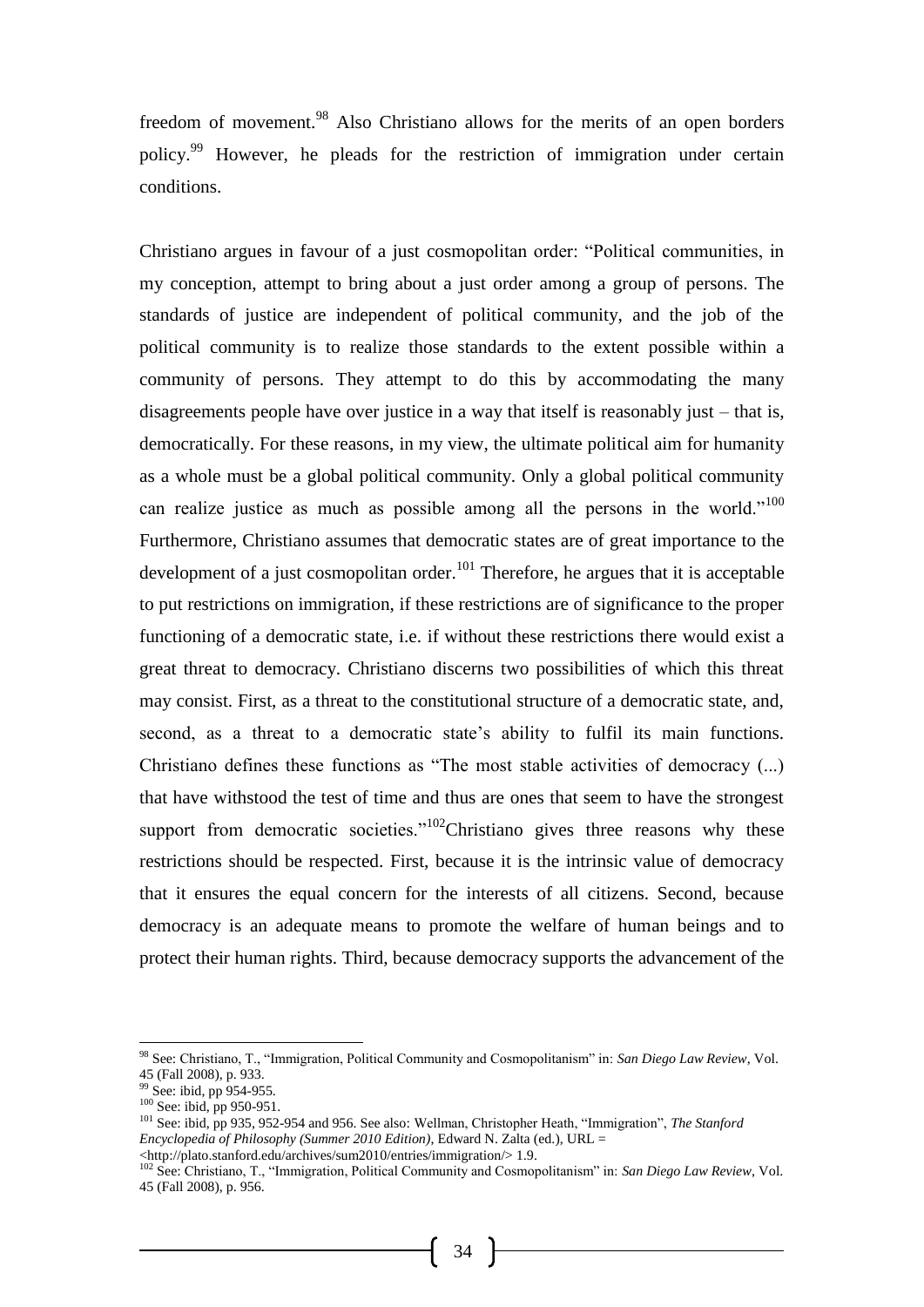freedom of movement.<sup>98</sup> Also Christiano allows for the merits of an open borders policy.<sup>99</sup> However, he pleads for the restriction of immigration under certain conditions.

Christiano argues in favour of a just cosmopolitan order: "Political communities, in my conception, attempt to bring about a just order among a group of persons. The standards of justice are independent of political community, and the job of the political community is to realize those standards to the extent possible within a community of persons. They attempt to do this by accommodating the many disagreements people have over justice in a way that itself is reasonably just – that is, democratically. For these reasons, in my view, the ultimate political aim for humanity as a whole must be a global political community. Only a global political community can realize justice as much as possible among all the persons in the world."<sup>100</sup> Furthermore, Christiano assumes that democratic states are of great importance to the development of a just cosmopolitan order.<sup>101</sup> Therefore, he argues that it is acceptable to put restrictions on immigration, if these restrictions are of significance to the proper functioning of a democratic state, i.e. if without these restrictions there would exist a great threat to democracy. Christiano discerns two possibilities of which this threat may consist. First, as a threat to the constitutional structure of a democratic state, and, second, as a threat to a democratic state's ability to fulfil its main functions. Christiano defines these functions as "The most stable activities of democracy (...) that have withstood the test of time and thus are ones that seem to have the strongest support from democratic societies." $102$ Christiano gives three reasons why these restrictions should be respected. First, because it is the intrinsic value of democracy that it ensures the equal concern for the interests of all citizens. Second, because democracy is an adequate means to promote the welfare of human beings and to protect their human rights. Third, because democracy supports the advancement of the

-

<sup>98</sup> See: Christiano, T., "Immigration, Political Community and Cosmopolitanism" in: *San Diego Law Review*, Vol. 45 (Fall 2008), p. 933.

<sup>&</sup>lt;sup>99</sup> See: ibid, pp 954-955.

<sup>&</sup>lt;sup>100</sup> See: ibid, pp 950-951.

<sup>101</sup> See: ibid, pp 935, 952-954 and 956. See also: Wellman, Christopher Heath, "Immigration", *The Stanford Encyclopedia of Philosophy (Summer 2010 Edition)*, Edward N. Zalta (ed.), URL = <http://plato.stanford.edu/archives/sum2010/entries/immigration/> 1.9.

<sup>102</sup> See: Christiano, T., "Immigration, Political Community and Cosmopolitanism" in: *San Diego Law Review*, Vol. 45 (Fall 2008), p. 956.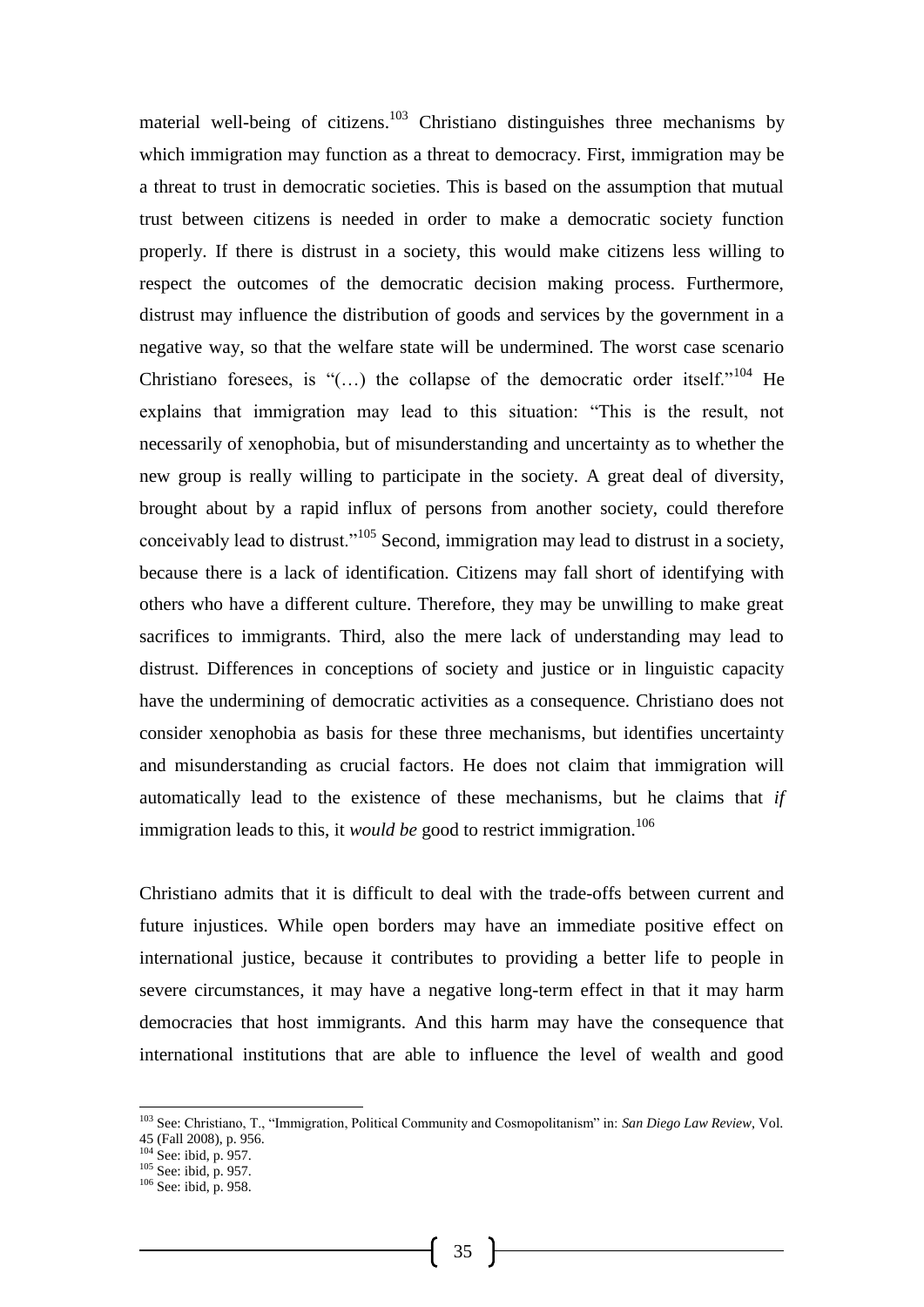material well-being of citizens.<sup>103</sup> Christiano distinguishes three mechanisms by which immigration may function as a threat to democracy. First, immigration may be a threat to trust in democratic societies. This is based on the assumption that mutual trust between citizens is needed in order to make a democratic society function properly. If there is distrust in a society, this would make citizens less willing to respect the outcomes of the democratic decision making process. Furthermore, distrust may influence the distribution of goods and services by the government in a negative way, so that the welfare state will be undermined. The worst case scenario Christiano foresees, is "(...) the collapse of the democratic order itself."<sup>104</sup> He explains that immigration may lead to this situation: "This is the result, not necessarily of xenophobia, but of misunderstanding and uncertainty as to whether the new group is really willing to participate in the society. A great deal of diversity, brought about by a rapid influx of persons from another society, could therefore conceivably lead to distrust."<sup>105</sup> Second, immigration may lead to distrust in a society, because there is a lack of identification. Citizens may fall short of identifying with others who have a different culture. Therefore, they may be unwilling to make great sacrifices to immigrants. Third, also the mere lack of understanding may lead to distrust. Differences in conceptions of society and justice or in linguistic capacity have the undermining of democratic activities as a consequence. Christiano does not consider xenophobia as basis for these three mechanisms, but identifies uncertainty and misunderstanding as crucial factors. He does not claim that immigration will automatically lead to the existence of these mechanisms, but he claims that *if* immigration leads to this, it *would be* good to restrict immigration.<sup>106</sup>

Christiano admits that it is difficult to deal with the trade-offs between current and future injustices. While open borders may have an immediate positive effect on international justice, because it contributes to providing a better life to people in severe circumstances, it may have a negative long-term effect in that it may harm democracies that host immigrants. And this harm may have the consequence that international institutions that are able to influence the level of wealth and good

-

<sup>103</sup> See: Christiano, T., "Immigration, Political Community and Cosmopolitanism" in: *San Diego Law Review*, Vol. 45 (Fall 2008), p. 956.

<sup>104</sup> See: ibid, p. 957.

 $105$  See: ibid, p. 957.

<sup>106</sup> See: ibid, p. 958.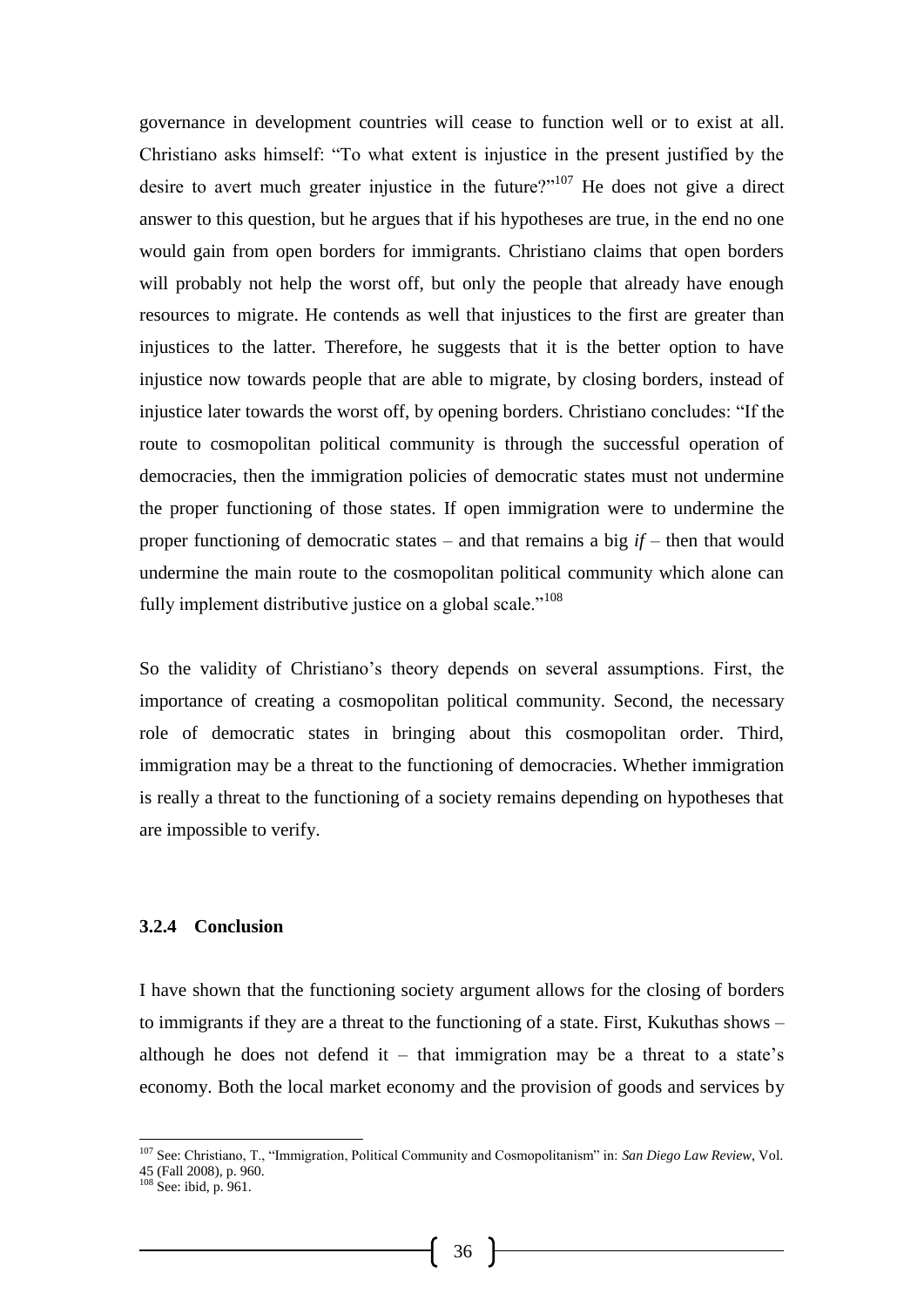governance in development countries will cease to function well or to exist at all. Christiano asks himself: "To what extent is injustice in the present justified by the desire to avert much greater injustice in the future?"<sup>107</sup> He does not give a direct answer to this question, but he argues that if his hypotheses are true, in the end no one would gain from open borders for immigrants. Christiano claims that open borders will probably not help the worst off, but only the people that already have enough resources to migrate. He contends as well that injustices to the first are greater than injustices to the latter. Therefore, he suggests that it is the better option to have injustice now towards people that are able to migrate, by closing borders, instead of injustice later towards the worst off, by opening borders. Christiano concludes: "If the route to cosmopolitan political community is through the successful operation of democracies, then the immigration policies of democratic states must not undermine the proper functioning of those states. If open immigration were to undermine the proper functioning of democratic states – and that remains a big *if* – then that would undermine the main route to the cosmopolitan political community which alone can fully implement distributive justice on a global scale."<sup>108</sup>

So the validity of Christiano's theory depends on several assumptions. First, the importance of creating a cosmopolitan political community. Second, the necessary role of democratic states in bringing about this cosmopolitan order. Third, immigration may be a threat to the functioning of democracies. Whether immigration is really a threat to the functioning of a society remains depending on hypotheses that are impossible to verify.

### **3.2.4 Conclusion**

I have shown that the functioning society argument allows for the closing of borders to immigrants if they are a threat to the functioning of a state. First, Kukuthas shows – although he does not defend it – that immigration may be a threat to a state's economy. Both the local market economy and the provision of goods and services by

<sup>107</sup> See: Christiano, T., "Immigration, Political Community and Cosmopolitanism" in: *San Diego Law Review*, Vol. 45 (Fall 2008), p. 960.

 $108$  See: ibid, p. 961.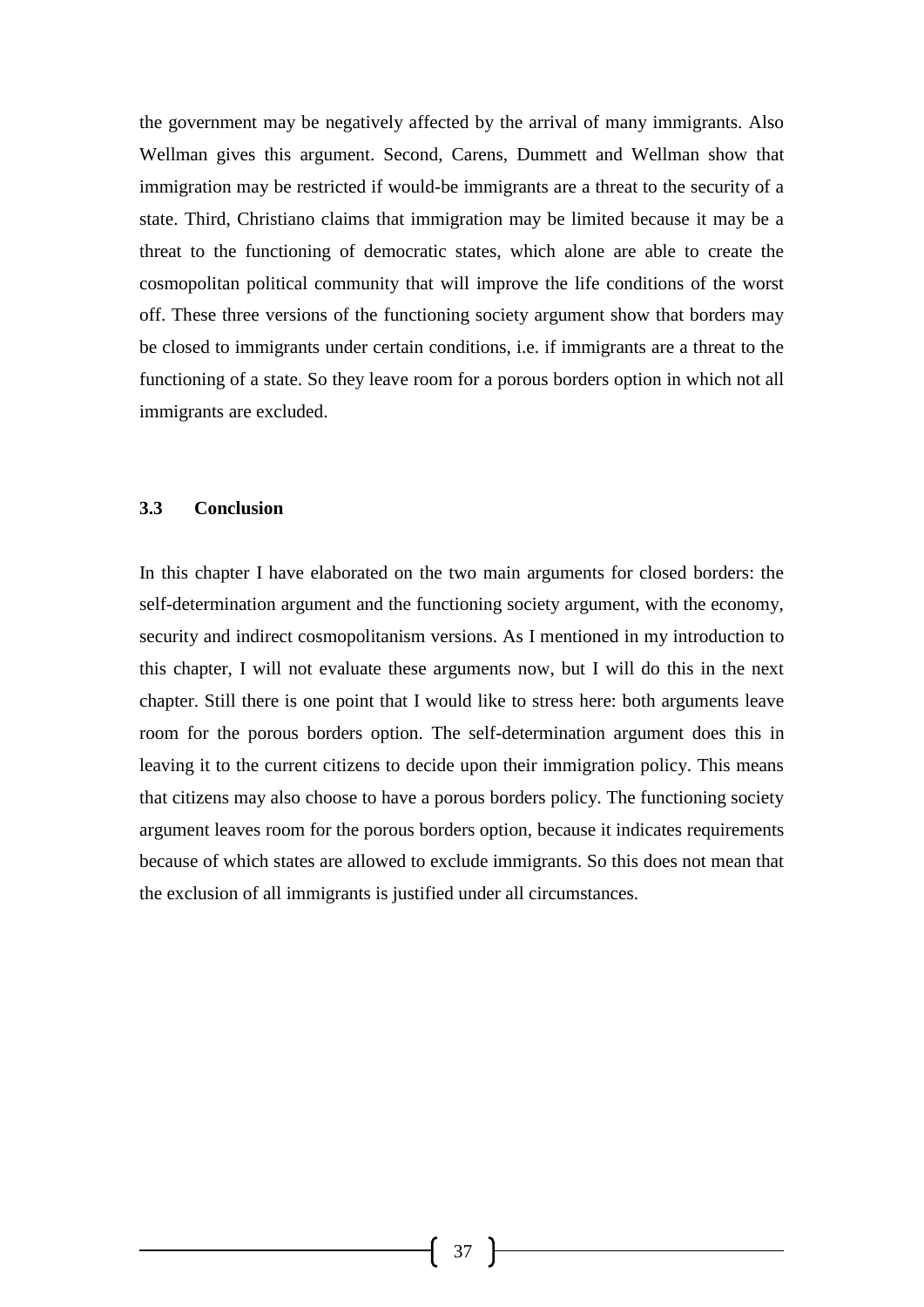the government may be negatively affected by the arrival of many immigrants. Also Wellman gives this argument. Second, Carens, Dummett and Wellman show that immigration may be restricted if would-be immigrants are a threat to the security of a state. Third, Christiano claims that immigration may be limited because it may be a threat to the functioning of democratic states, which alone are able to create the cosmopolitan political community that will improve the life conditions of the worst off. These three versions of the functioning society argument show that borders may be closed to immigrants under certain conditions, i.e. if immigrants are a threat to the functioning of a state. So they leave room for a porous borders option in which not all immigrants are excluded.

#### **3.3 Conclusion**

In this chapter I have elaborated on the two main arguments for closed borders: the self-determination argument and the functioning society argument, with the economy, security and indirect cosmopolitanism versions. As I mentioned in my introduction to this chapter, I will not evaluate these arguments now, but I will do this in the next chapter. Still there is one point that I would like to stress here: both arguments leave room for the porous borders option. The self-determination argument does this in leaving it to the current citizens to decide upon their immigration policy. This means that citizens may also choose to have a porous borders policy. The functioning society argument leaves room for the porous borders option, because it indicates requirements because of which states are allowed to exclude immigrants. So this does not mean that the exclusion of all immigrants is justified under all circumstances.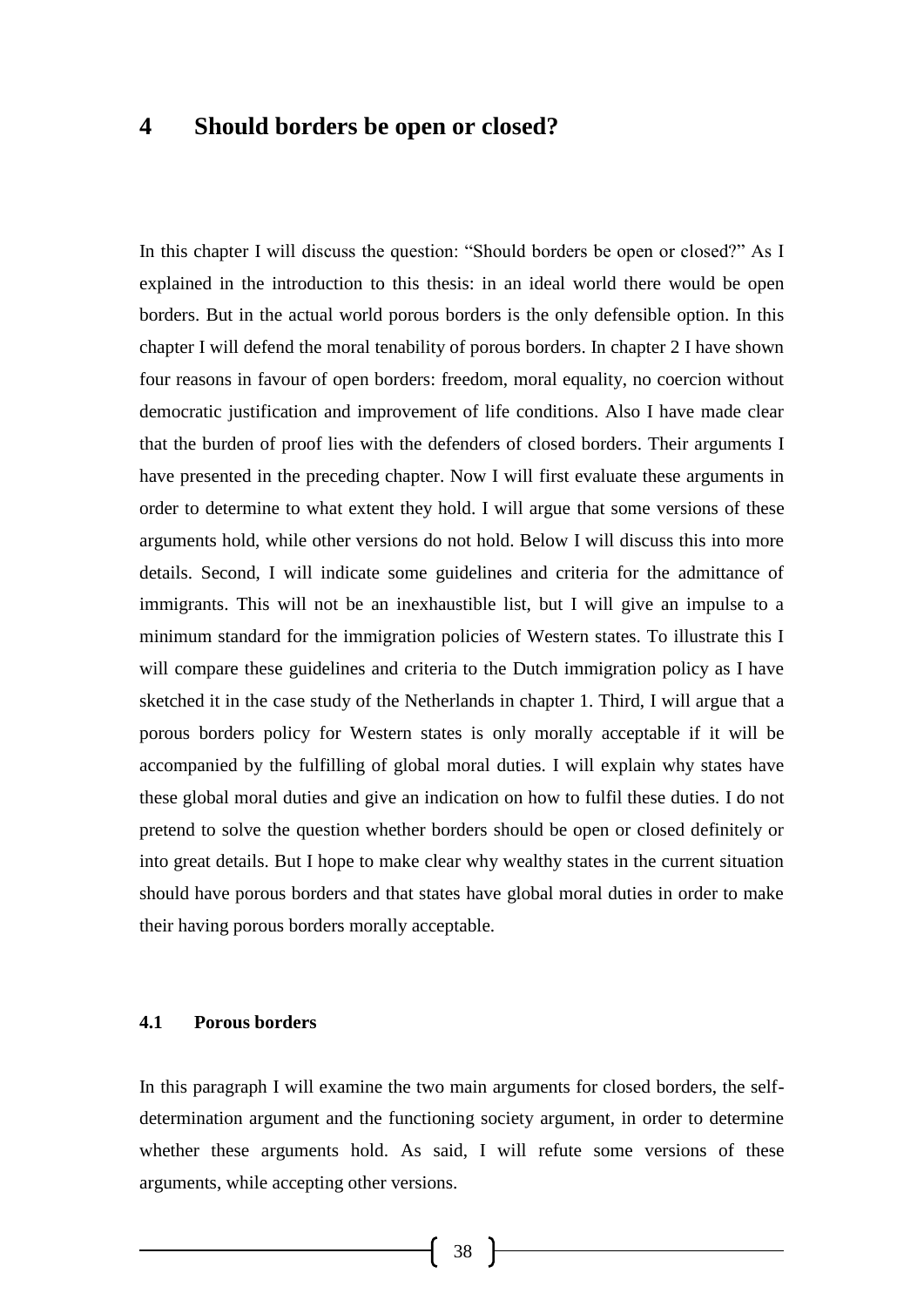## **4 Should borders be open or closed?**

In this chapter I will discuss the question: "Should borders be open or closed?" As I explained in the introduction to this thesis: in an ideal world there would be open borders. But in the actual world porous borders is the only defensible option. In this chapter I will defend the moral tenability of porous borders. In chapter 2 I have shown four reasons in favour of open borders: freedom, moral equality, no coercion without democratic justification and improvement of life conditions. Also I have made clear that the burden of proof lies with the defenders of closed borders. Their arguments I have presented in the preceding chapter. Now I will first evaluate these arguments in order to determine to what extent they hold. I will argue that some versions of these arguments hold, while other versions do not hold. Below I will discuss this into more details. Second, I will indicate some guidelines and criteria for the admittance of immigrants. This will not be an inexhaustible list, but I will give an impulse to a minimum standard for the immigration policies of Western states. To illustrate this I will compare these guidelines and criteria to the Dutch immigration policy as I have sketched it in the case study of the Netherlands in chapter 1. Third, I will argue that a porous borders policy for Western states is only morally acceptable if it will be accompanied by the fulfilling of global moral duties. I will explain why states have these global moral duties and give an indication on how to fulfil these duties. I do not pretend to solve the question whether borders should be open or closed definitely or into great details. But I hope to make clear why wealthy states in the current situation should have porous borders and that states have global moral duties in order to make their having porous borders morally acceptable.

### **4.1 Porous borders**

In this paragraph I will examine the two main arguments for closed borders, the selfdetermination argument and the functioning society argument, in order to determine whether these arguments hold. As said, I will refute some versions of these arguments, while accepting other versions.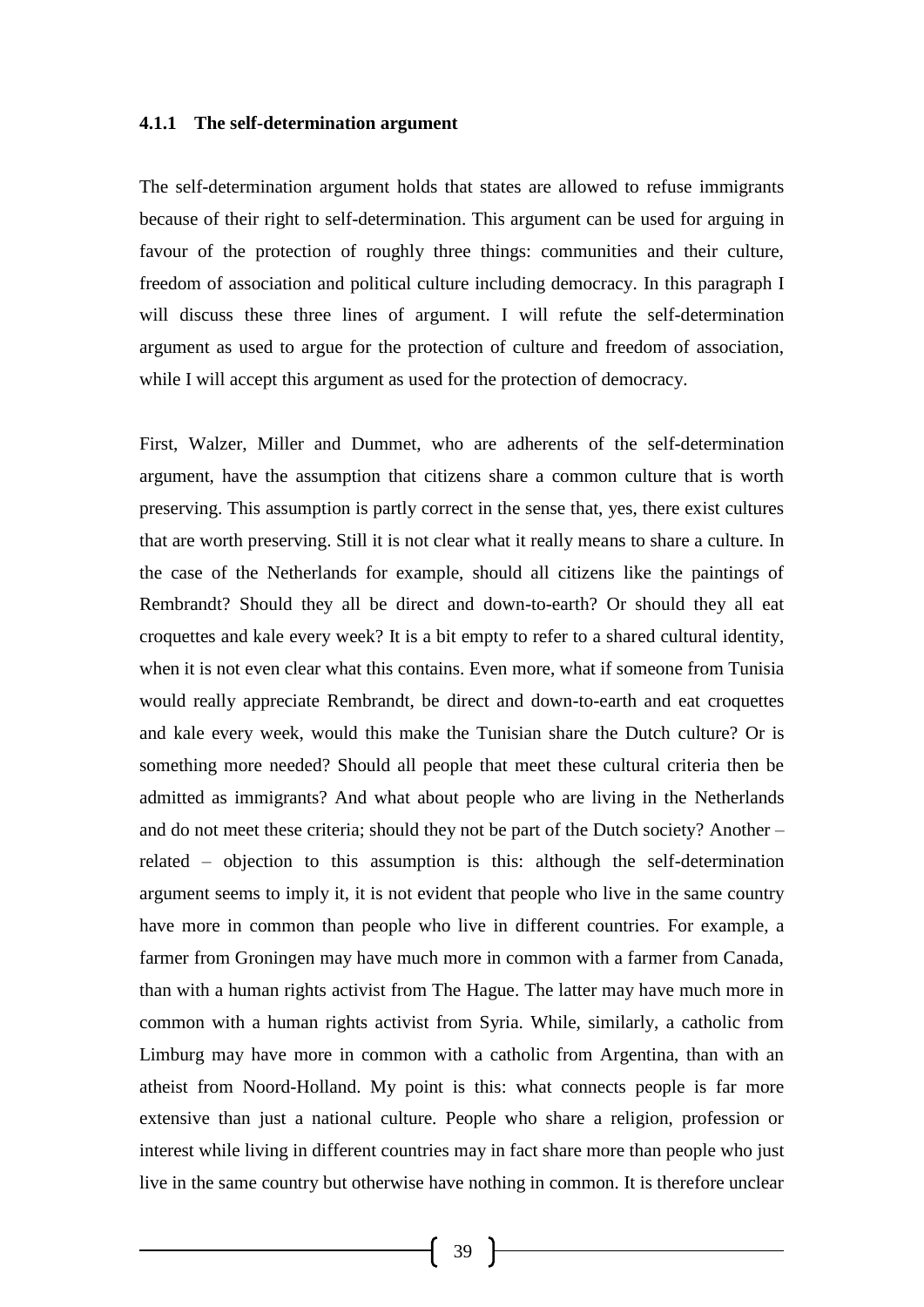#### **4.1.1 The self-determination argument**

The self-determination argument holds that states are allowed to refuse immigrants because of their right to self-determination. This argument can be used for arguing in favour of the protection of roughly three things: communities and their culture, freedom of association and political culture including democracy. In this paragraph I will discuss these three lines of argument. I will refute the self-determination argument as used to argue for the protection of culture and freedom of association, while I will accept this argument as used for the protection of democracy.

First, Walzer, Miller and Dummet, who are adherents of the self-determination argument, have the assumption that citizens share a common culture that is worth preserving. This assumption is partly correct in the sense that, yes, there exist cultures that are worth preserving. Still it is not clear what it really means to share a culture. In the case of the Netherlands for example, should all citizens like the paintings of Rembrandt? Should they all be direct and down-to-earth? Or should they all eat croquettes and kale every week? It is a bit empty to refer to a shared cultural identity, when it is not even clear what this contains. Even more, what if someone from Tunisia would really appreciate Rembrandt, be direct and down-to-earth and eat croquettes and kale every week, would this make the Tunisian share the Dutch culture? Or is something more needed? Should all people that meet these cultural criteria then be admitted as immigrants? And what about people who are living in the Netherlands and do not meet these criteria; should they not be part of the Dutch society? Another – related – objection to this assumption is this: although the self-determination argument seems to imply it, it is not evident that people who live in the same country have more in common than people who live in different countries. For example, a farmer from Groningen may have much more in common with a farmer from Canada, than with a human rights activist from The Hague. The latter may have much more in common with a human rights activist from Syria. While, similarly, a catholic from Limburg may have more in common with a catholic from Argentina, than with an atheist from Noord-Holland. My point is this: what connects people is far more extensive than just a national culture. People who share a religion, profession or interest while living in different countries may in fact share more than people who just live in the same country but otherwise have nothing in common. It is therefore unclear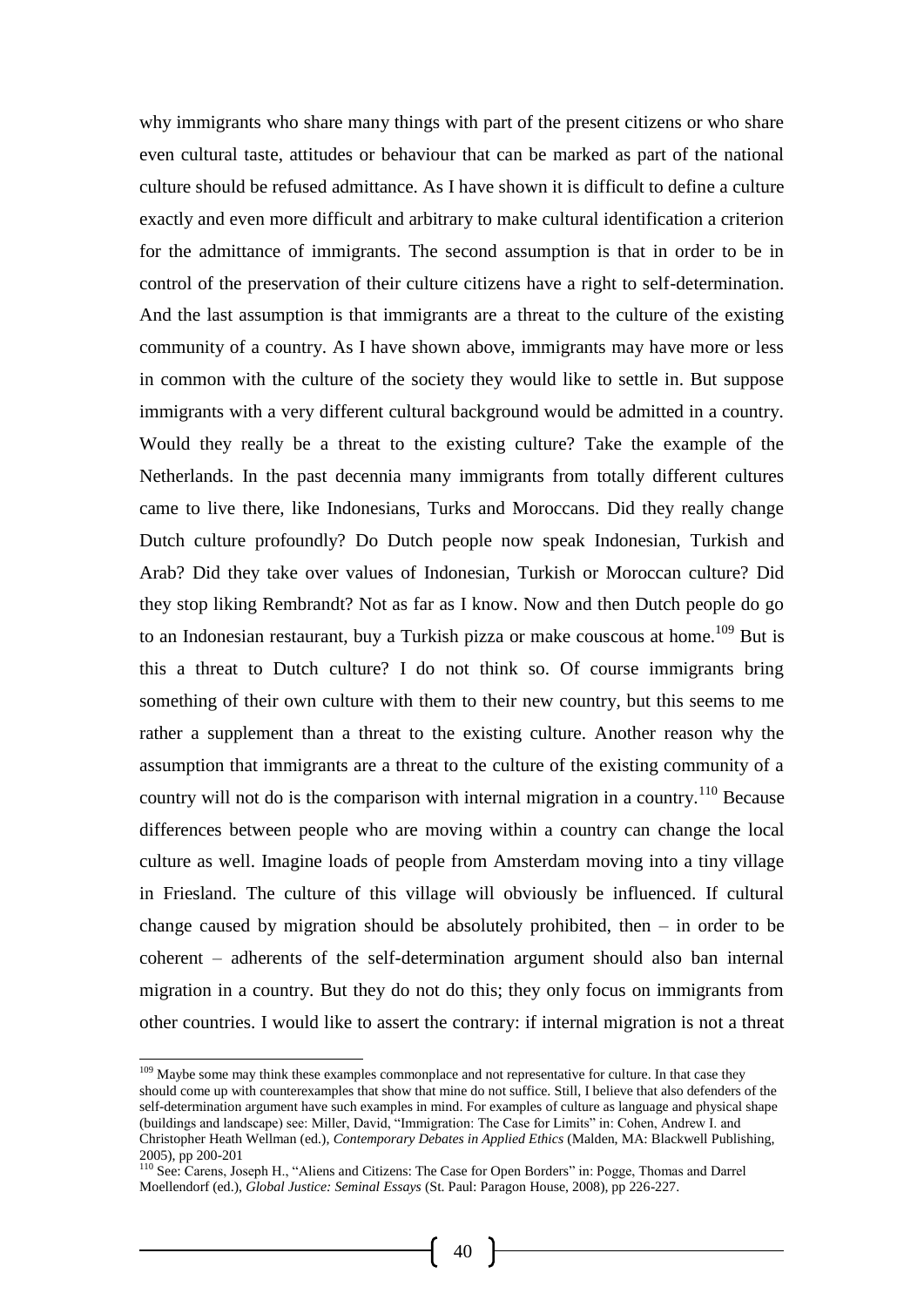why immigrants who share many things with part of the present citizens or who share even cultural taste, attitudes or behaviour that can be marked as part of the national culture should be refused admittance. As I have shown it is difficult to define a culture exactly and even more difficult and arbitrary to make cultural identification a criterion for the admittance of immigrants. The second assumption is that in order to be in control of the preservation of their culture citizens have a right to self-determination. And the last assumption is that immigrants are a threat to the culture of the existing community of a country. As I have shown above, immigrants may have more or less in common with the culture of the society they would like to settle in. But suppose immigrants with a very different cultural background would be admitted in a country. Would they really be a threat to the existing culture? Take the example of the Netherlands. In the past decennia many immigrants from totally different cultures came to live there, like Indonesians, Turks and Moroccans. Did they really change Dutch culture profoundly? Do Dutch people now speak Indonesian, Turkish and Arab? Did they take over values of Indonesian, Turkish or Moroccan culture? Did they stop liking Rembrandt? Not as far as I know. Now and then Dutch people do go to an Indonesian restaurant, buy a Turkish pizza or make couscous at home.<sup>109</sup> But is this a threat to Dutch culture? I do not think so. Of course immigrants bring something of their own culture with them to their new country, but this seems to me rather a supplement than a threat to the existing culture. Another reason why the assumption that immigrants are a threat to the culture of the existing community of a country will not do is the comparison with internal migration in a country.<sup>110</sup> Because differences between people who are moving within a country can change the local culture as well. Imagine loads of people from Amsterdam moving into a tiny village in Friesland. The culture of this village will obviously be influenced. If cultural change caused by migration should be absolutely prohibited, then  $-$  in order to be coherent – adherents of the self-determination argument should also ban internal migration in a country. But they do not do this; they only focus on immigrants from other countries. I would like to assert the contrary: if internal migration is not a threat

l

<sup>&</sup>lt;sup>109</sup> Maybe some may think these examples commonplace and not representative for culture. In that case they should come up with counterexamples that show that mine do not suffice. Still, I believe that also defenders of the self-determination argument have such examples in mind. For examples of culture as language and physical shape (buildings and landscape) see: Miller, David, "Immigration: The Case for Limits" in: Cohen, Andrew I. and Christopher Heath Wellman (ed.), *Contemporary Debates in Applied Ethics* (Malden, MA: Blackwell Publishing, 2005), pp 200-201

<sup>&</sup>lt;sup>110</sup> See: Carens, Joseph H., "Aliens and Citizens: The Case for Open Borders" in: Pogge, Thomas and Darrel Moellendorf (ed.), *Global Justice: Seminal Essays* (St. Paul: Paragon House, 2008), pp 226-227.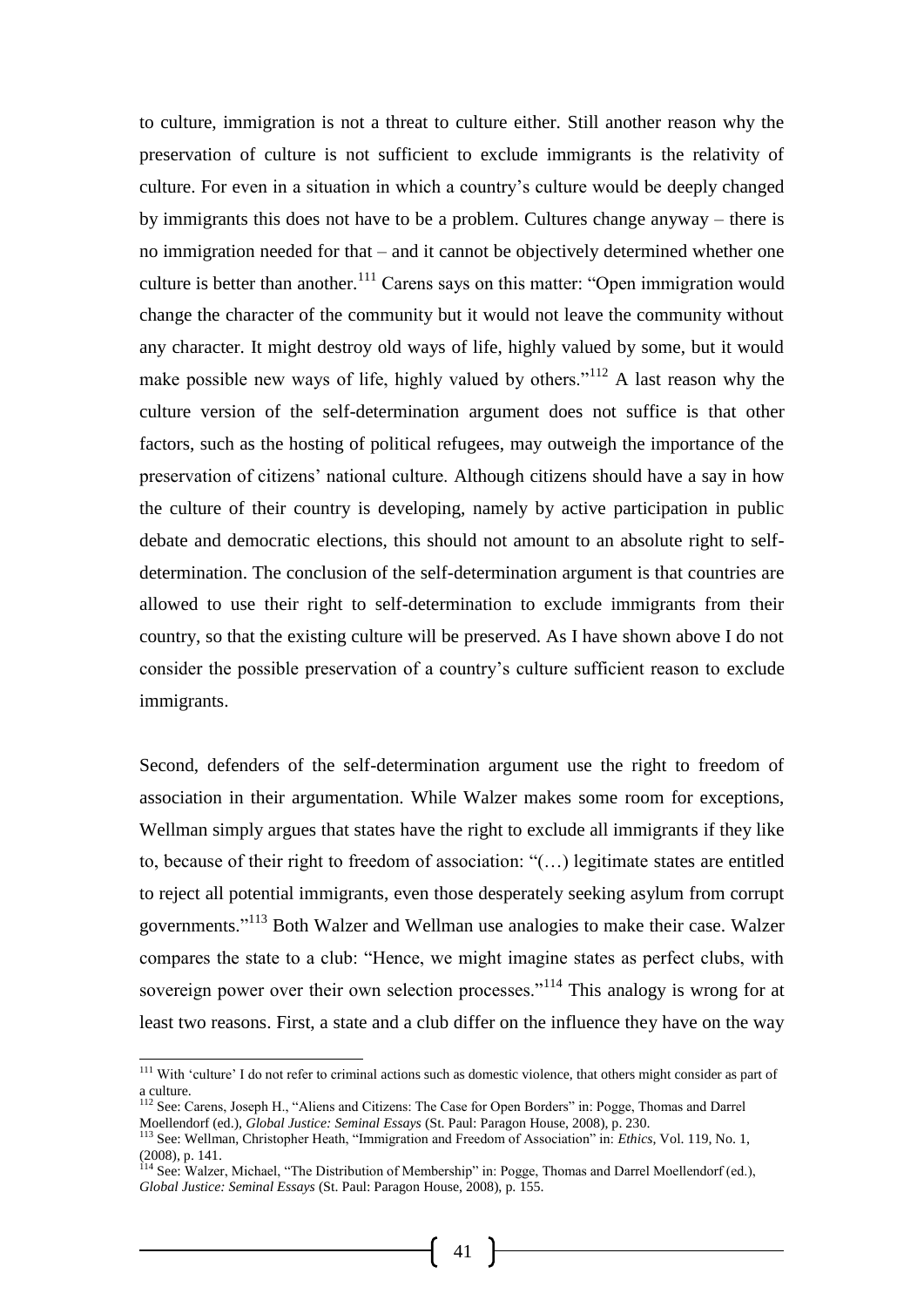to culture, immigration is not a threat to culture either. Still another reason why the preservation of culture is not sufficient to exclude immigrants is the relativity of culture. For even in a situation in which a country's culture would be deeply changed by immigrants this does not have to be a problem. Cultures change anyway – there is no immigration needed for that – and it cannot be objectively determined whether one culture is better than another.<sup>111</sup> Carens says on this matter: "Open immigration would change the character of the community but it would not leave the community without any character. It might destroy old ways of life, highly valued by some, but it would make possible new ways of life, highly valued by others."<sup>112</sup> A last reason why the culture version of the self-determination argument does not suffice is that other factors, such as the hosting of political refugees, may outweigh the importance of the preservation of citizens' national culture. Although citizens should have a say in how the culture of their country is developing, namely by active participation in public debate and democratic elections, this should not amount to an absolute right to selfdetermination. The conclusion of the self-determination argument is that countries are allowed to use their right to self-determination to exclude immigrants from their country, so that the existing culture will be preserved. As I have shown above I do not consider the possible preservation of a country's culture sufficient reason to exclude immigrants.

Second, defenders of the self-determination argument use the right to freedom of association in their argumentation. While Walzer makes some room for exceptions, Wellman simply argues that states have the right to exclude all immigrants if they like to, because of their right to freedom of association: "(…) legitimate states are entitled to reject all potential immigrants, even those desperately seeking asylum from corrupt governments."<sup>113</sup> Both Walzer and Wellman use analogies to make their case. Walzer compares the state to a club: "Hence, we might imagine states as perfect clubs, with sovereign power over their own selection processes."<sup>114</sup> This analogy is wrong for at least two reasons. First, a state and a club differ on the influence they have on the way

l

<sup>&</sup>lt;sup>111</sup> With 'culture' I do not refer to criminal actions such as domestic violence, that others might consider as part of a culture.

<sup>112</sup> See: Carens, Joseph H., "Aliens and Citizens: The Case for Open Borders" in: Pogge, Thomas and Darrel Moellendorf (ed.), *Global Justice: Seminal Essays* (St. Paul: Paragon House, 2008), p. 230.

<sup>113</sup> See: Wellman, Christopher Heath, "Immigration and Freedom of Association" in: *Ethics*, Vol. 119, No. 1, (2008), p. 141.

<sup>114</sup> See: Walzer, Michael, "The Distribution of Membership" in: Pogge, Thomas and Darrel Moellendorf (ed.), *Global Justice: Seminal Essays* (St. Paul: Paragon House, 2008), p. 155.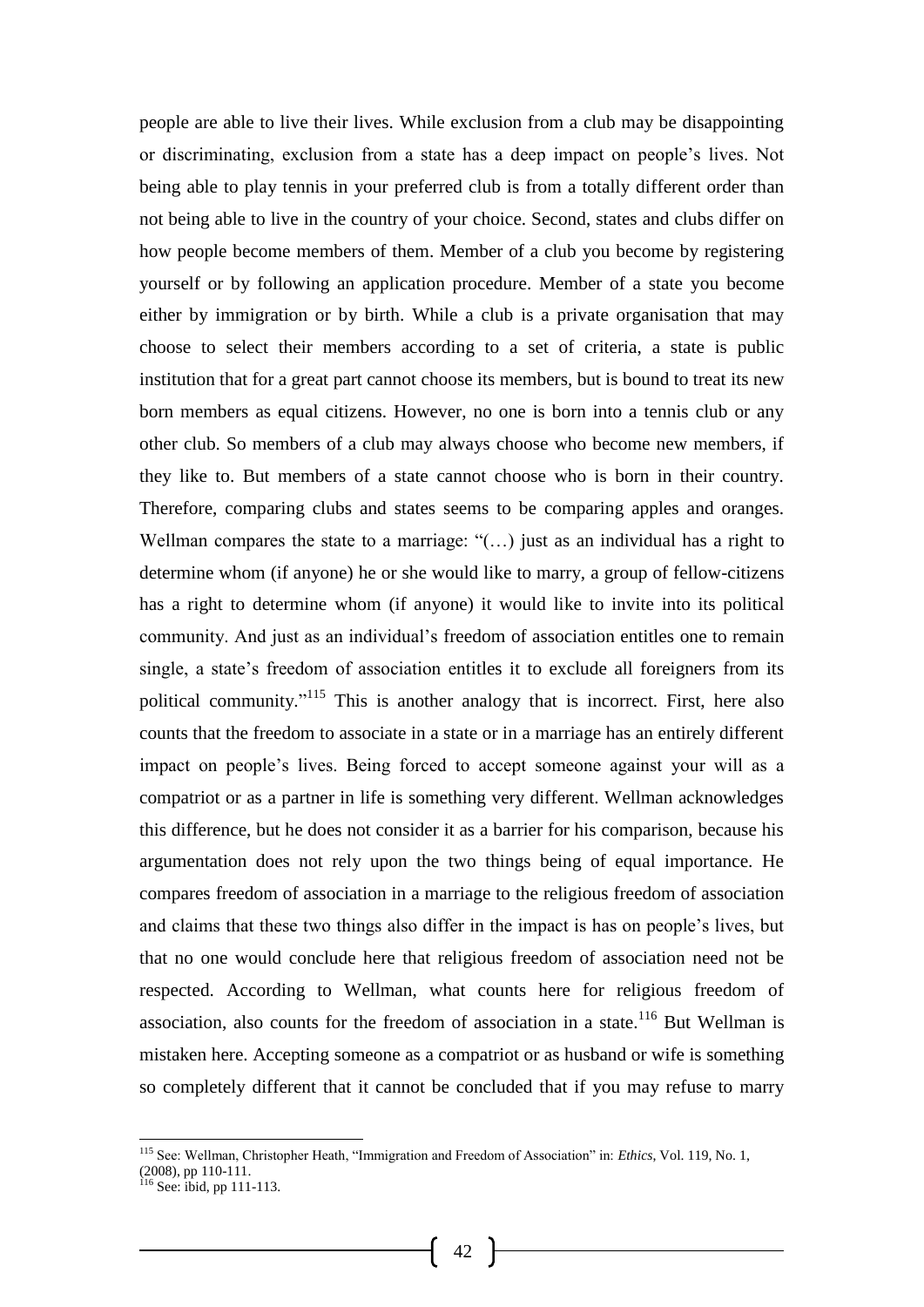people are able to live their lives. While exclusion from a club may be disappointing or discriminating, exclusion from a state has a deep impact on people's lives. Not being able to play tennis in your preferred club is from a totally different order than not being able to live in the country of your choice. Second, states and clubs differ on how people become members of them. Member of a club you become by registering yourself or by following an application procedure. Member of a state you become either by immigration or by birth. While a club is a private organisation that may choose to select their members according to a set of criteria, a state is public institution that for a great part cannot choose its members, but is bound to treat its new born members as equal citizens. However, no one is born into a tennis club or any other club. So members of a club may always choose who become new members, if they like to. But members of a state cannot choose who is born in their country. Therefore, comparing clubs and states seems to be comparing apples and oranges. Wellman compares the state to a marriage: "(...) just as an individual has a right to determine whom (if anyone) he or she would like to marry, a group of fellow-citizens has a right to determine whom (if anyone) it would like to invite into its political community. And just as an individual's freedom of association entitles one to remain single, a state's freedom of association entitles it to exclude all foreigners from its political community."<sup>115</sup> This is another analogy that is incorrect. First, here also counts that the freedom to associate in a state or in a marriage has an entirely different impact on people's lives. Being forced to accept someone against your will as a compatriot or as a partner in life is something very different. Wellman acknowledges this difference, but he does not consider it as a barrier for his comparison, because his argumentation does not rely upon the two things being of equal importance. He compares freedom of association in a marriage to the religious freedom of association and claims that these two things also differ in the impact is has on people's lives, but that no one would conclude here that religious freedom of association need not be respected. According to Wellman, what counts here for religious freedom of association, also counts for the freedom of association in a state.<sup>116</sup> But Wellman is mistaken here. Accepting someone as a compatriot or as husband or wife is something so completely different that it cannot be concluded that if you may refuse to marry

<sup>115</sup> See: Wellman, Christopher Heath, "Immigration and Freedom of Association" in: *Ethics*, Vol. 119, No. 1,  $(2008)$ , pp 110-111.

 $116$  See: ibid, pp 111-113.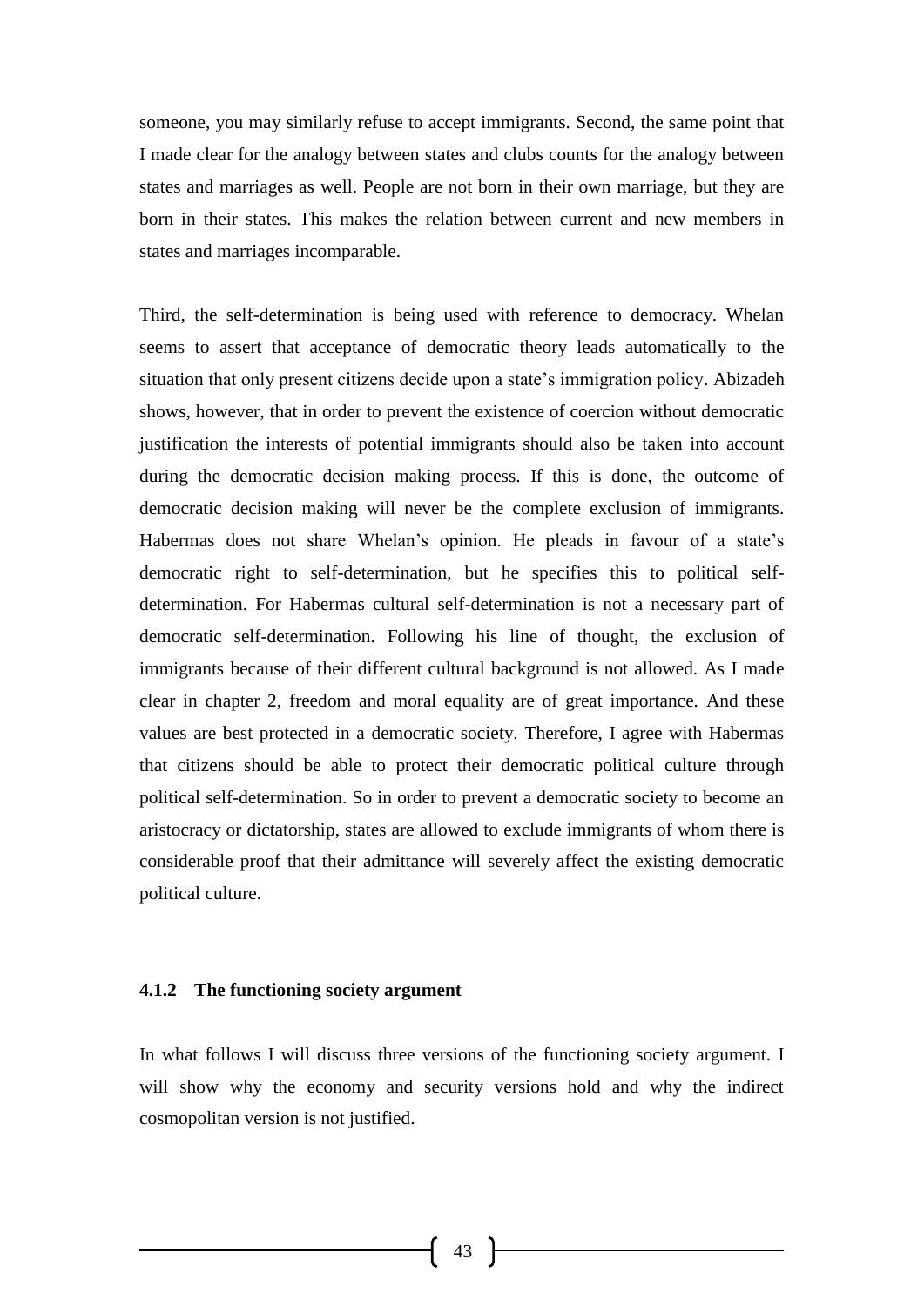someone, you may similarly refuse to accept immigrants. Second, the same point that I made clear for the analogy between states and clubs counts for the analogy between states and marriages as well. People are not born in their own marriage, but they are born in their states. This makes the relation between current and new members in states and marriages incomparable.

Third, the self-determination is being used with reference to democracy. Whelan seems to assert that acceptance of democratic theory leads automatically to the situation that only present citizens decide upon a state's immigration policy. Abizadeh shows, however, that in order to prevent the existence of coercion without democratic justification the interests of potential immigrants should also be taken into account during the democratic decision making process. If this is done, the outcome of democratic decision making will never be the complete exclusion of immigrants. Habermas does not share Whelan's opinion. He pleads in favour of a state's democratic right to self-determination, but he specifies this to political selfdetermination. For Habermas cultural self-determination is not a necessary part of democratic self-determination. Following his line of thought, the exclusion of immigrants because of their different cultural background is not allowed. As I made clear in chapter 2, freedom and moral equality are of great importance. And these values are best protected in a democratic society. Therefore, I agree with Habermas that citizens should be able to protect their democratic political culture through political self-determination. So in order to prevent a democratic society to become an aristocracy or dictatorship, states are allowed to exclude immigrants of whom there is considerable proof that their admittance will severely affect the existing democratic political culture.

#### **4.1.2 The functioning society argument**

In what follows I will discuss three versions of the functioning society argument. I will show why the economy and security versions hold and why the indirect cosmopolitan version is not justified.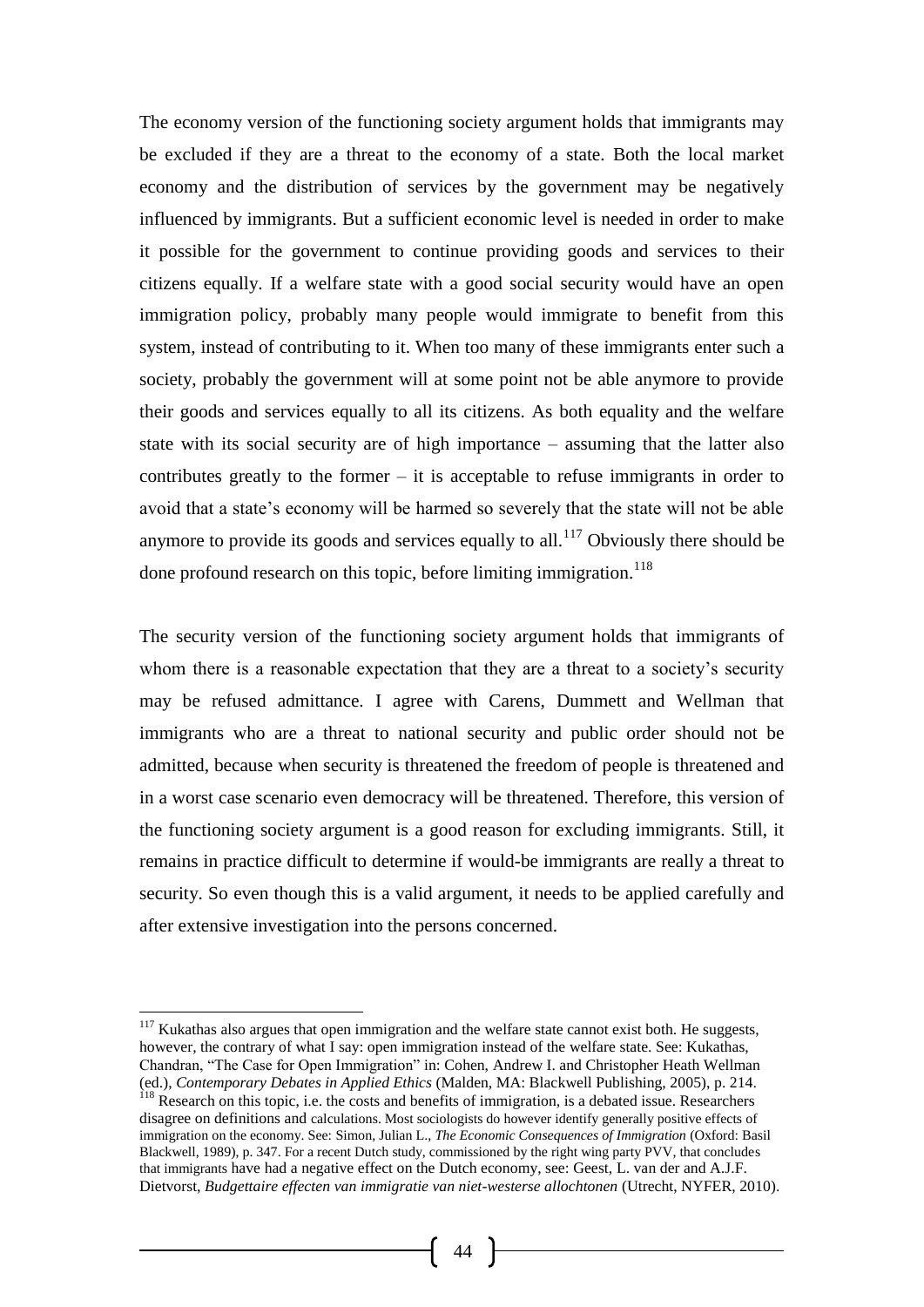The economy version of the functioning society argument holds that immigrants may be excluded if they are a threat to the economy of a state. Both the local market economy and the distribution of services by the government may be negatively influenced by immigrants. But a sufficient economic level is needed in order to make it possible for the government to continue providing goods and services to their citizens equally. If a welfare state with a good social security would have an open immigration policy, probably many people would immigrate to benefit from this system, instead of contributing to it. When too many of these immigrants enter such a society, probably the government will at some point not be able anymore to provide their goods and services equally to all its citizens. As both equality and the welfare state with its social security are of high importance – assuming that the latter also contributes greatly to the former – it is acceptable to refuse immigrants in order to avoid that a state's economy will be harmed so severely that the state will not be able anymore to provide its goods and services equally to all.<sup>117</sup> Obviously there should be done profound research on this topic, before limiting immigration.<sup>118</sup>

The security version of the functioning society argument holds that immigrants of whom there is a reasonable expectation that they are a threat to a society's security may be refused admittance. I agree with Carens, Dummett and Wellman that immigrants who are a threat to national security and public order should not be admitted, because when security is threatened the freedom of people is threatened and in a worst case scenario even democracy will be threatened. Therefore, this version of the functioning society argument is a good reason for excluding immigrants. Still, it remains in practice difficult to determine if would-be immigrants are really a threat to security. So even though this is a valid argument, it needs to be applied carefully and after extensive investigation into the persons concerned.

-

 $117$  Kukathas also argues that open immigration and the welfare state cannot exist both. He suggests, however, the contrary of what I say: open immigration instead of the welfare state. See: Kukathas, Chandran, "The Case for Open Immigration" in: Cohen, Andrew I. and Christopher Heath Wellman (ed.), *Contemporary Debates in Applied Ethics* (Malden, MA: Blackwell Publishing, 2005), p. 214. <sup>118</sup> Research on this topic, i.e. the costs and benefits of immigration, is a debated issue. Researchers disagree on definitions and calculations. Most sociologists do however identify generally positive effects of immigration on the economy. See: Simon, Julian L., *The Economic Consequences of Immigration* (Oxford: Basil Blackwell, 1989), p. 347. For a recent Dutch study, commissioned by the right wing party PVV, that concludes that immigrants have had a negative effect on the Dutch economy, see: Geest, L. van der and A.J.F. Dietvorst, *Budgettaire effecten van immigratie van niet-westerse allochtonen* (Utrecht, NYFER, 2010).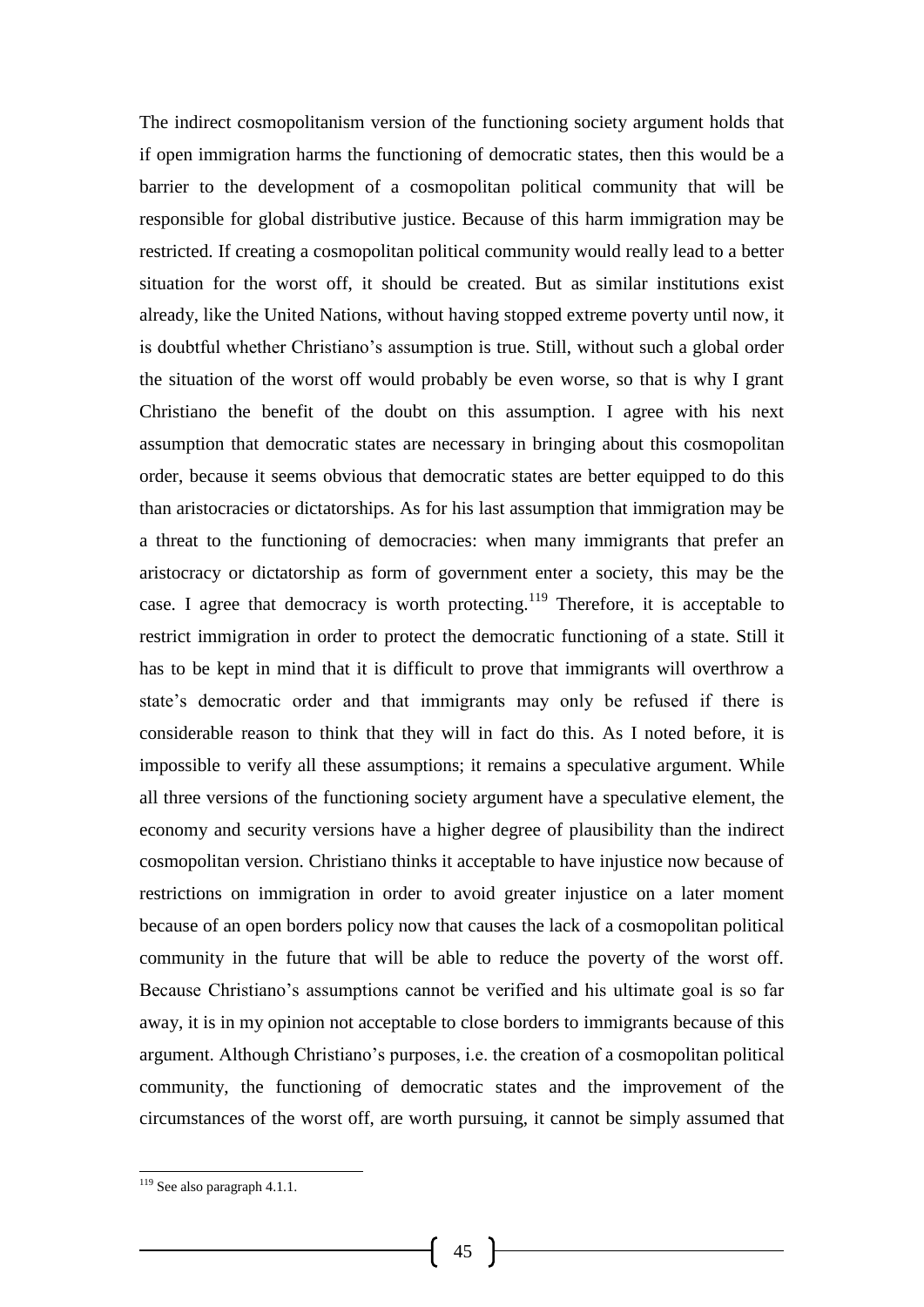The indirect cosmopolitanism version of the functioning society argument holds that if open immigration harms the functioning of democratic states, then this would be a barrier to the development of a cosmopolitan political community that will be responsible for global distributive justice. Because of this harm immigration may be restricted. If creating a cosmopolitan political community would really lead to a better situation for the worst off, it should be created. But as similar institutions exist already, like the United Nations, without having stopped extreme poverty until now, it is doubtful whether Christiano's assumption is true. Still, without such a global order the situation of the worst off would probably be even worse, so that is why I grant Christiano the benefit of the doubt on this assumption. I agree with his next assumption that democratic states are necessary in bringing about this cosmopolitan order, because it seems obvious that democratic states are better equipped to do this than aristocracies or dictatorships. As for his last assumption that immigration may be a threat to the functioning of democracies: when many immigrants that prefer an aristocracy or dictatorship as form of government enter a society, this may be the case. I agree that democracy is worth protecting.<sup>119</sup> Therefore, it is acceptable to restrict immigration in order to protect the democratic functioning of a state. Still it has to be kept in mind that it is difficult to prove that immigrants will overthrow a state's democratic order and that immigrants may only be refused if there is considerable reason to think that they will in fact do this. As I noted before, it is impossible to verify all these assumptions; it remains a speculative argument. While all three versions of the functioning society argument have a speculative element, the economy and security versions have a higher degree of plausibility than the indirect cosmopolitan version. Christiano thinks it acceptable to have injustice now because of restrictions on immigration in order to avoid greater injustice on a later moment because of an open borders policy now that causes the lack of a cosmopolitan political community in the future that will be able to reduce the poverty of the worst off. Because Christiano's assumptions cannot be verified and his ultimate goal is so far away, it is in my opinion not acceptable to close borders to immigrants because of this argument. Although Christiano's purposes, i.e. the creation of a cosmopolitan political community, the functioning of democratic states and the improvement of the circumstances of the worst off, are worth pursuing, it cannot be simply assumed that

<sup>&</sup>lt;sup>119</sup> See also paragraph 4.1.1.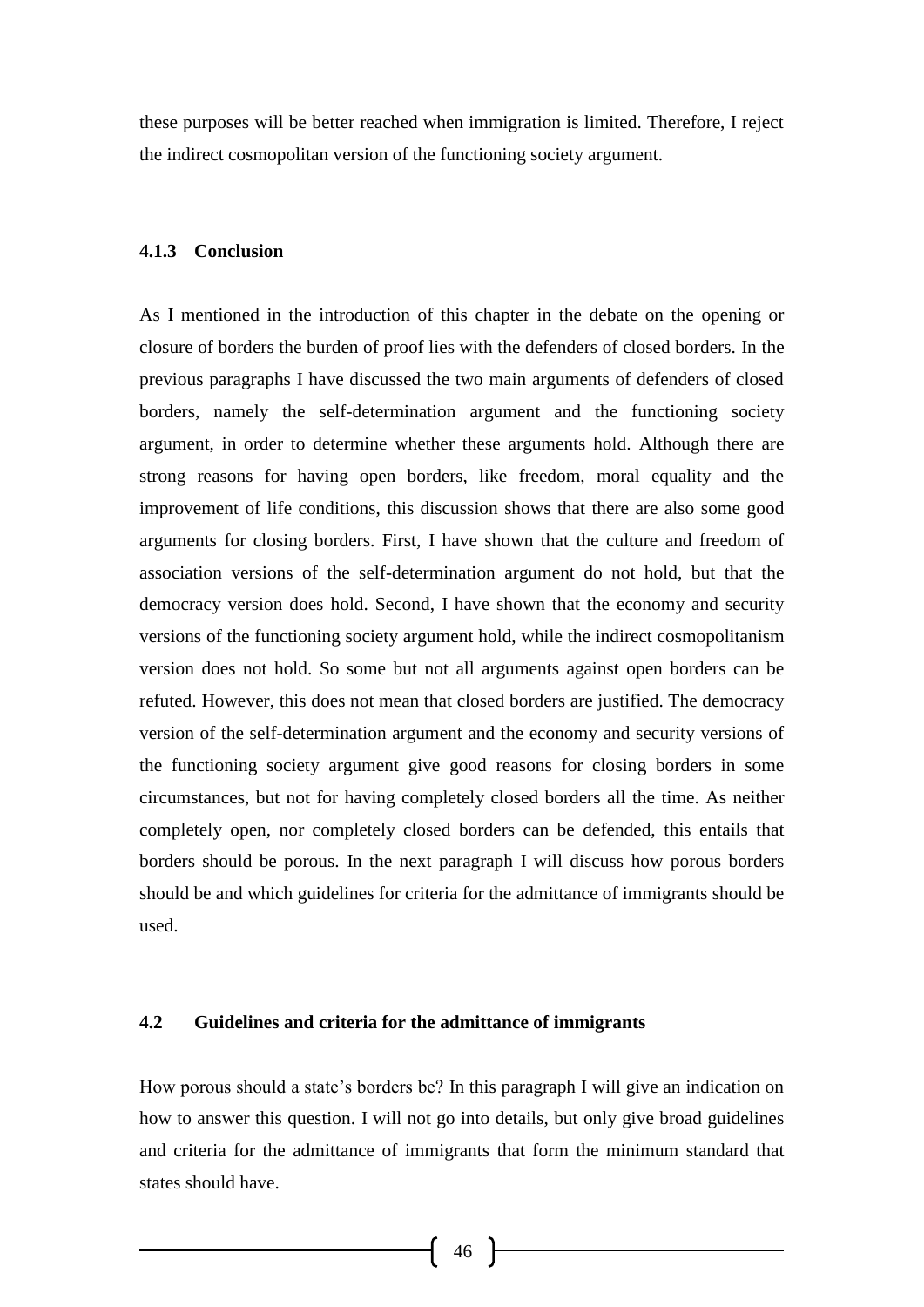these purposes will be better reached when immigration is limited. Therefore, I reject the indirect cosmopolitan version of the functioning society argument.

#### **4.1.3 Conclusion**

As I mentioned in the introduction of this chapter in the debate on the opening or closure of borders the burden of proof lies with the defenders of closed borders. In the previous paragraphs I have discussed the two main arguments of defenders of closed borders, namely the self-determination argument and the functioning society argument, in order to determine whether these arguments hold. Although there are strong reasons for having open borders, like freedom, moral equality and the improvement of life conditions, this discussion shows that there are also some good arguments for closing borders. First, I have shown that the culture and freedom of association versions of the self-determination argument do not hold, but that the democracy version does hold. Second, I have shown that the economy and security versions of the functioning society argument hold, while the indirect cosmopolitanism version does not hold. So some but not all arguments against open borders can be refuted. However, this does not mean that closed borders are justified. The democracy version of the self-determination argument and the economy and security versions of the functioning society argument give good reasons for closing borders in some circumstances, but not for having completely closed borders all the time. As neither completely open, nor completely closed borders can be defended, this entails that borders should be porous. In the next paragraph I will discuss how porous borders should be and which guidelines for criteria for the admittance of immigrants should be used.

#### **4.2 Guidelines and criteria for the admittance of immigrants**

How porous should a state's borders be? In this paragraph I will give an indication on how to answer this question. I will not go into details, but only give broad guidelines and criteria for the admittance of immigrants that form the minimum standard that states should have.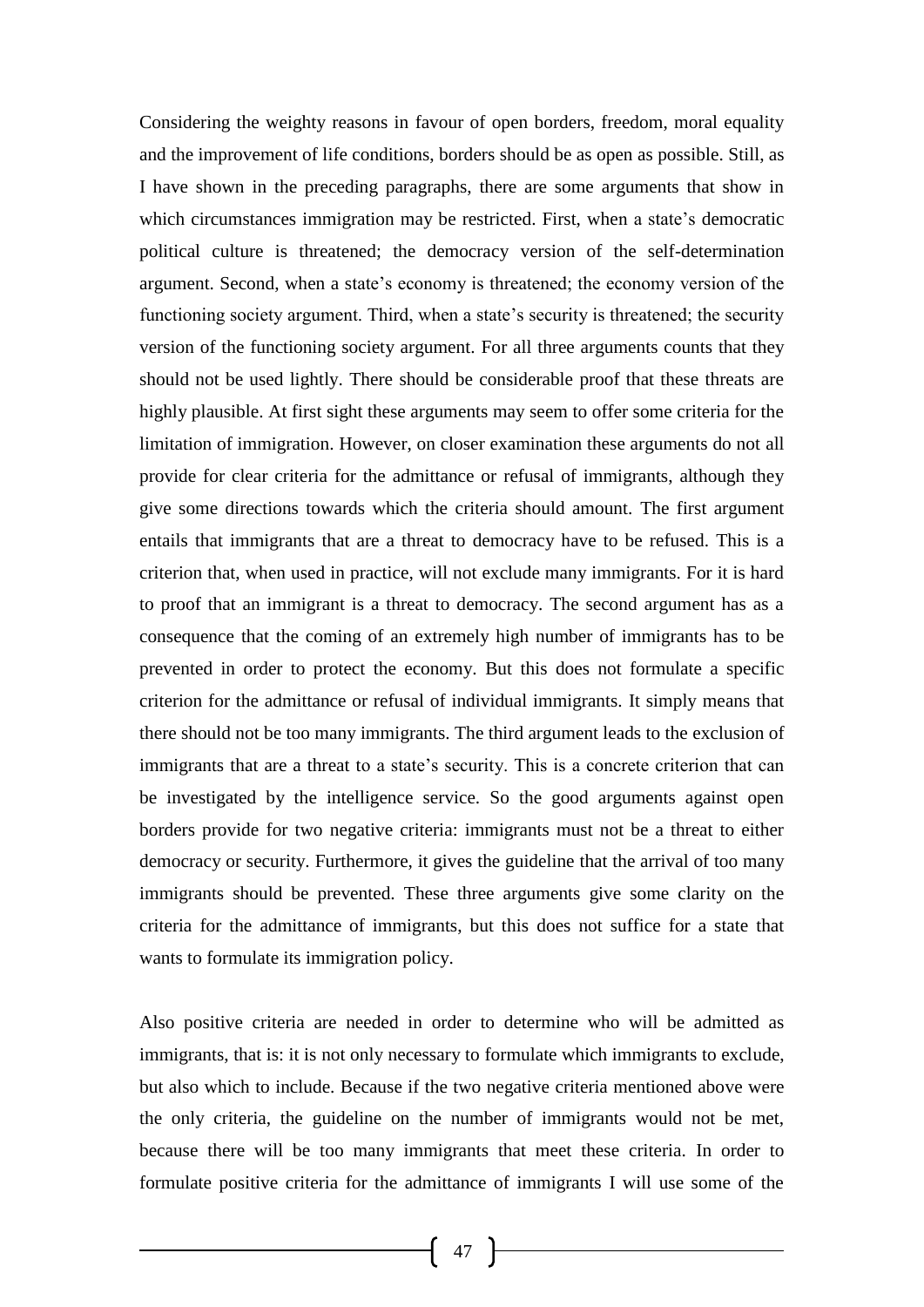Considering the weighty reasons in favour of open borders, freedom, moral equality and the improvement of life conditions, borders should be as open as possible. Still, as I have shown in the preceding paragraphs, there are some arguments that show in which circumstances immigration may be restricted. First, when a state's democratic political culture is threatened; the democracy version of the self-determination argument. Second, when a state's economy is threatened; the economy version of the functioning society argument. Third, when a state's security is threatened; the security version of the functioning society argument. For all three arguments counts that they should not be used lightly. There should be considerable proof that these threats are highly plausible. At first sight these arguments may seem to offer some criteria for the limitation of immigration. However, on closer examination these arguments do not all provide for clear criteria for the admittance or refusal of immigrants, although they give some directions towards which the criteria should amount. The first argument entails that immigrants that are a threat to democracy have to be refused. This is a criterion that, when used in practice, will not exclude many immigrants. For it is hard to proof that an immigrant is a threat to democracy. The second argument has as a consequence that the coming of an extremely high number of immigrants has to be prevented in order to protect the economy. But this does not formulate a specific criterion for the admittance or refusal of individual immigrants. It simply means that there should not be too many immigrants. The third argument leads to the exclusion of immigrants that are a threat to a state's security. This is a concrete criterion that can be investigated by the intelligence service. So the good arguments against open borders provide for two negative criteria: immigrants must not be a threat to either democracy or security. Furthermore, it gives the guideline that the arrival of too many immigrants should be prevented. These three arguments give some clarity on the criteria for the admittance of immigrants, but this does not suffice for a state that wants to formulate its immigration policy.

Also positive criteria are needed in order to determine who will be admitted as immigrants, that is: it is not only necessary to formulate which immigrants to exclude, but also which to include. Because if the two negative criteria mentioned above were the only criteria, the guideline on the number of immigrants would not be met, because there will be too many immigrants that meet these criteria. In order to formulate positive criteria for the admittance of immigrants I will use some of the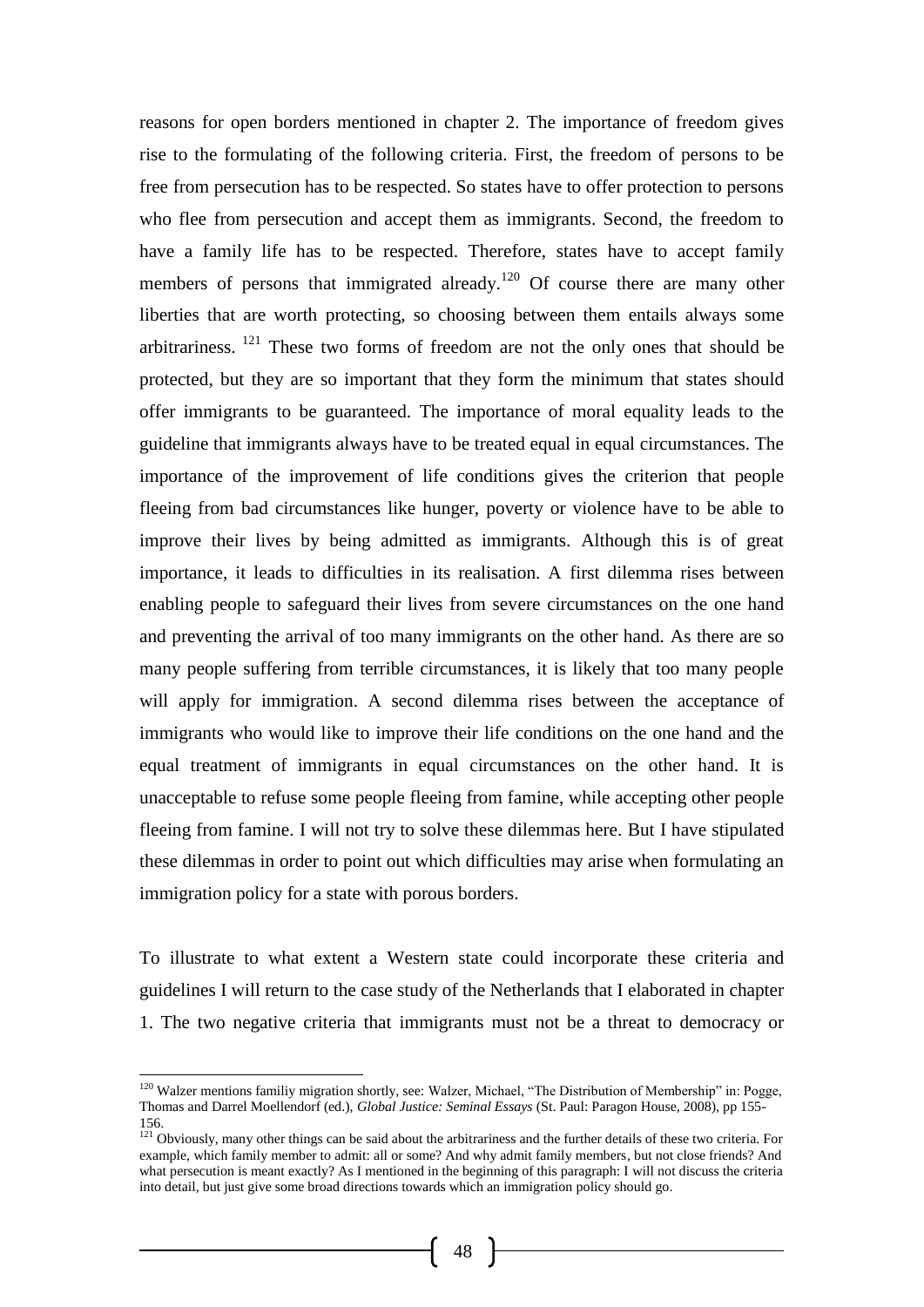reasons for open borders mentioned in chapter 2. The importance of freedom gives rise to the formulating of the following criteria. First, the freedom of persons to be free from persecution has to be respected. So states have to offer protection to persons who flee from persecution and accept them as immigrants. Second, the freedom to have a family life has to be respected. Therefore, states have to accept family members of persons that immigrated already.<sup>120</sup> Of course there are many other liberties that are worth protecting, so choosing between them entails always some arbitrariness. <sup>121</sup> These two forms of freedom are not the only ones that should be protected, but they are so important that they form the minimum that states should offer immigrants to be guaranteed. The importance of moral equality leads to the guideline that immigrants always have to be treated equal in equal circumstances. The importance of the improvement of life conditions gives the criterion that people fleeing from bad circumstances like hunger, poverty or violence have to be able to improve their lives by being admitted as immigrants. Although this is of great importance, it leads to difficulties in its realisation. A first dilemma rises between enabling people to safeguard their lives from severe circumstances on the one hand and preventing the arrival of too many immigrants on the other hand. As there are so many people suffering from terrible circumstances, it is likely that too many people will apply for immigration. A second dilemma rises between the acceptance of immigrants who would like to improve their life conditions on the one hand and the equal treatment of immigrants in equal circumstances on the other hand. It is unacceptable to refuse some people fleeing from famine, while accepting other people fleeing from famine. I will not try to solve these dilemmas here. But I have stipulated these dilemmas in order to point out which difficulties may arise when formulating an immigration policy for a state with porous borders.

To illustrate to what extent a Western state could incorporate these criteria and guidelines I will return to the case study of the Netherlands that I elaborated in chapter 1. The two negative criteria that immigrants must not be a threat to democracy or

-

 $120$  Walzer mentions familiy migration shortly, see: Walzer, Michael, "The Distribution of Membership" in: Pogge, Thomas and Darrel Moellendorf (ed.), *Global Justice: Seminal Essays* (St. Paul: Paragon House, 2008), pp 155- 156.

 $121$  Obviously, many other things can be said about the arbitrariness and the further details of these two criteria. For example, which family member to admit: all or some? And why admit family members, but not close friends? And what persecution is meant exactly? As I mentioned in the beginning of this paragraph: I will not discuss the criteria into detail, but just give some broad directions towards which an immigration policy should go.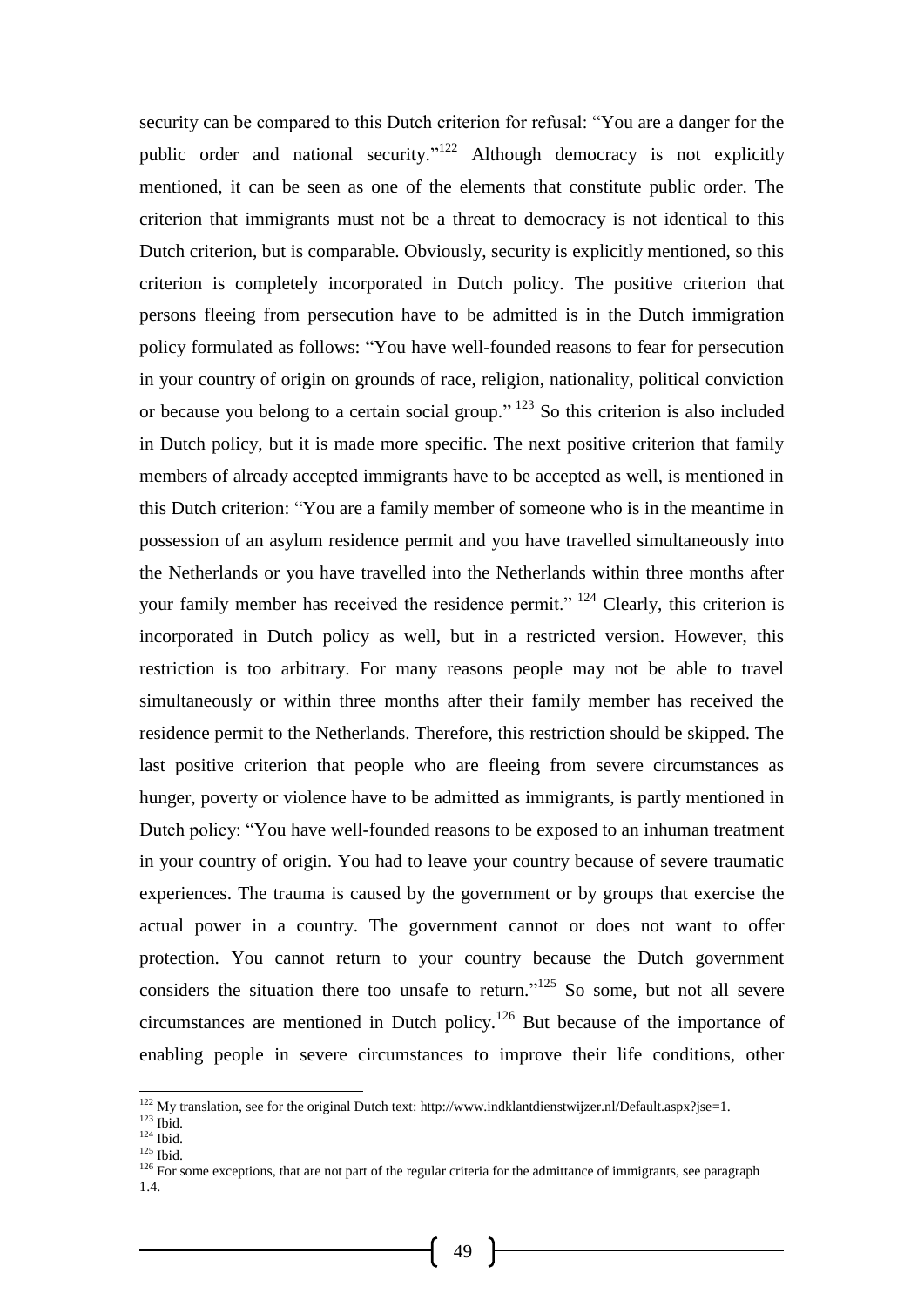security can be compared to this Dutch criterion for refusal: "You are a danger for the public order and national security."<sup>122</sup> Although democracy is not explicitly mentioned, it can be seen as one of the elements that constitute public order. The criterion that immigrants must not be a threat to democracy is not identical to this Dutch criterion, but is comparable. Obviously, security is explicitly mentioned, so this criterion is completely incorporated in Dutch policy. The positive criterion that persons fleeing from persecution have to be admitted is in the Dutch immigration policy formulated as follows: "You have well-founded reasons to fear for persecution in your country of origin on grounds of race, religion, nationality, political conviction or because you belong to a certain social group."<sup>123</sup> So this criterion is also included in Dutch policy, but it is made more specific. The next positive criterion that family members of already accepted immigrants have to be accepted as well, is mentioned in this Dutch criterion: "You are a family member of someone who is in the meantime in possession of an asylum residence permit and you have travelled simultaneously into the Netherlands or you have travelled into the Netherlands within three months after your family member has received the residence permit." <sup>124</sup> Clearly, this criterion is incorporated in Dutch policy as well, but in a restricted version. However, this restriction is too arbitrary. For many reasons people may not be able to travel simultaneously or within three months after their family member has received the residence permit to the Netherlands. Therefore, this restriction should be skipped. The last positive criterion that people who are fleeing from severe circumstances as hunger, poverty or violence have to be admitted as immigrants, is partly mentioned in Dutch policy: "You have well-founded reasons to be exposed to an inhuman treatment in your country of origin. You had to leave your country because of severe traumatic experiences. The trauma is caused by the government or by groups that exercise the actual power in a country. The government cannot or does not want to offer protection. You cannot return to your country because the Dutch government considers the situation there too unsafe to return."<sup>125</sup> So some, but not all severe circumstances are mentioned in Dutch policy.<sup>126</sup> But because of the importance of enabling people in severe circumstances to improve their life conditions, other

 $125$  Ibid.

<sup>&</sup>lt;sup>122</sup> My translation, see for the original Dutch text: http://www.indklantdienstwijzer.nl/Default.aspx?jse=1.

 $123$  Ibid.

 $124$  Ibid.

<sup>&</sup>lt;sup>126</sup> For some exceptions, that are not part of the regular criteria for the admittance of immigrants, see paragraph 1.4.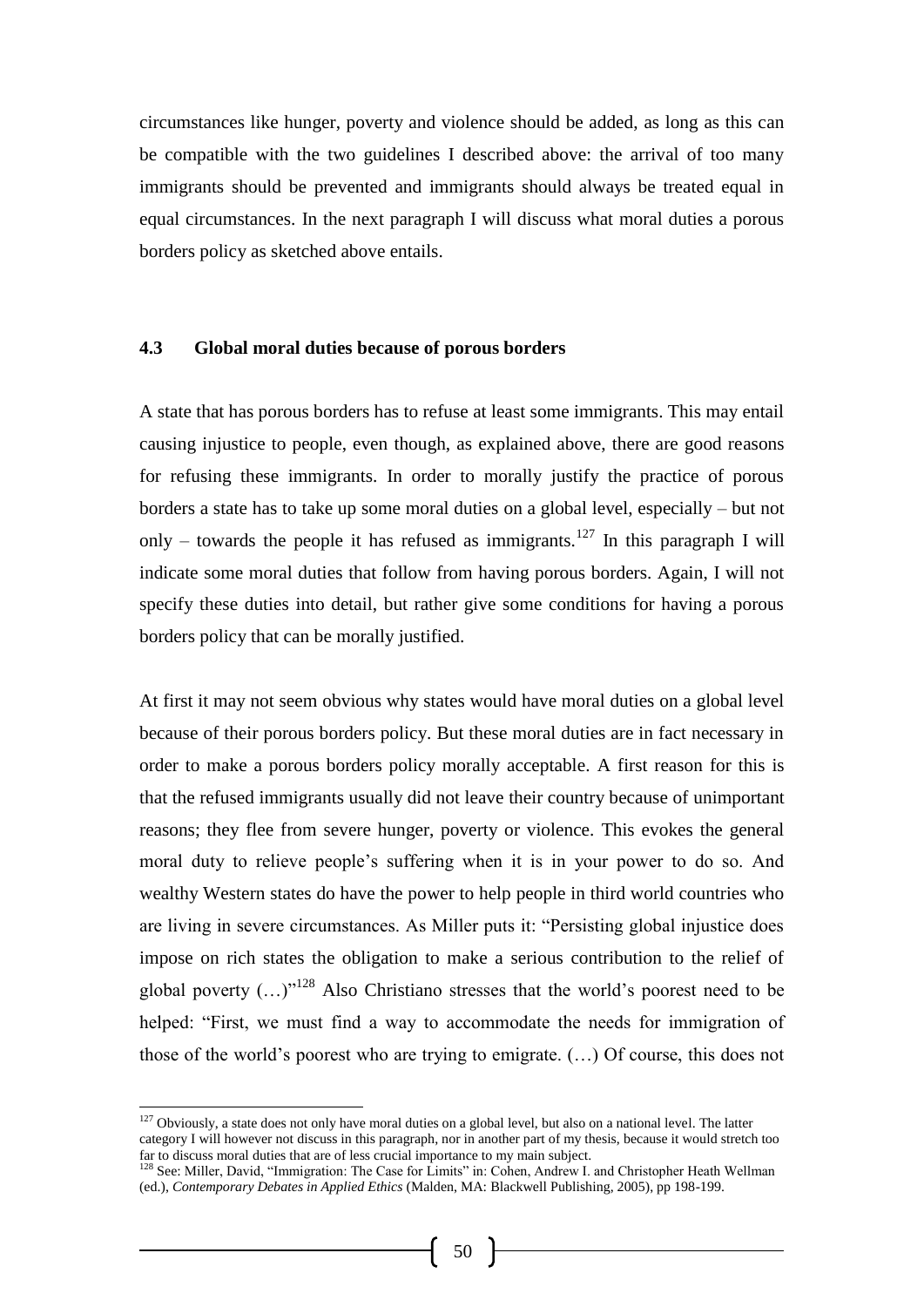circumstances like hunger, poverty and violence should be added, as long as this can be compatible with the two guidelines I described above: the arrival of too many immigrants should be prevented and immigrants should always be treated equal in equal circumstances. In the next paragraph I will discuss what moral duties a porous borders policy as sketched above entails.

#### **4.3 Global moral duties because of porous borders**

A state that has porous borders has to refuse at least some immigrants. This may entail causing injustice to people, even though, as explained above, there are good reasons for refusing these immigrants. In order to morally justify the practice of porous borders a state has to take up some moral duties on a global level, especially – but not only – towards the people it has refused as immigrants.<sup>127</sup> In this paragraph I will indicate some moral duties that follow from having porous borders. Again, I will not specify these duties into detail, but rather give some conditions for having a porous borders policy that can be morally justified.

At first it may not seem obvious why states would have moral duties on a global level because of their porous borders policy. But these moral duties are in fact necessary in order to make a porous borders policy morally acceptable. A first reason for this is that the refused immigrants usually did not leave their country because of unimportant reasons; they flee from severe hunger, poverty or violence. This evokes the general moral duty to relieve people's suffering when it is in your power to do so. And wealthy Western states do have the power to help people in third world countries who are living in severe circumstances. As Miller puts it: "Persisting global injustice does impose on rich states the obligation to make a serious contribution to the relief of global poverty  $(...)^{128}$  Also Christiano stresses that the world's poorest need to be helped: "First, we must find a way to accommodate the needs for immigration of those of the world's poorest who are trying to emigrate. (…) Of course, this does not

-

 $127$  Obviously, a state does not only have moral duties on a global level, but also on a national level. The latter category I will however not discuss in this paragraph, nor in another part of my thesis, because it would stretch too far to discuss moral duties that are of less crucial importance to my main subject.

<sup>&</sup>lt;sup>128</sup> See: Miller, David, "Immigration: The Case for Limits" in: Cohen, Andrew I. and Christopher Heath Wellman (ed.), *Contemporary Debates in Applied Ethics* (Malden, MA: Blackwell Publishing, 2005), pp 198-199.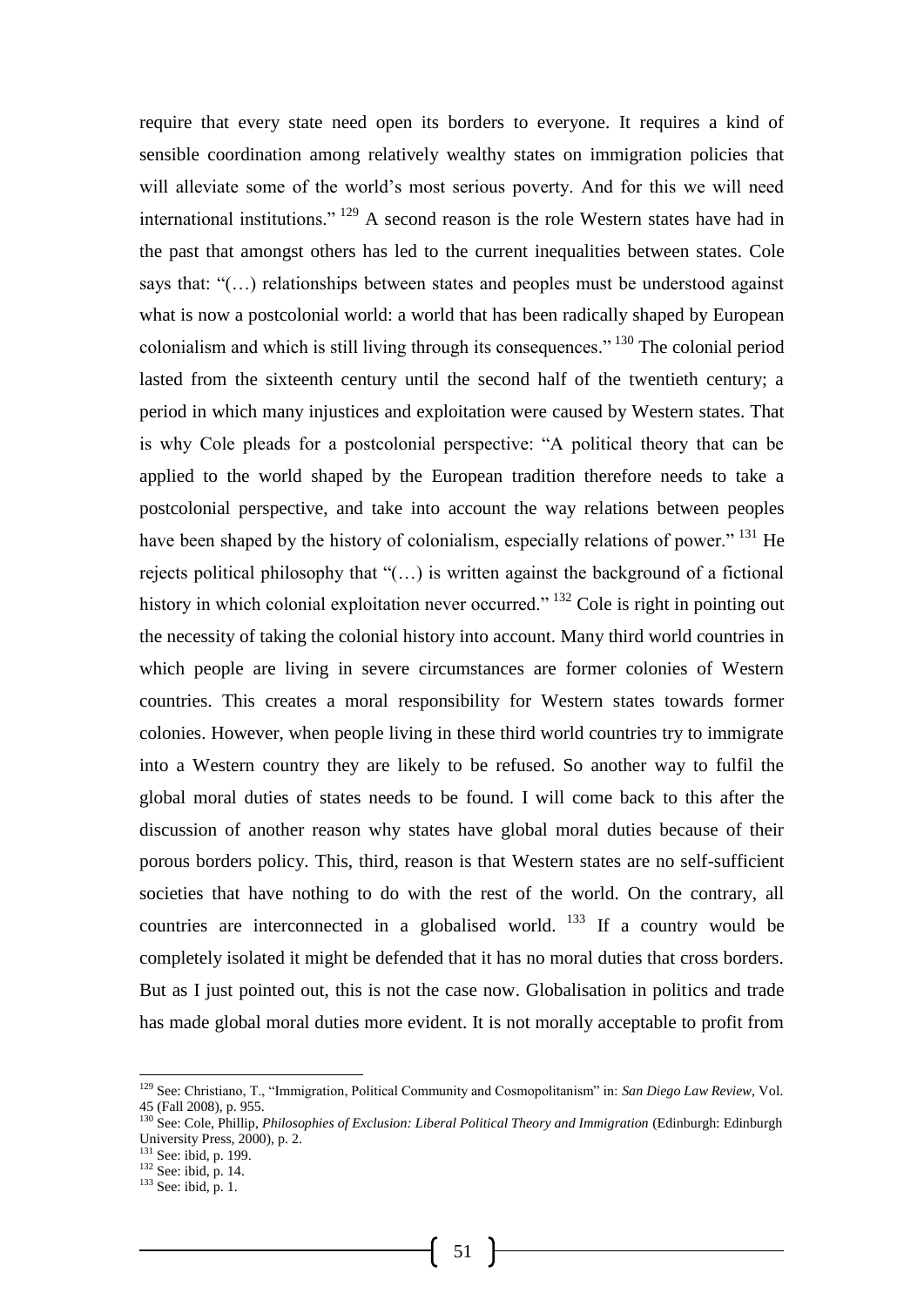require that every state need open its borders to everyone. It requires a kind of sensible coordination among relatively wealthy states on immigration policies that will alleviate some of the world's most serious poverty. And for this we will need international institutions." <sup>129</sup> A second reason is the role Western states have had in the past that amongst others has led to the current inequalities between states. Cole says that: "(…) relationships between states and peoples must be understood against what is now a postcolonial world: a world that has been radically shaped by European colonialism and which is still living through its consequences." <sup>130</sup> The colonial period lasted from the sixteenth century until the second half of the twentieth century; a period in which many injustices and exploitation were caused by Western states. That is why Cole pleads for a postcolonial perspective: "A political theory that can be applied to the world shaped by the European tradition therefore needs to take a postcolonial perspective, and take into account the way relations between peoples have been shaped by the history of colonialism, especially relations of power." <sup>131</sup> He rejects political philosophy that "(…) is written against the background of a fictional history in which colonial exploitation never occurred." <sup>132</sup> Cole is right in pointing out the necessity of taking the colonial history into account. Many third world countries in which people are living in severe circumstances are former colonies of Western countries. This creates a moral responsibility for Western states towards former colonies. However, when people living in these third world countries try to immigrate into a Western country they are likely to be refused. So another way to fulfil the global moral duties of states needs to be found. I will come back to this after the discussion of another reason why states have global moral duties because of their porous borders policy. This, third, reason is that Western states are no self-sufficient societies that have nothing to do with the rest of the world. On the contrary, all countries are interconnected in a globalised world.  $133$  If a country would be completely isolated it might be defended that it has no moral duties that cross borders. But as I just pointed out, this is not the case now. Globalisation in politics and trade has made global moral duties more evident. It is not morally acceptable to profit from

-

<sup>129</sup> See: Christiano, T., "Immigration, Political Community and Cosmopolitanism" in: *San Diego Law Review*, Vol. 45 (Fall 2008), p. 955.

<sup>130</sup> See: Cole, Phillip, *Philosophies of Exclusion: Liberal Political Theory and Immigration* (Edinburgh: Edinburgh University Press, 2000), p. 2.

<sup>&</sup>lt;sup>131</sup> See: ibid, p. 199.

 $132$  See: ibid, p. 14.

 $133$  See: ibid, p. 1.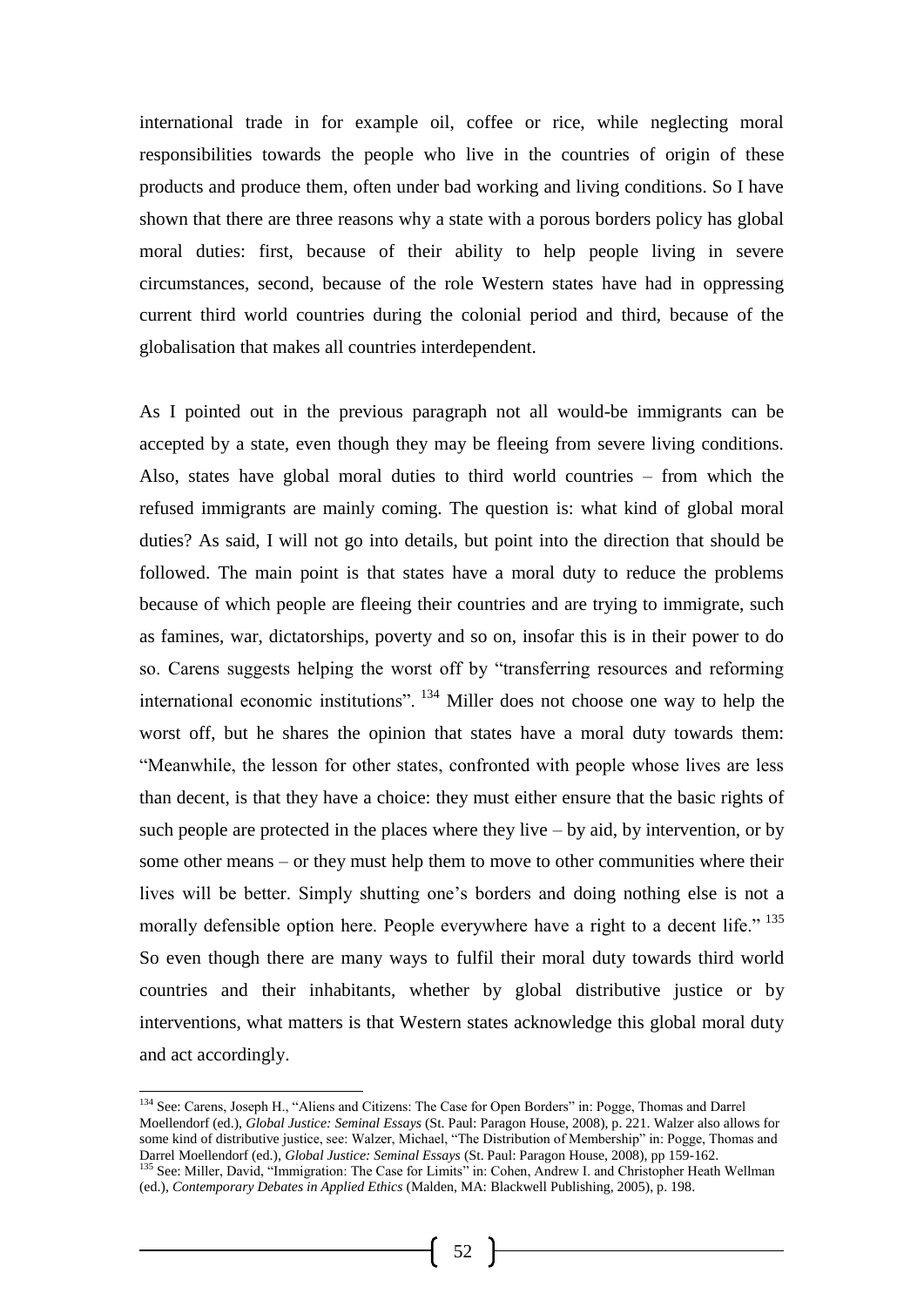international trade in for example oil, coffee or rice, while neglecting moral responsibilities towards the people who live in the countries of origin of these products and produce them, often under bad working and living conditions. So I have shown that there are three reasons why a state with a porous borders policy has global moral duties: first, because of their ability to help people living in severe circumstances, second, because of the role Western states have had in oppressing current third world countries during the colonial period and third, because of the globalisation that makes all countries interdependent.

As I pointed out in the previous paragraph not all would-be immigrants can be accepted by a state, even though they may be fleeing from severe living conditions. Also, states have global moral duties to third world countries – from which the refused immigrants are mainly coming. The question is: what kind of global moral duties? As said, I will not go into details, but point into the direction that should be followed. The main point is that states have a moral duty to reduce the problems because of which people are fleeing their countries and are trying to immigrate, such as famines, war, dictatorships, poverty and so on, insofar this is in their power to do so. Carens suggests helping the worst off by "transferring resources and reforming international economic institutions". <sup>134</sup> Miller does not choose one way to help the worst off, but he shares the opinion that states have a moral duty towards them: "Meanwhile, the lesson for other states, confronted with people whose lives are less than decent, is that they have a choice: they must either ensure that the basic rights of such people are protected in the places where they live  $-$  by aid, by intervention, or by some other means – or they must help them to move to other communities where their lives will be better. Simply shutting one's borders and doing nothing else is not a morally defensible option here. People everywhere have a right to a decent life." <sup>135</sup> So even though there are many ways to fulfil their moral duty towards third world countries and their inhabitants, whether by global distributive justice or by interventions, what matters is that Western states acknowledge this global moral duty and act accordingly.

<sup>134</sup> See: Carens, Joseph H., "Aliens and Citizens: The Case for Open Borders" in: Pogge, Thomas and Darrel Moellendorf (ed.), *Global Justice: Seminal Essays* (St. Paul: Paragon House, 2008), p. 221. Walzer also allows for some kind of distributive justice, see: Walzer, Michael, "The Distribution of Membership" in: Pogge, Thomas and Darrel Moellendorf (ed.), *Global Justice: Seminal Essays* (St. Paul: Paragon House, 2008), pp 159-162.

<sup>&</sup>lt;sup>135</sup> See: Miller, David, "Immigration: The Case for Limits" in: Cohen, Andrew I. and Christopher Heath Wellman (ed.), *Contemporary Debates in Applied Ethics* (Malden, MA: Blackwell Publishing, 2005), p. 198.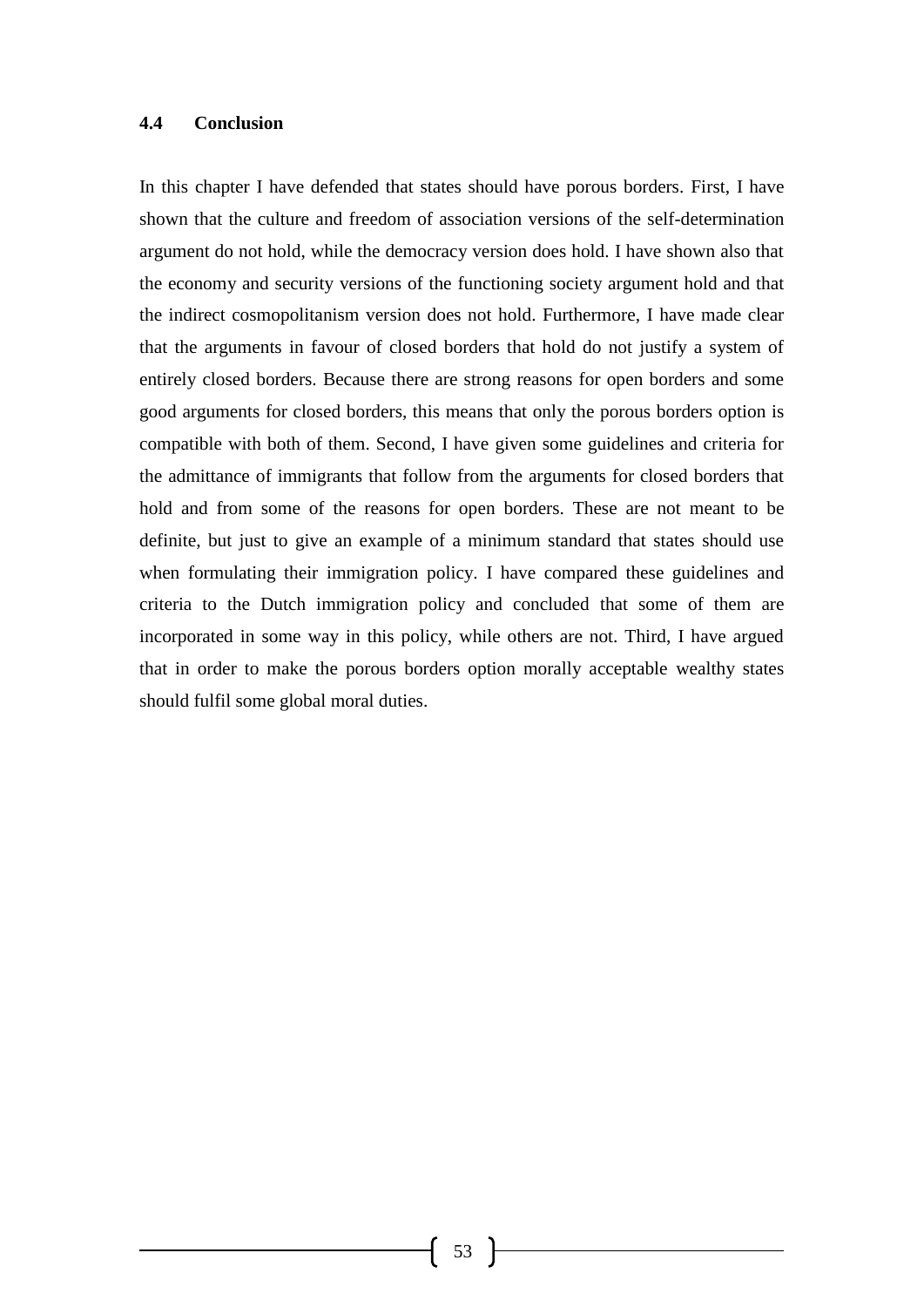#### **4.4 Conclusion**

In this chapter I have defended that states should have porous borders. First, I have shown that the culture and freedom of association versions of the self-determination argument do not hold, while the democracy version does hold. I have shown also that the economy and security versions of the functioning society argument hold and that the indirect cosmopolitanism version does not hold. Furthermore, I have made clear that the arguments in favour of closed borders that hold do not justify a system of entirely closed borders. Because there are strong reasons for open borders and some good arguments for closed borders, this means that only the porous borders option is compatible with both of them. Second, I have given some guidelines and criteria for the admittance of immigrants that follow from the arguments for closed borders that hold and from some of the reasons for open borders. These are not meant to be definite, but just to give an example of a minimum standard that states should use when formulating their immigration policy. I have compared these guidelines and criteria to the Dutch immigration policy and concluded that some of them are incorporated in some way in this policy, while others are not. Third, I have argued that in order to make the porous borders option morally acceptable wealthy states should fulfil some global moral duties.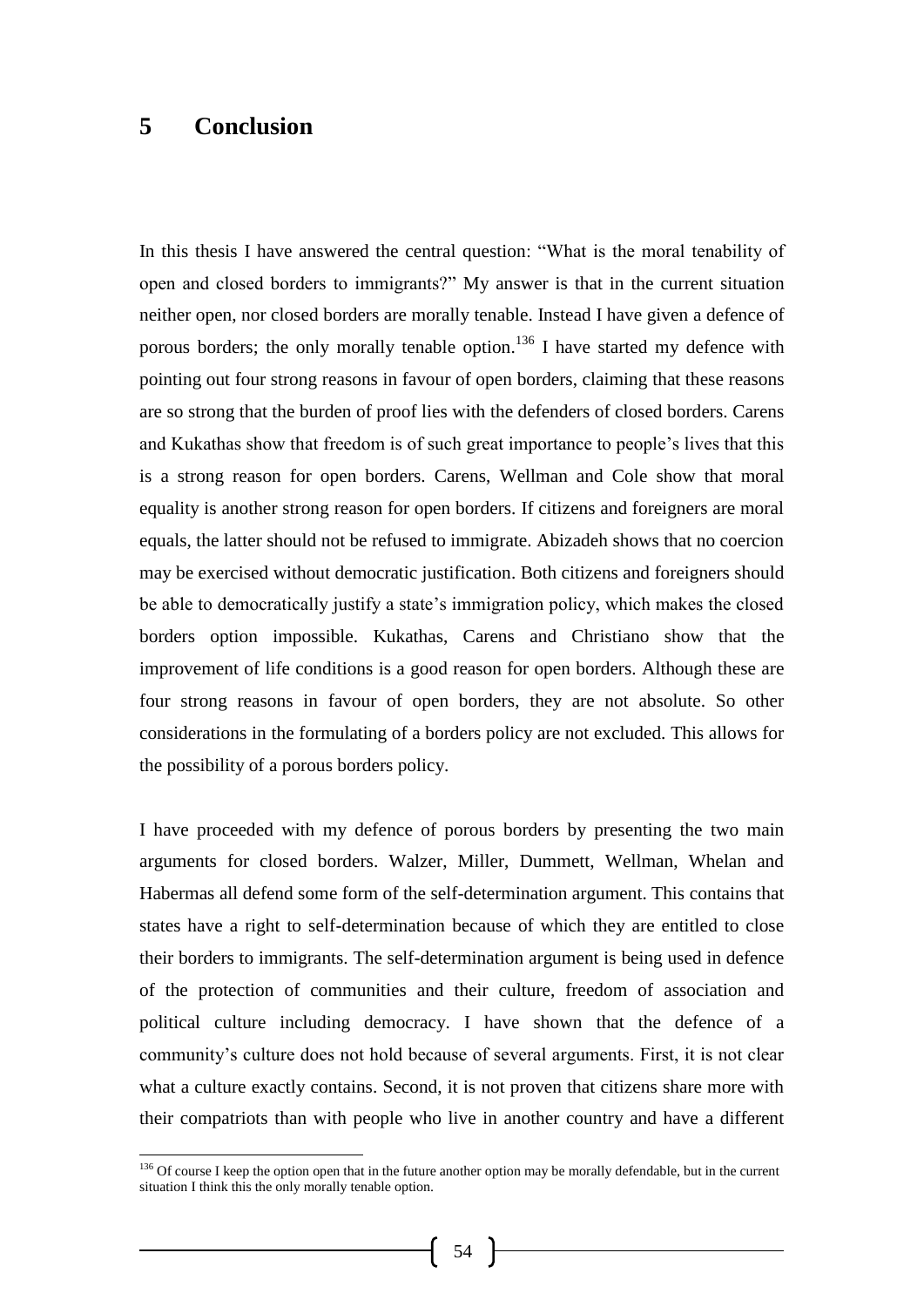## **5 Conclusion**

-

In this thesis I have answered the central question: "What is the moral tenability of open and closed borders to immigrants?" My answer is that in the current situation neither open, nor closed borders are morally tenable. Instead I have given a defence of porous borders; the only morally tenable option.<sup>136</sup> I have started my defence with pointing out four strong reasons in favour of open borders, claiming that these reasons are so strong that the burden of proof lies with the defenders of closed borders. Carens and Kukathas show that freedom is of such great importance to people's lives that this is a strong reason for open borders. Carens, Wellman and Cole show that moral equality is another strong reason for open borders. If citizens and foreigners are moral equals, the latter should not be refused to immigrate. Abizadeh shows that no coercion may be exercised without democratic justification. Both citizens and foreigners should be able to democratically justify a state's immigration policy, which makes the closed borders option impossible. Kukathas, Carens and Christiano show that the improvement of life conditions is a good reason for open borders. Although these are four strong reasons in favour of open borders, they are not absolute. So other considerations in the formulating of a borders policy are not excluded. This allows for the possibility of a porous borders policy.

I have proceeded with my defence of porous borders by presenting the two main arguments for closed borders. Walzer, Miller, Dummett, Wellman, Whelan and Habermas all defend some form of the self-determination argument. This contains that states have a right to self-determination because of which they are entitled to close their borders to immigrants. The self-determination argument is being used in defence of the protection of communities and their culture, freedom of association and political culture including democracy. I have shown that the defence of a community's culture does not hold because of several arguments. First, it is not clear what a culture exactly contains. Second, it is not proven that citizens share more with their compatriots than with people who live in another country and have a different

<sup>&</sup>lt;sup>136</sup> Of course I keep the option open that in the future another option may be morally defendable, but in the current situation I think this the only morally tenable option.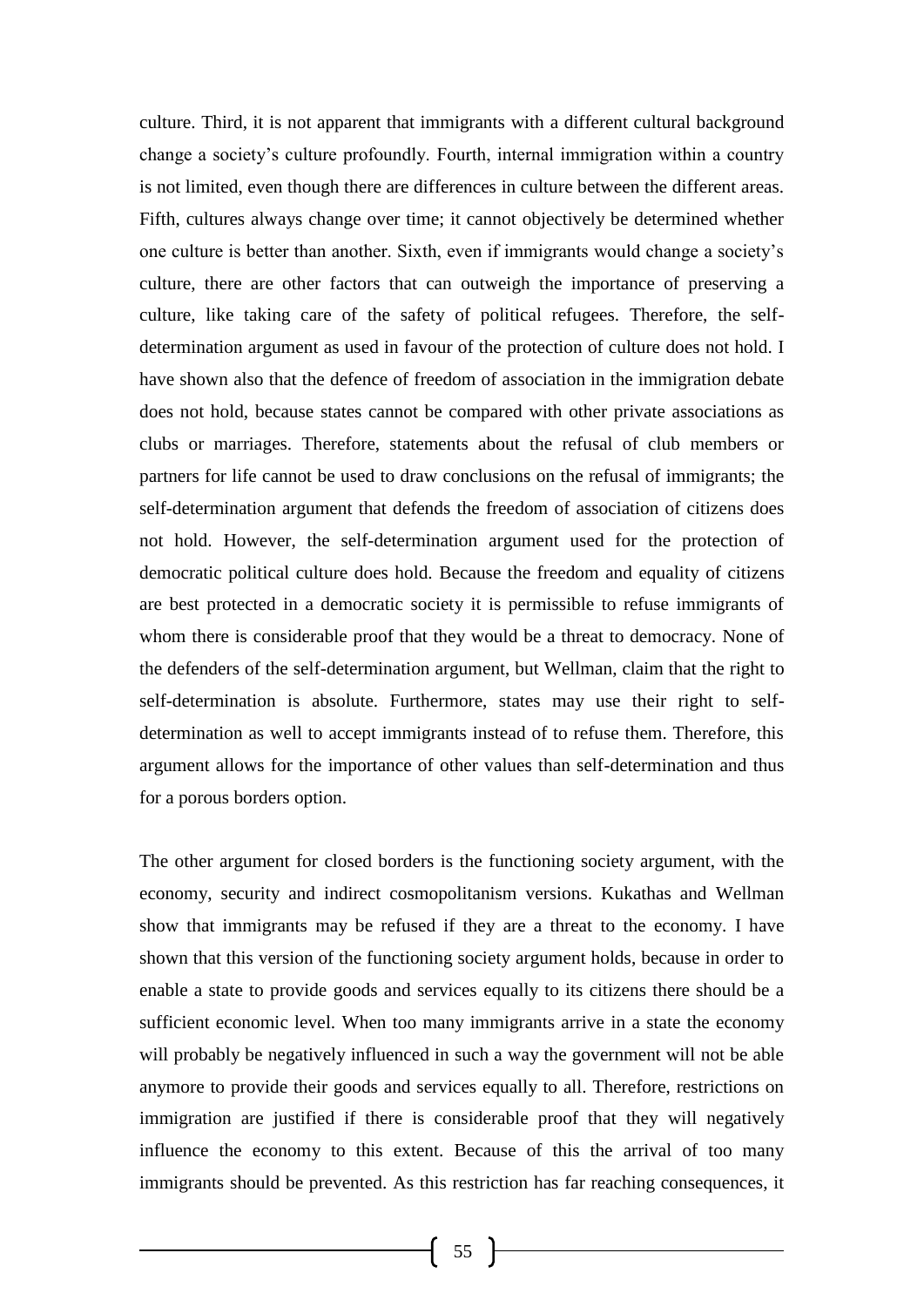culture. Third, it is not apparent that immigrants with a different cultural background change a society's culture profoundly. Fourth, internal immigration within a country is not limited, even though there are differences in culture between the different areas. Fifth, cultures always change over time; it cannot objectively be determined whether one culture is better than another. Sixth, even if immigrants would change a society's culture, there are other factors that can outweigh the importance of preserving a culture, like taking care of the safety of political refugees. Therefore, the selfdetermination argument as used in favour of the protection of culture does not hold. I have shown also that the defence of freedom of association in the immigration debate does not hold, because states cannot be compared with other private associations as clubs or marriages. Therefore, statements about the refusal of club members or partners for life cannot be used to draw conclusions on the refusal of immigrants; the self-determination argument that defends the freedom of association of citizens does not hold. However, the self-determination argument used for the protection of democratic political culture does hold. Because the freedom and equality of citizens are best protected in a democratic society it is permissible to refuse immigrants of whom there is considerable proof that they would be a threat to democracy. None of the defenders of the self-determination argument, but Wellman, claim that the right to self-determination is absolute. Furthermore, states may use their right to selfdetermination as well to accept immigrants instead of to refuse them. Therefore, this argument allows for the importance of other values than self-determination and thus for a porous borders option.

The other argument for closed borders is the functioning society argument, with the economy, security and indirect cosmopolitanism versions. Kukathas and Wellman show that immigrants may be refused if they are a threat to the economy. I have shown that this version of the functioning society argument holds, because in order to enable a state to provide goods and services equally to its citizens there should be a sufficient economic level. When too many immigrants arrive in a state the economy will probably be negatively influenced in such a way the government will not be able anymore to provide their goods and services equally to all. Therefore, restrictions on immigration are justified if there is considerable proof that they will negatively influence the economy to this extent. Because of this the arrival of too many immigrants should be prevented. As this restriction has far reaching consequences, it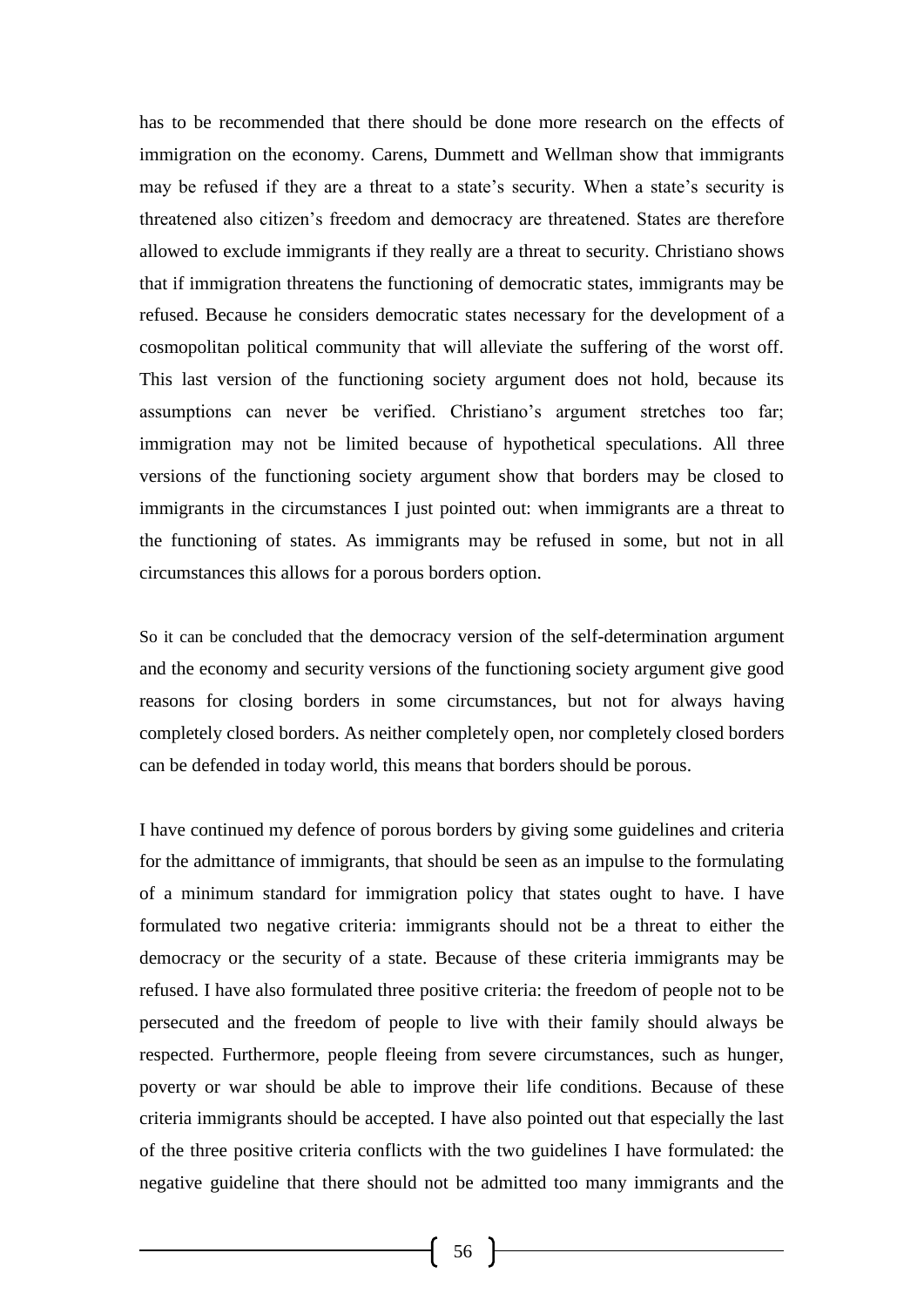has to be recommended that there should be done more research on the effects of immigration on the economy. Carens, Dummett and Wellman show that immigrants may be refused if they are a threat to a state's security. When a state's security is threatened also citizen's freedom and democracy are threatened. States are therefore allowed to exclude immigrants if they really are a threat to security. Christiano shows that if immigration threatens the functioning of democratic states, immigrants may be refused. Because he considers democratic states necessary for the development of a cosmopolitan political community that will alleviate the suffering of the worst off. This last version of the functioning society argument does not hold, because its assumptions can never be verified. Christiano's argument stretches too far; immigration may not be limited because of hypothetical speculations. All three versions of the functioning society argument show that borders may be closed to immigrants in the circumstances I just pointed out: when immigrants are a threat to the functioning of states. As immigrants may be refused in some, but not in all circumstances this allows for a porous borders option.

So it can be concluded that the democracy version of the self-determination argument and the economy and security versions of the functioning society argument give good reasons for closing borders in some circumstances, but not for always having completely closed borders. As neither completely open, nor completely closed borders can be defended in today world, this means that borders should be porous.

I have continued my defence of porous borders by giving some guidelines and criteria for the admittance of immigrants, that should be seen as an impulse to the formulating of a minimum standard for immigration policy that states ought to have. I have formulated two negative criteria: immigrants should not be a threat to either the democracy or the security of a state. Because of these criteria immigrants may be refused. I have also formulated three positive criteria: the freedom of people not to be persecuted and the freedom of people to live with their family should always be respected. Furthermore, people fleeing from severe circumstances, such as hunger, poverty or war should be able to improve their life conditions. Because of these criteria immigrants should be accepted. I have also pointed out that especially the last of the three positive criteria conflicts with the two guidelines I have formulated: the negative guideline that there should not be admitted too many immigrants and the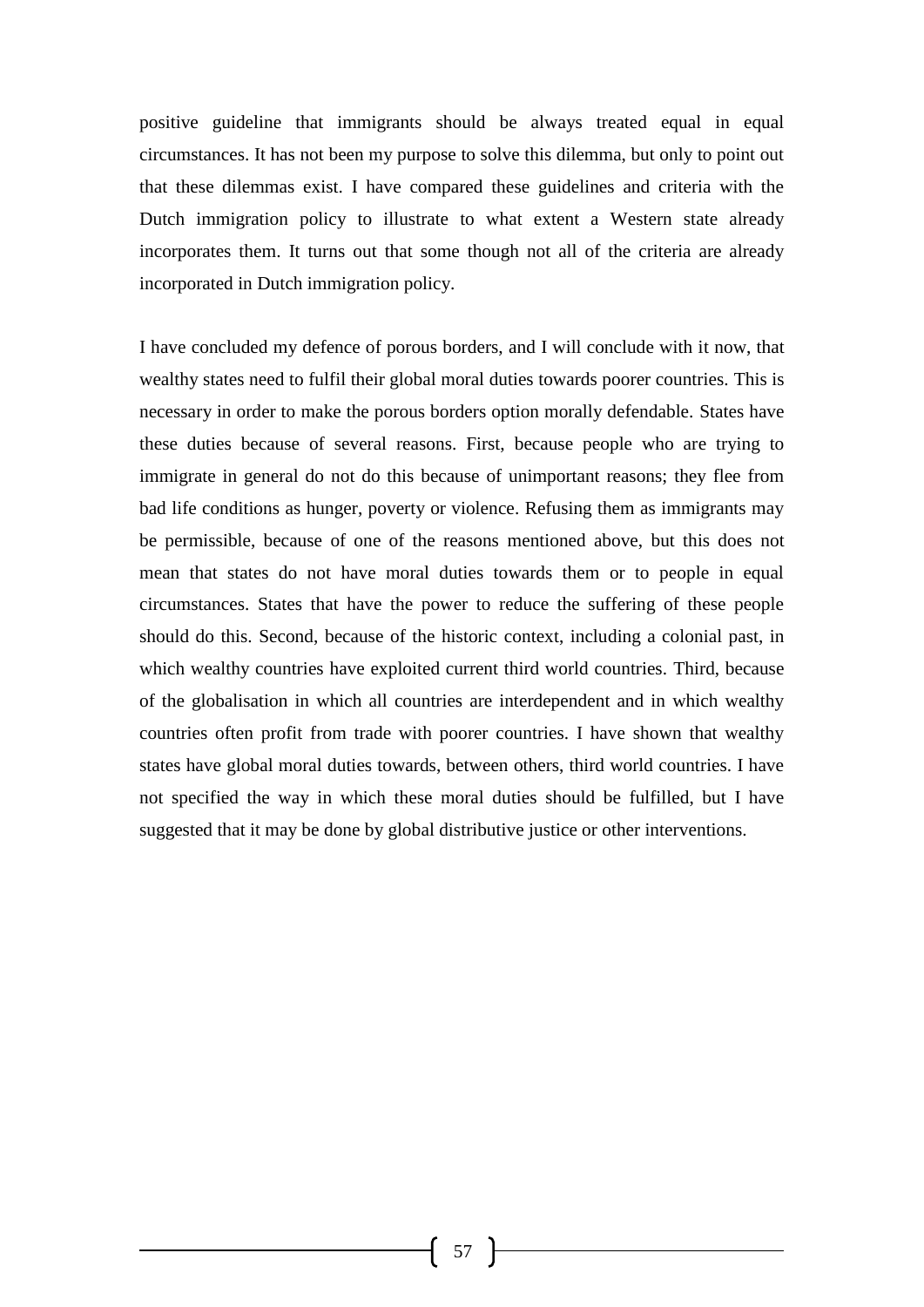positive guideline that immigrants should be always treated equal in equal circumstances. It has not been my purpose to solve this dilemma, but only to point out that these dilemmas exist. I have compared these guidelines and criteria with the Dutch immigration policy to illustrate to what extent a Western state already incorporates them. It turns out that some though not all of the criteria are already incorporated in Dutch immigration policy.

I have concluded my defence of porous borders, and I will conclude with it now, that wealthy states need to fulfil their global moral duties towards poorer countries. This is necessary in order to make the porous borders option morally defendable. States have these duties because of several reasons. First, because people who are trying to immigrate in general do not do this because of unimportant reasons; they flee from bad life conditions as hunger, poverty or violence. Refusing them as immigrants may be permissible, because of one of the reasons mentioned above, but this does not mean that states do not have moral duties towards them or to people in equal circumstances. States that have the power to reduce the suffering of these people should do this. Second, because of the historic context, including a colonial past, in which wealthy countries have exploited current third world countries. Third, because of the globalisation in which all countries are interdependent and in which wealthy countries often profit from trade with poorer countries. I have shown that wealthy states have global moral duties towards, between others, third world countries. I have not specified the way in which these moral duties should be fulfilled, but I have suggested that it may be done by global distributive justice or other interventions.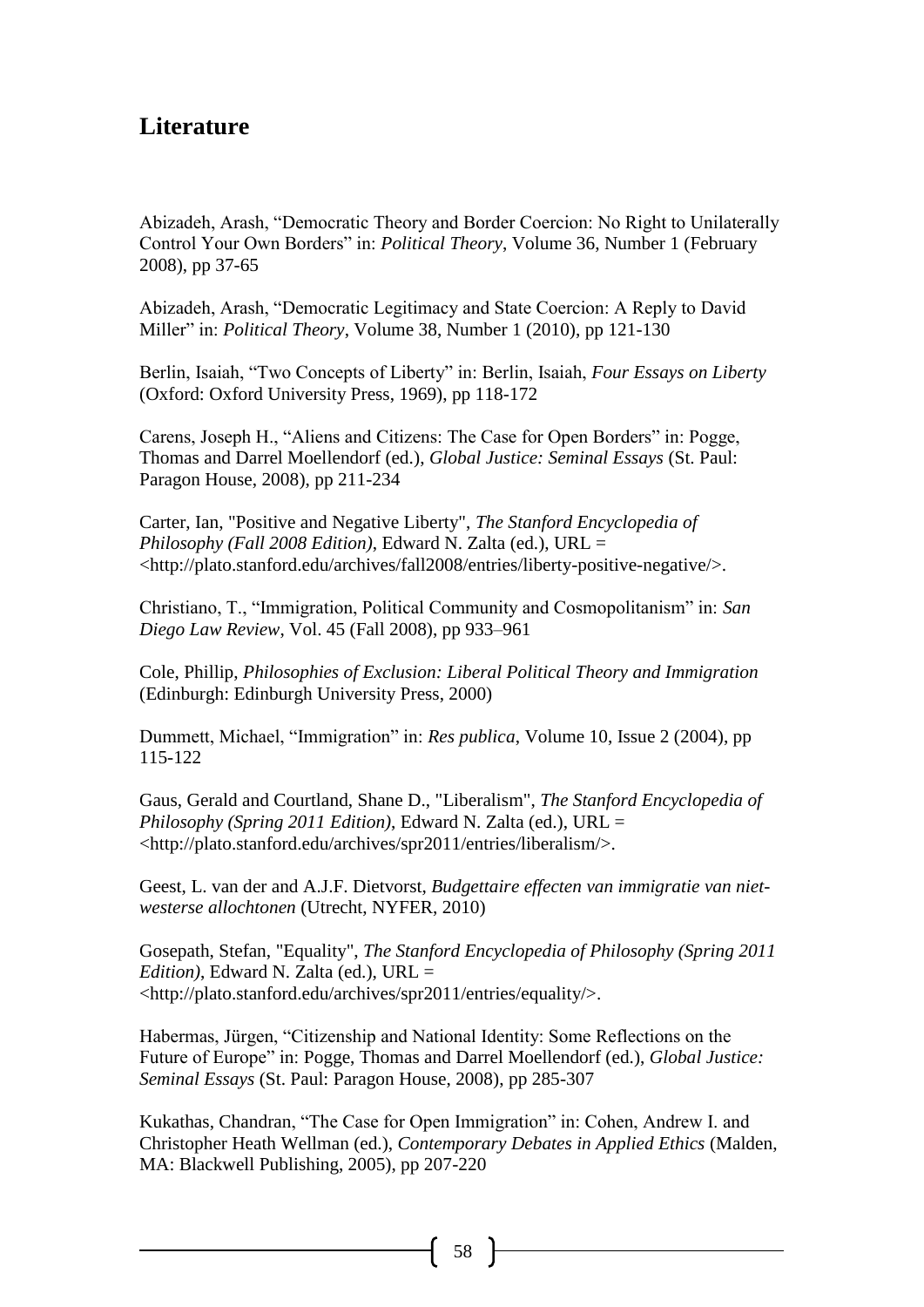# **Literature**

Abizadeh, Arash, "Democratic Theory and Border Coercion: No Right to Unilaterally Control Your Own Borders" in: *Political Theory*, Volume 36, Number 1 (February 2008), pp 37-65

Abizadeh, Arash, "Democratic Legitimacy and State Coercion: A Reply to David Miller" in: *Political Theory*, Volume 38, Number 1 (2010), pp 121-130

Berlin, Isaiah, "Two Concepts of Liberty" in: Berlin, Isaiah, *Four Essays on Liberty* (Oxford: Oxford University Press, 1969), pp 118-172

Carens, Joseph H., "Aliens and Citizens: The Case for Open Borders" in: Pogge, Thomas and Darrel Moellendorf (ed.), *Global Justice: Seminal Essays* (St. Paul: Paragon House, 2008), pp 211-234

Carter, Ian, "Positive and Negative Liberty", *The Stanford Encyclopedia of Philosophy (Fall 2008 Edition)*, Edward N. Zalta (ed.), URL = <http://plato.stanford.edu/archives/fall2008/entries/liberty-positive-negative/>.

Christiano, T., "Immigration, Political Community and Cosmopolitanism" in: *San Diego Law Review*, Vol. 45 (Fall 2008), pp 933–961

Cole, Phillip, *Philosophies of Exclusion: Liberal Political Theory and Immigration* (Edinburgh: Edinburgh University Press, 2000)

Dummett, Michael, "Immigration" in: *Res publica*, Volume 10, Issue 2 (2004), pp 115-122

Gaus, Gerald and Courtland, Shane D., "Liberalism", *The Stanford Encyclopedia of Philosophy (Spring 2011 Edition)*, Edward N. Zalta (ed.), URL = <http://plato.stanford.edu/archives/spr2011/entries/liberalism/>.

Geest, L. van der and A.J.F. Dietvorst, *Budgettaire effecten van immigratie van nietwesterse allochtonen* (Utrecht, NYFER, 2010)

Gosepath, Stefan, "Equality", *The Stanford Encyclopedia of Philosophy (Spring 2011 Edition)*, Edward N. Zalta (ed.), URL = <http://plato.stanford.edu/archives/spr2011/entries/equality/>.

Habermas, Jürgen, "Citizenship and National Identity: Some Reflections on the Future of Europe" in: Pogge, Thomas and Darrel Moellendorf (ed.), *Global Justice: Seminal Essays* (St. Paul: Paragon House, 2008), pp 285-307

Kukathas, Chandran, "The Case for Open Immigration" in: Cohen, Andrew I. and Christopher Heath Wellman (ed.), *Contemporary Debates in Applied Ethics* (Malden, MA: Blackwell Publishing, 2005), pp 207-220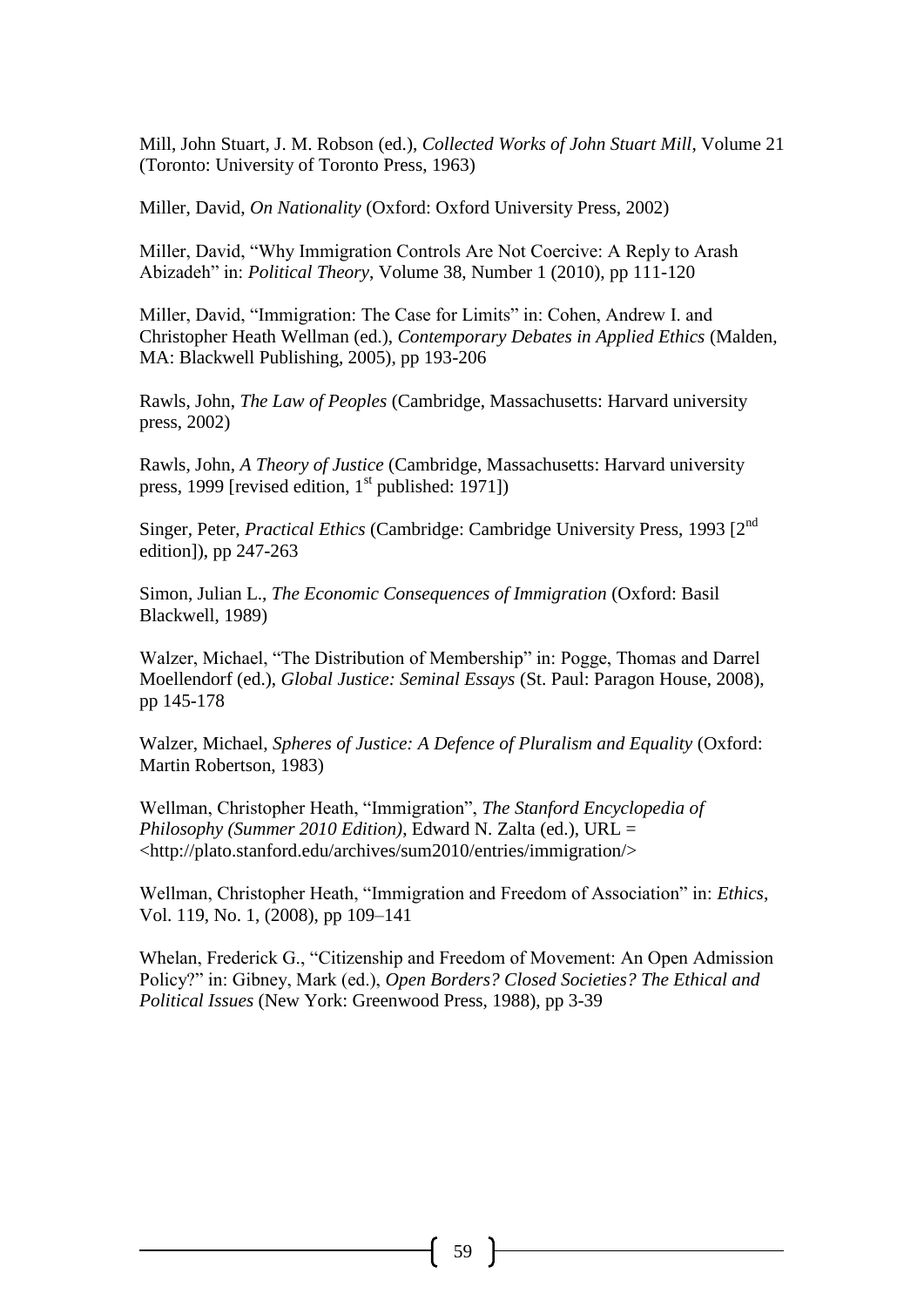Mill, John Stuart, J. M. Robson (ed.), *Collected Works of John Stuart Mill*, Volume 21 (Toronto: University of Toronto Press, 1963)

Miller, David, *On Nationality* (Oxford: Oxford University Press, 2002)

Miller, David, "Why Immigration Controls Are Not Coercive: A Reply to Arash Abizadeh" in: *Political Theory*, Volume 38, Number 1 (2010), pp 111-120

Miller, David, "Immigration: The Case for Limits" in: Cohen, Andrew I. and Christopher Heath Wellman (ed.), *Contemporary Debates in Applied Ethics* (Malden, MA: Blackwell Publishing, 2005), pp 193-206

Rawls, John, *The Law of Peoples* (Cambridge, Massachusetts: Harvard university press, 2002)

Rawls, John, *A Theory of Justice* (Cambridge, Massachusetts: Harvard university press, 1999 [revised edition,  $1<sup>st</sup>$  published: 1971])

Singer, Peter, *Practical Ethics* (Cambridge: Cambridge University Press, 1993 [2nd edition]), pp 247-263

Simon, Julian L., *The Economic Consequences of Immigration* (Oxford: Basil Blackwell, 1989)

Walzer, Michael, "The Distribution of Membership" in: Pogge, Thomas and Darrel Moellendorf (ed.), *Global Justice: Seminal Essays* (St. Paul: Paragon House, 2008), pp 145-178

Walzer, Michael, *Spheres of Justice: A Defence of Pluralism and Equality* (Oxford: Martin Robertson, 1983)

Wellman, Christopher Heath, "Immigration", *The Stanford Encyclopedia of Philosophy (Summer 2010 Edition)*, Edward N. Zalta (ed.), URL = <http://plato.stanford.edu/archives/sum2010/entries/immigration/>

Wellman, Christopher Heath, "Immigration and Freedom of Association" in: *Ethics*, Vol. 119, No. 1, (2008), pp 109–141

Whelan, Frederick G., "Citizenship and Freedom of Movement: An Open Admission Policy?" in: Gibney, Mark (ed.), *Open Borders? Closed Societies? The Ethical and Political Issues* (New York: Greenwood Press, 1988), pp 3-39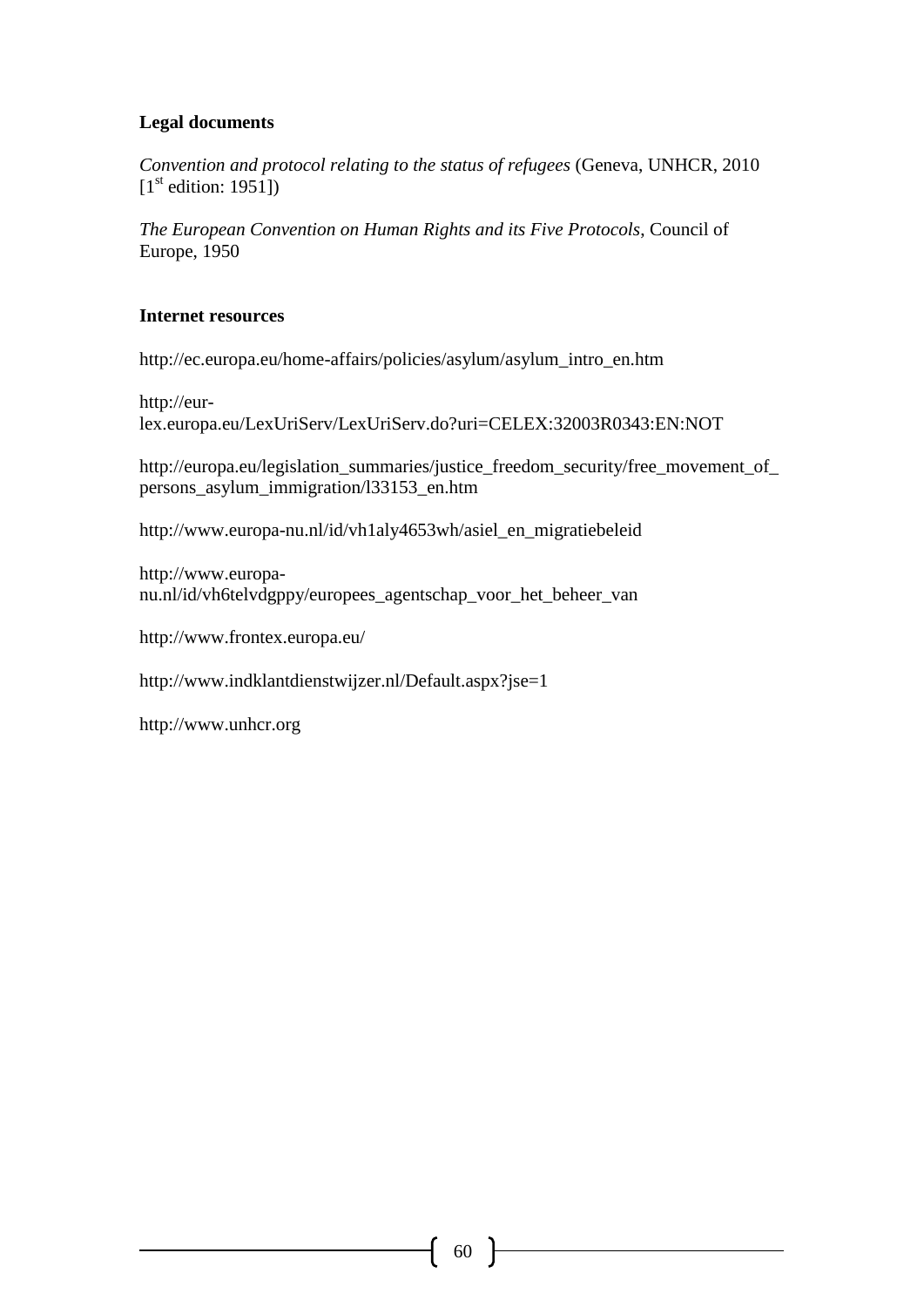### **Legal documents**

*Convention and protocol relating to the status of refugees* (Geneva, UNHCR, 2010  $[1<sup>st</sup>$  edition: 1951])

*The European Convention on Human Rights and its Five Protocols*, Council of Europe, 1950

### **Internet resources**

http://ec.europa.eu/home-affairs/policies/asylum/asylum\_intro\_en.htm

http://eurlex.europa.eu/LexUriServ/LexUriServ.do?uri=CELEX:32003R0343:EN:NOT

http://europa.eu/legislation\_summaries/justice\_freedom\_security/free\_movement\_of\_ persons\_asylum\_immigration/l33153\_en.htm

http://www.europa-nu.nl/id/vh1aly4653wh/asiel\_en\_migratiebeleid

http://www.europanu.nl/id/vh6telvdgppy/europees\_agentschap\_voor\_het\_beheer\_van

http://www.frontex.europa.eu/

http://www.indklantdienstwijzer.nl/Default.aspx?jse=1

http://www.unhcr.org